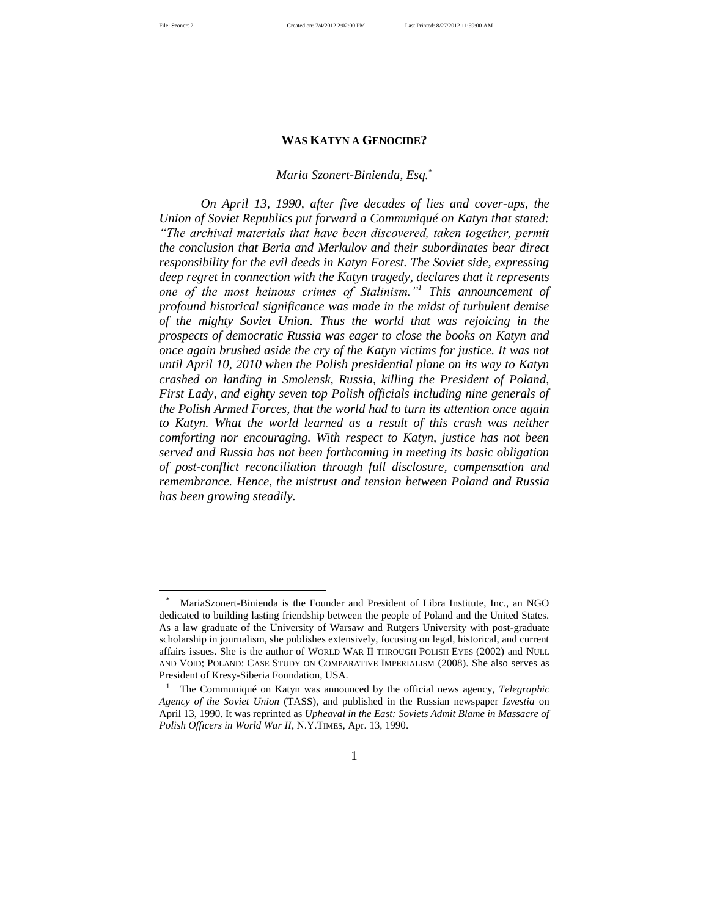#### *Maria Szonert-Binienda, Esq.*\*

*On April 13, 1990, after five decades of lies and cover-ups, the Union of Soviet Republics put forward a Communiqué on Katyn that stated: "The archival materials that have been discovered, taken together, permit the conclusion that Beria and Merkulov and their subordinates bear direct responsibility for the evil deeds in Katyn Forest. The Soviet side, expressing deep regret in connection with the Katyn tragedy, declares that it represents one of the most heinous crimes of Stalinism."<sup>1</sup> This announcement of profound historical significance was made in the midst of turbulent demise of the mighty Soviet Union. Thus the world that was rejoicing in the prospects of democratic Russia was eager to close the books on Katyn and once again brushed aside the cry of the Katyn victims for justice. It was not until April 10, 2010 when the Polish presidential plane on its way to Katyn crashed on landing in Smolensk, Russia, killing the President of Poland, First Lady, and eighty seven top Polish officials including nine generals of the Polish Armed Forces, that the world had to turn its attention once again to Katyn. What the world learned as a result of this crash was neither comforting nor encouraging. With respect to Katyn, justice has not been served and Russia has not been forthcoming in meeting its basic obligation of post-conflict reconciliation through full disclosure, compensation and remembrance. Hence, the mistrust and tension between Poland and Russia has been growing steadily.*

MariaSzonert-Binienda is the Founder and President of Libra Institute, Inc., an NGO dedicated to building lasting friendship between the people of Poland and the United States. As a law graduate of the University of Warsaw and Rutgers University with post-graduate scholarship in journalism, she publishes extensively, focusing on legal, historical, and current affairs issues. She is the author of WORLD WAR II THROUGH POLISH EYES (2002) and NULL AND VOID; POLAND: CASE STUDY ON COMPARATIVE IMPERIALISM (2008). She also serves as President of Kresy-Siberia Foundation, USA.

<sup>&</sup>lt;sup>1</sup> The Communiqué on Katyn was announced by the official news agency, *Telegraphic Agency of the Soviet Union* (TASS), and published in the Russian newspaper *Izvestia* on April 13, 1990. It was reprinted as *Upheaval in the East: Soviets Admit Blame in Massacre of Polish Officers in World War II*, N.Y.TIMES, Apr. 13, 1990.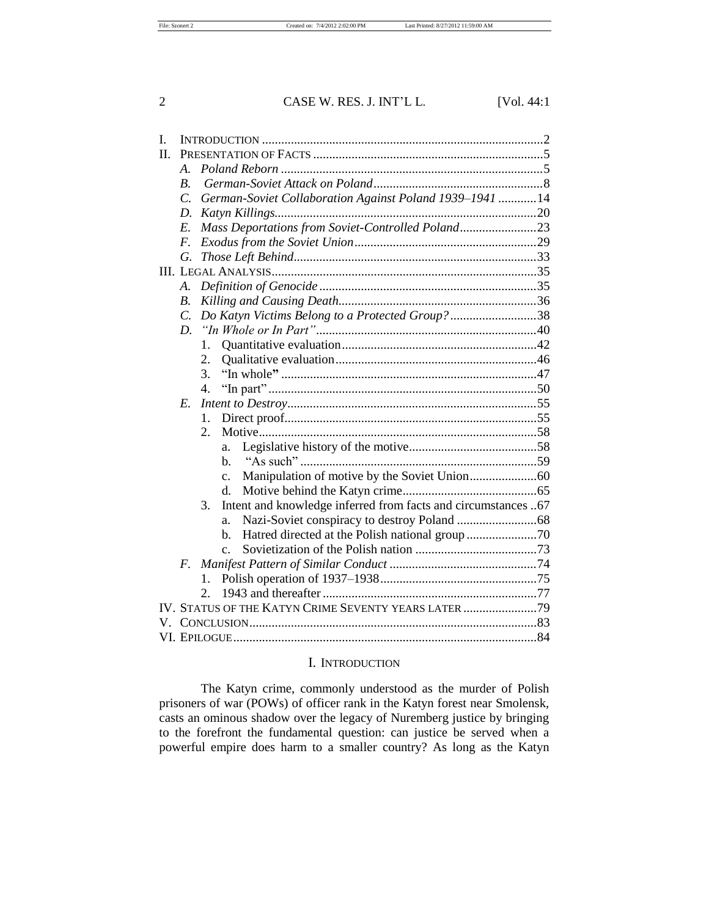| I. |                    |                                                                     |  |
|----|--------------------|---------------------------------------------------------------------|--|
| Π. |                    |                                                                     |  |
|    | $\mathcal{A}$ .    |                                                                     |  |
|    | $\boldsymbol{B}$ . |                                                                     |  |
|    | $\overline{C}$     | German-Soviet Collaboration Against Poland 1939-1941  14            |  |
|    | D.                 |                                                                     |  |
|    | E.                 | Mass Deportations from Soviet-Controlled Poland23                   |  |
|    | $F_{\cdot}$        |                                                                     |  |
|    | G.                 |                                                                     |  |
|    |                    |                                                                     |  |
|    | A.                 |                                                                     |  |
|    | $\boldsymbol{B}$ . |                                                                     |  |
|    | $\overline{C}$ .   | Do Katyn Victims Belong to a Protected Group?38                     |  |
|    | D.                 |                                                                     |  |
|    |                    | 1.                                                                  |  |
|    |                    | 2.                                                                  |  |
|    |                    | 3.                                                                  |  |
|    |                    | $\overline{4}$ .                                                    |  |
|    | $E_{\cdot}$        |                                                                     |  |
|    |                    | $\mathbf{1}$ .                                                      |  |
|    |                    | $\overline{2}$ .                                                    |  |
|    |                    | a.                                                                  |  |
|    |                    | h.                                                                  |  |
|    |                    | $C_{\bullet}$                                                       |  |
|    |                    | $d_{\cdot}$                                                         |  |
|    |                    | 3.<br>Intent and knowledge inferred from facts and circumstances 67 |  |
|    |                    | a.                                                                  |  |
|    |                    | $h_{\cdot}$                                                         |  |
|    |                    | $C_{-}$                                                             |  |
|    | $F_{\cdot}$        |                                                                     |  |
|    |                    | 1.                                                                  |  |
|    |                    | $2^{\circ}$                                                         |  |
|    |                    | IV. STATUS OF THE KATYN CRIME SEVENTY YEARS LATER 79                |  |
|    |                    |                                                                     |  |
|    |                    |                                                                     |  |

## I. INTRODUCTION

The Katyn crime, commonly understood as the murder of Polish prisoners of war (POWs) of officer rank in the Katyn forest near Smolensk, casts an ominous shadow over the legacy of Nuremberg justice by bringing to the forefront the fundamental question: can justice be served when a powerful empire does harm to a smaller country? As long as the Katyn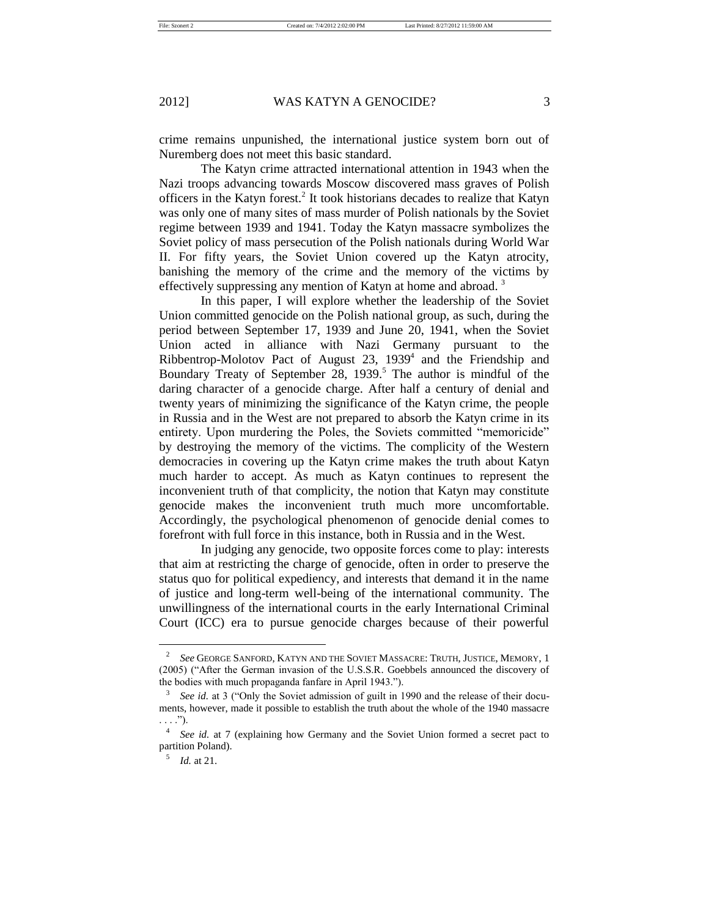crime remains unpunished, the international justice system born out of Nuremberg does not meet this basic standard.

The Katyn crime attracted international attention in 1943 when the Nazi troops advancing towards Moscow discovered mass graves of Polish officers in the Katyn forest.<sup>2</sup> It took historians decades to realize that Katyn was only one of many sites of mass murder of Polish nationals by the Soviet regime between 1939 and 1941. Today the Katyn massacre symbolizes the Soviet policy of mass persecution of the Polish nationals during World War II. For fifty years, the Soviet Union covered up the Katyn atrocity, banishing the memory of the crime and the memory of the victims by effectively suppressing any mention of Katyn at home and abroad. <sup>3</sup>

In this paper, I will explore whether the leadership of the Soviet Union committed genocide on the Polish national group, as such, during the period between September 17, 1939 and June 20, 1941, when the Soviet Union acted in alliance with Nazi Germany pursuant to the Ribbentrop-Molotov Pact of August 23, 1939<sup>4</sup> and the Friendship and Boundary Treaty of September 28,  $1939$ .<sup>5</sup> The author is mindful of the daring character of a genocide charge. After half a century of denial and twenty years of minimizing the significance of the Katyn crime, the people in Russia and in the West are not prepared to absorb the Katyn crime in its entirety. Upon murdering the Poles, the Soviets committed "memoricide" by destroying the memory of the victims. The complicity of the Western democracies in covering up the Katyn crime makes the truth about Katyn much harder to accept. As much as Katyn continues to represent the inconvenient truth of that complicity, the notion that Katyn may constitute genocide makes the inconvenient truth much more uncomfortable. Accordingly, the psychological phenomenon of genocide denial comes to forefront with full force in this instance, both in Russia and in the West.

In judging any genocide, two opposite forces come to play: interests that aim at restricting the charge of genocide, often in order to preserve the status quo for political expediency, and interests that demand it in the name of justice and long-term well-being of the international community. The unwillingness of the international courts in the early International Criminal Court (ICC) era to pursue genocide charges because of their powerful

<sup>2</sup> *See* GEORGE SANFORD, KATYN AND THE SOVIET MASSACRE: TRUTH, JUSTICE, MEMORY, 1 (2005) ("After the German invasion of the U.S.S.R. Goebbels announced the discovery of the bodies with much propaganda fanfare in April 1943.").

<sup>3</sup> *See id.* at 3 ("Only the Soviet admission of guilt in 1990 and the release of their documents, however, made it possible to establish the truth about the whole of the 1940 massacre  $\ldots$ .").

<sup>4</sup> *See id.* at 7 (explaining how Germany and the Soviet Union formed a secret pact to partition Poland).

<sup>5</sup> *Id.* at 21.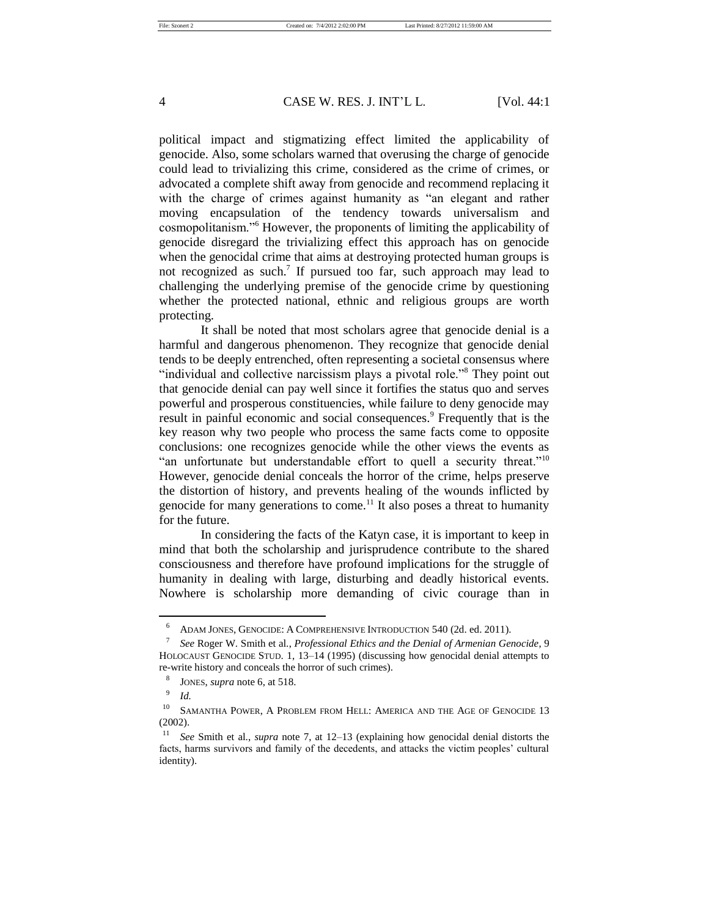political impact and stigmatizing effect limited the applicability of genocide. Also, some scholars warned that overusing the charge of genocide could lead to trivializing this crime, considered as the crime of crimes, or advocated a complete shift away from genocide and recommend replacing it with the charge of crimes against humanity as "an elegant and rather moving encapsulation of the tendency towards universalism and cosmopolitanism."<sup>6</sup> However, the proponents of limiting the applicability of genocide disregard the trivializing effect this approach has on genocide when the genocidal crime that aims at destroying protected human groups is not recognized as such.<sup>7</sup> If pursued too far, such approach may lead to challenging the underlying premise of the genocide crime by questioning whether the protected national, ethnic and religious groups are worth protecting.

It shall be noted that most scholars agree that genocide denial is a harmful and dangerous phenomenon. They recognize that genocide denial tends to be deeply entrenched, often representing a societal consensus where "individual and collective narcissism plays a pivotal role."<sup>8</sup> They point out that genocide denial can pay well since it fortifies the status quo and serves powerful and prosperous constituencies, while failure to deny genocide may result in painful economic and social consequences.<sup>9</sup> Frequently that is the key reason why two people who process the same facts come to opposite conclusions: one recognizes genocide while the other views the events as "an unfortunate but understandable effort to quell a security threat."<sup>10</sup> However, genocide denial conceals the horror of the crime, helps preserve the distortion of history, and prevents healing of the wounds inflicted by genocide for many generations to come.<sup>11</sup> It also poses a threat to humanity for the future.

In considering the facts of the Katyn case, it is important to keep in mind that both the scholarship and jurisprudence contribute to the shared consciousness and therefore have profound implications for the struggle of humanity in dealing with large, disturbing and deadly historical events. Nowhere is scholarship more demanding of civic courage than in

<sup>6</sup> ADAM JONES, GENOCIDE: A COMPREHENSIVE INTRODUCTION 540 (2d. ed. 2011).

<sup>7</sup> *See* Roger W. Smith et al., *Professional Ethics and the Denial of Armenian Genocide*, 9 HOLOCAUST GENOCIDE STUD. 1, 13–14 (1995) (discussing how genocidal denial attempts to re-write history and conceals the horror of such crimes).

<sup>8</sup> JONES, *supra* note 6, at 518.

<sup>9</sup> *Id.* 

<sup>&</sup>lt;sup>10</sup> SAMANTHA POWER, A PROBLEM FROM HELL: AMERICA AND THE AGE OF GENOCIDE 13 (2002).

<sup>11</sup> *See* Smith et al., *supra* note 7, at 12–13 (explaining how genocidal denial distorts the facts, harms survivors and family of the decedents, and attacks the victim peoples' cultural identity).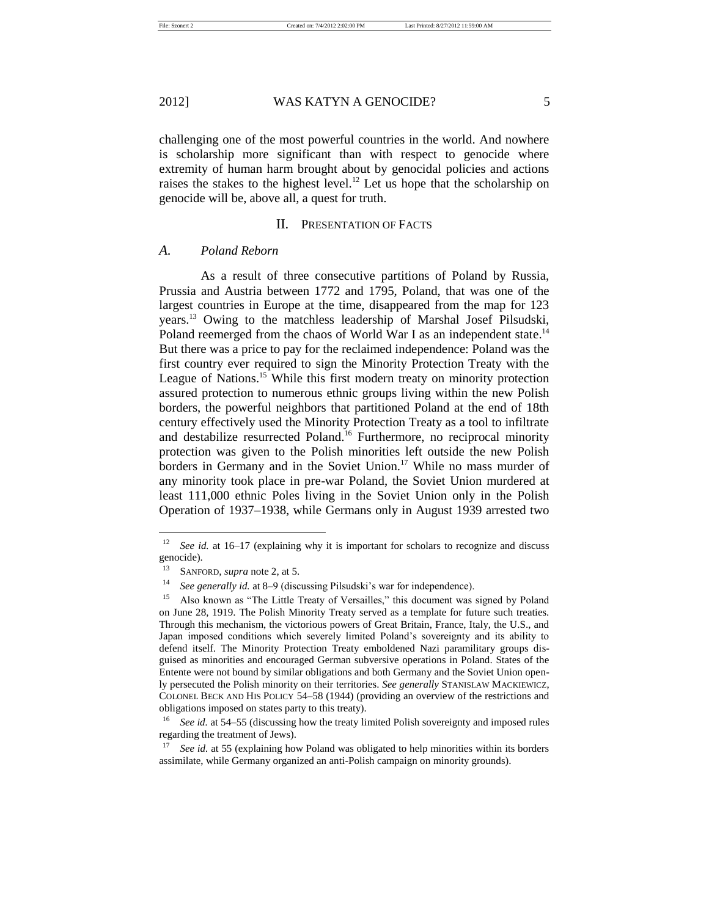challenging one of the most powerful countries in the world. And nowhere is scholarship more significant than with respect to genocide where extremity of human harm brought about by genocidal policies and actions raises the stakes to the highest level.<sup>12</sup> Let us hope that the scholarship on genocide will be, above all, a quest for truth.

#### II. PRESENTATION OF FACTS

## *A. Poland Reborn*

As a result of three consecutive partitions of Poland by Russia, Prussia and Austria between 1772 and 1795, Poland, that was one of the largest countries in Europe at the time, disappeared from the map for 123 years.<sup>13</sup> Owing to the matchless leadership of Marshal Josef Pilsudski, Poland reemerged from the chaos of World War I as an independent state.<sup>14</sup> But there was a price to pay for the reclaimed independence: Poland was the first country ever required to sign the Minority Protection Treaty with the League of Nations.<sup>15</sup> While this first modern treaty on minority protection assured protection to numerous ethnic groups living within the new Polish borders, the powerful neighbors that partitioned Poland at the end of 18th century effectively used the Minority Protection Treaty as a tool to infiltrate and destabilize resurrected Poland.<sup>16</sup> Furthermore, no reciprocal minority protection was given to the Polish minorities left outside the new Polish borders in Germany and in the Soviet Union.<sup>17</sup> While no mass murder of any minority took place in pre-war Poland, the Soviet Union murdered at least 111,000 ethnic Poles living in the Soviet Union only in the Polish Operation of 1937–1938, while Germans only in August 1939 arrested two

<sup>12</sup> *See id.* at 16–17 (explaining why it is important for scholars to recognize and discuss genocide).

<sup>13</sup> SANFORD, *supra* note 2, at 5.

<sup>14</sup> *See generally id.* at 8–9 (discussing Pilsudski's war for independence).

<sup>&</sup>lt;sup>15</sup> Also known as "The Little Treaty of Versailles," this document was signed by Poland on June 28, 1919. The Polish Minority Treaty served as a template for future such treaties. Through this mechanism, the victorious powers of Great Britain, France, Italy, the U.S., and Japan imposed conditions which severely limited Poland's sovereignty and its ability to defend itself. The Minority Protection Treaty emboldened Nazi paramilitary groups disguised as minorities and encouraged German subversive operations in Poland. States of the Entente were not bound by similar obligations and both Germany and the Soviet Union openly persecuted the Polish minority on their territories. *See generally* STANISLAW MACKIEWICZ, COLONEL BECK AND HIS POLICY 54–58 (1944) (providing an overview of the restrictions and obligations imposed on states party to this treaty).

See id. at 54–55 (discussing how the treaty limited Polish sovereignty and imposed rules regarding the treatment of Jews).

See id. at 55 (explaining how Poland was obligated to help minorities within its borders assimilate, while Germany organized an anti-Polish campaign on minority grounds).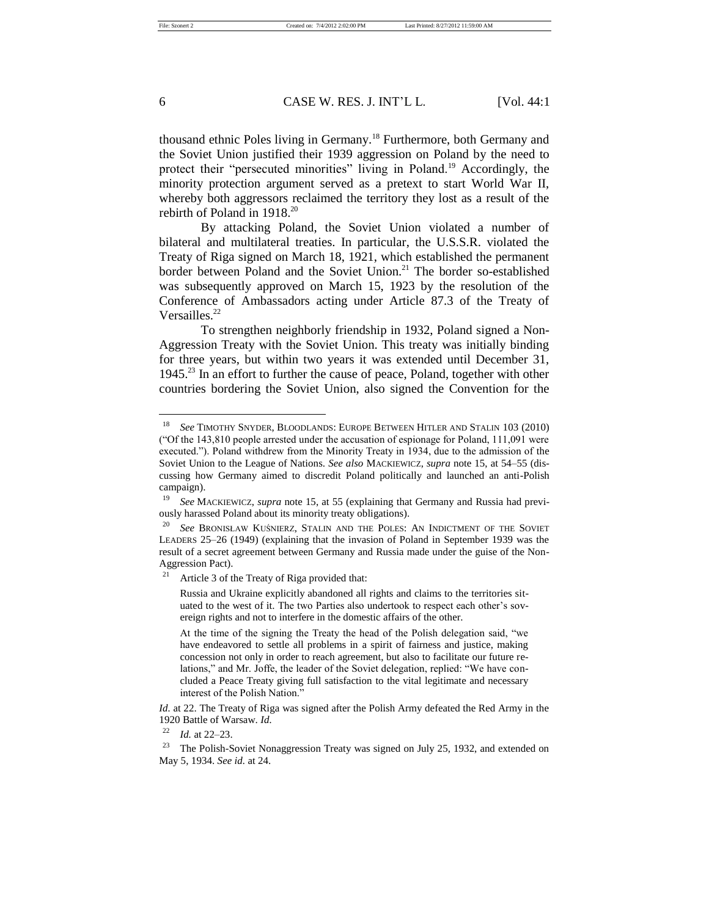thousand ethnic Poles living in Germany.<sup>18</sup> Furthermore, both Germany and the Soviet Union justified their 1939 aggression on Poland by the need to protect their "persecuted minorities" living in Poland.<sup>19</sup> Accordingly, the minority protection argument served as a pretext to start World War II, whereby both aggressors reclaimed the territory they lost as a result of the rebirth of Poland in 1918.<sup>20</sup>

By attacking Poland, the Soviet Union violated a number of bilateral and multilateral treaties. In particular, the U.S.S.R. violated the Treaty of Riga signed on March 18, 1921, which established the permanent border between Poland and the Soviet Union.<sup>21</sup> The border so-established was subsequently approved on March 15, 1923 by the resolution of the Conference of Ambassadors acting under Article 87.3 of the Treaty of Versailles<sup>22</sup>

To strengthen neighborly friendship in 1932, Poland signed a Non-Aggression Treaty with the Soviet Union. This treaty was initially binding for three years, but within two years it was extended until December 31, 1945.<sup>23</sup> In an effort to further the cause of peace, Poland, together with other countries bordering the Soviet Union, also signed the Convention for the

<sup>18</sup> *See* TIMOTHY SNYDER, BLOODLANDS: EUROPE BETWEEN HITLER AND STALIN 103 (2010) ("Of the 143,810 people arrested under the accusation of espionage for Poland, 111,091 were executed."). Poland withdrew from the Minority Treaty in 1934, due to the admission of the Soviet Union to the League of Nations. *See also* MACKIEWICZ, *supra* note 15, at 54–55 (discussing how Germany aimed to discredit Poland politically and launched an anti-Polish campaign).

<sup>19</sup> *See* MACKIEWICZ, *supra* note 15, at 55 (explaining that Germany and Russia had previously harassed Poland about its minority treaty obligations).

<sup>20</sup> *See* BRONISŁAW KUŚNIERZ, STALIN AND THE POLES: AN INDICTMENT OF THE SOVIET LEADERS 25–26 (1949) (explaining that the invasion of Poland in September 1939 was the result of a secret agreement between Germany and Russia made under the guise of the Non-Aggression Pact).

<sup>&</sup>lt;sup>21</sup> Article 3 of the Treaty of Riga provided that:

Russia and Ukraine explicitly abandoned all rights and claims to the territories situated to the west of it. The two Parties also undertook to respect each other's sovereign rights and not to interfere in the domestic affairs of the other.

At the time of the signing the Treaty the head of the Polish delegation said, "we have endeavored to settle all problems in a spirit of fairness and justice, making concession not only in order to reach agreement, but also to facilitate our future relations," and Mr. Joffe, the leader of the Soviet delegation, replied: "We have concluded a Peace Treaty giving full satisfaction to the vital legitimate and necessary interest of the Polish Nation."

*Id.* at 22. The Treaty of Riga was signed after the Polish Army defeated the Red Army in the 1920 Battle of Warsaw. *Id.*

<sup>22</sup> *Id.* at 22–23.

<sup>&</sup>lt;sup>23</sup> The Polish-Soviet Nonaggression Treaty was signed on July 25, 1932, and extended on May 5, 1934. *See id.* at 24.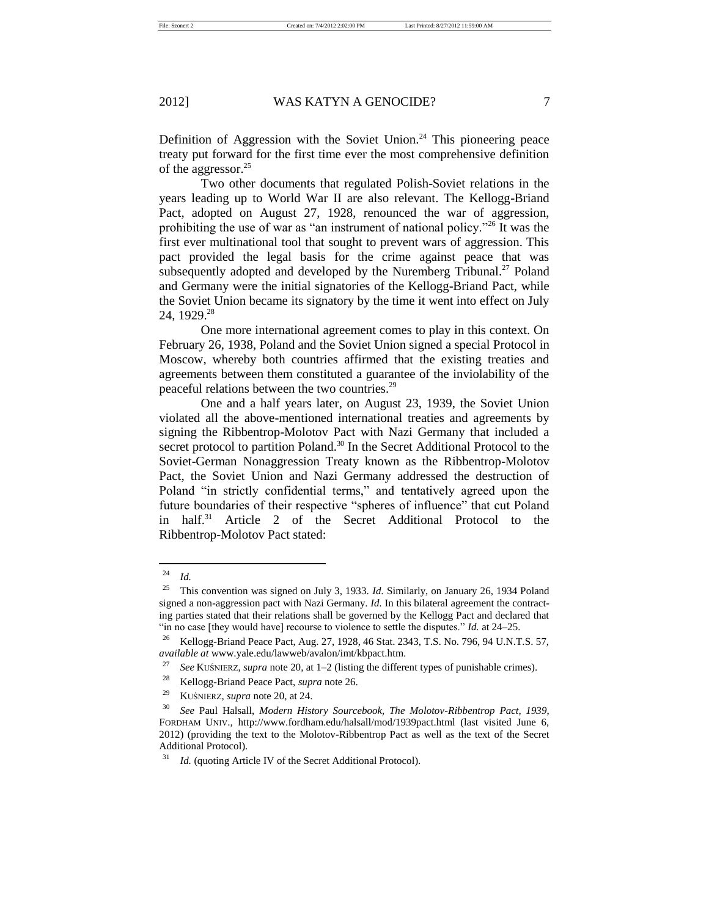Definition of Aggression with the Soviet Union.<sup>24</sup> This pioneering peace treaty put forward for the first time ever the most comprehensive definition of the aggressor.<sup>25</sup>

Two other documents that regulated Polish-Soviet relations in the years leading up to World War II are also relevant. The Kellogg-Briand Pact, adopted on August 27, 1928, renounced the war of aggression, prohibiting the use of war as "an instrument of national policy."<sup>26</sup> It was the first ever multinational tool that sought to prevent wars of aggression. This pact provided the legal basis for the crime against peace that was subsequently adopted and developed by the Nuremberg Tribunal.<sup>27</sup> Poland and Germany were the initial signatories of the Kellogg-Briand Pact, while the Soviet Union became its signatory by the time it went into effect on July 24, 1929.<sup>28</sup>

One more international agreement comes to play in this context. On February 26, 1938, Poland and the Soviet Union signed a special Protocol in Moscow, whereby both countries affirmed that the existing treaties and agreements between them constituted a guarantee of the inviolability of the peaceful relations between the two countries.<sup>29</sup>

One and a half years later, on August 23, 1939, the Soviet Union violated all the above-mentioned international treaties and agreements by signing the Ribbentrop-Molotov Pact with Nazi Germany that included a secret protocol to partition Poland.<sup>30</sup> In the Secret Additional Protocol to the Soviet-German Nonaggression Treaty known as the Ribbentrop-Molotov Pact, the Soviet Union and Nazi Germany addressed the destruction of Poland "in strictly confidential terms," and tentatively agreed upon the future boundaries of their respective "spheres of influence" that cut Poland in half.<sup>31</sup> Article 2 of the Secret Additional Protocol to the Ribbentrop-Molotov Pact stated:

<sup>24</sup> *Id.*

<sup>25</sup> This convention was signed on July 3, 1933. *Id.* Similarly, on January 26, 1934 Poland signed a non-aggression pact with Nazi Germany. *Id.* In this bilateral agreement the contracting parties stated that their relations shall be governed by the Kellogg Pact and declared that "in no case [they would have] recourse to violence to settle the disputes." *Id.* at 24–25.

<sup>&</sup>lt;sup>26</sup> Kellogg-Briand Peace Pact, Aug. 27, 1928, 46 Stat. 2343, T.S. No. 796, 94 U.N.T.S. 57, *available at* www.yale.edu/lawweb/avalon/imt/kbpact.htm.

<sup>27</sup> *See* KUŚNIERZ, *supra* note 20, at 1–2 (listing the different types of punishable crimes).

<sup>28</sup> Kellogg-Briand Peace Pact, *supra* note 26.

<sup>29</sup> KUŚNIERZ, *supra* note 20, at 24.

<sup>30</sup> *See* Paul Halsall, *Modern History Sourcebook, The Molotov-Ribbentrop Pact, 1939*, FORDHAM UNIV., http://www.fordham.edu/halsall/mod/1939pact.html (last visited June 6, 2012) (providing the text to the Molotov-Ribbentrop Pact as well as the text of the Secret Additional Protocol).

<sup>&</sup>lt;sup>31</sup> *Id.* (quoting Article IV of the Secret Additional Protocol).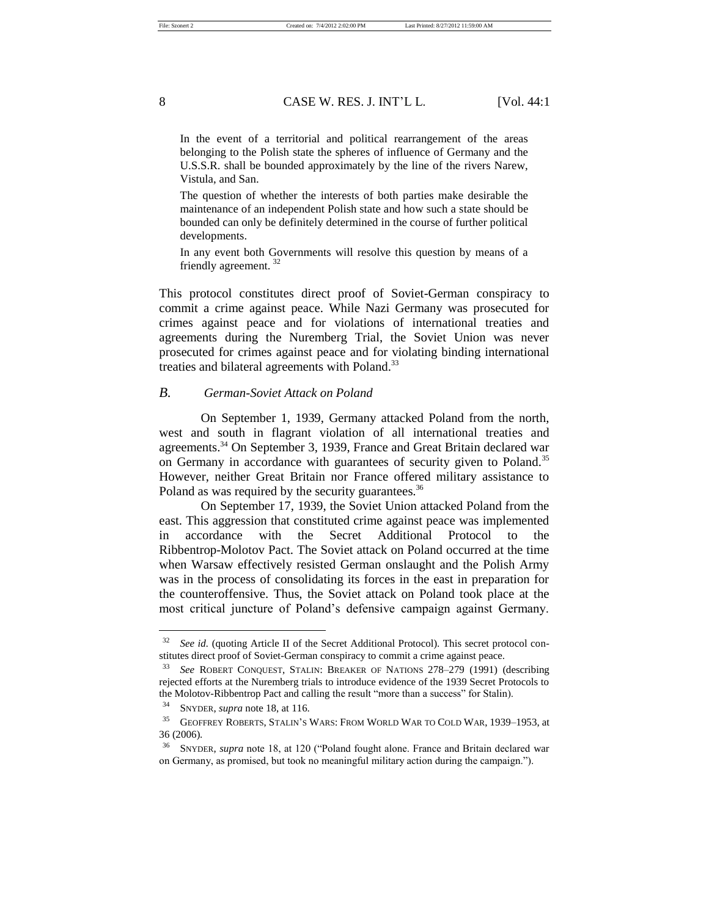In the event of a territorial and political rearrangement of the areas belonging to the Polish state the spheres of influence of Germany and the U.S.S.R. shall be bounded approximately by the line of the rivers Narew, Vistula, and San.

The question of whether the interests of both parties make desirable the maintenance of an independent Polish state and how such a state should be bounded can only be definitely determined in the course of further political developments.

In any event both Governments will resolve this question by means of a friendly agreement. <sup>32</sup>

This protocol constitutes direct proof of Soviet-German conspiracy to commit a crime against peace. While Nazi Germany was prosecuted for crimes against peace and for violations of international treaties and agreements during the Nuremberg Trial, the Soviet Union was never prosecuted for crimes against peace and for violating binding international treaties and bilateral agreements with Poland.<sup>33</sup>

## *B. German-Soviet Attack on Poland*

On September 1, 1939, Germany attacked Poland from the north, west and south in flagrant violation of all international treaties and agreements.<sup>34</sup> On September 3, 1939, France and Great Britain declared war on Germany in accordance with guarantees of security given to Poland.<sup>35</sup> However, neither Great Britain nor France offered military assistance to Poland as was required by the security guarantees.<sup>36</sup>

On September 17, 1939, the Soviet Union attacked Poland from the east. This aggression that constituted crime against peace was implemented in accordance with the Secret Additional Protocol to the Ribbentrop-Molotov Pact. The Soviet attack on Poland occurred at the time when Warsaw effectively resisted German onslaught and the Polish Army was in the process of consolidating its forces in the east in preparation for the counteroffensive. Thus, the Soviet attack on Poland took place at the most critical juncture of Poland's defensive campaign against Germany.

<sup>&</sup>lt;sup>32</sup> *See id.* (quoting Article II of the Secret Additional Protocol). This secret protocol constitutes direct proof of Soviet-German conspiracy to commit a crime against peace.

<sup>33</sup> *See* ROBERT CONQUEST, STALIN: BREAKER OF NATIONS 278–279 (1991) (describing rejected efforts at the Nuremberg trials to introduce evidence of the 1939 Secret Protocols to the Molotov-Ribbentrop Pact and calling the result "more than a success" for Stalin).

<sup>34</sup> SNYDER, *supra* note 18, at 116.

<sup>35</sup> GEOFFREY ROBERTS, STALIN'S WARS: FROM WORLD WAR TO COLD WAR, 1939–1953, at 36 (2006).

<sup>36</sup> SNYDER, *supra* note 18, at 120 ("Poland fought alone. France and Britain declared war on Germany, as promised, but took no meaningful military action during the campaign.").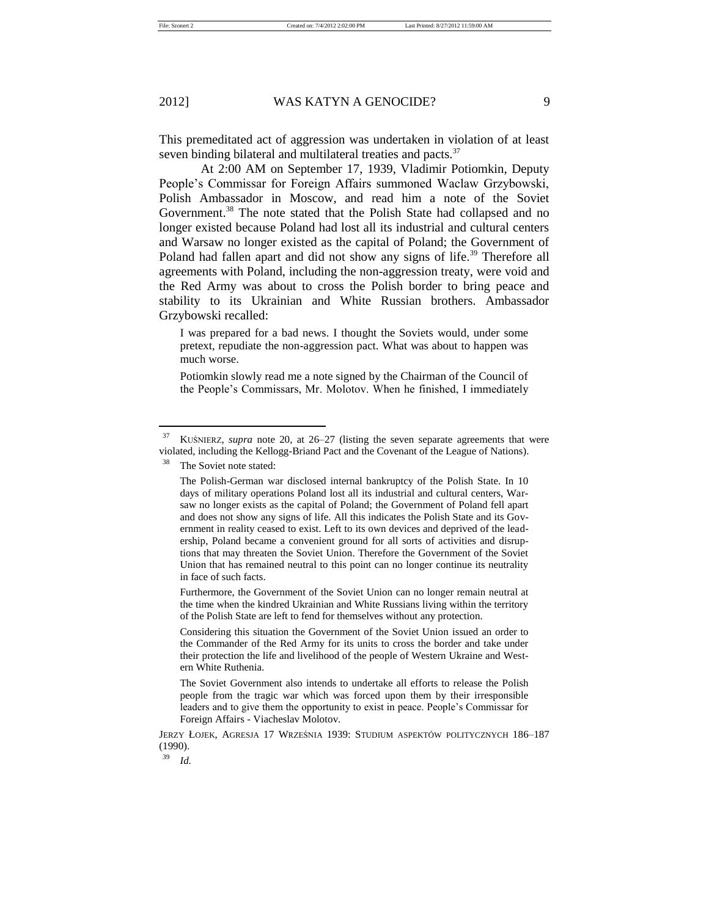This premeditated act of aggression was undertaken in violation of at least seven binding bilateral and multilateral treaties and pacts.<sup>37</sup>

At 2:00 AM on September 17, 1939, Vladimir Potiomkin, Deputy People's Commissar for Foreign Affairs summoned Waclaw Grzybowski, Polish Ambassador in Moscow, and read him a note of the Soviet Government.<sup>38</sup> The note stated that the Polish State had collapsed and no longer existed because Poland had lost all its industrial and cultural centers and Warsaw no longer existed as the capital of Poland; the Government of Poland had fallen apart and did not show any signs of life.<sup>39</sup> Therefore all agreements with Poland, including the non-aggression treaty, were void and the Red Army was about to cross the Polish border to bring peace and stability to its Ukrainian and White Russian brothers. Ambassador Grzybowski recalled:

I was prepared for a bad news. I thought the Soviets would, under some pretext, repudiate the non-aggression pact. What was about to happen was much worse.

Potiomkin slowly read me a note signed by the Chairman of the Council of the People's Commissars, Mr. Molotov. When he finished, I immediately

The Soviet note stated:

Furthermore, the Government of the Soviet Union can no longer remain neutral at the time when the kindred Ukrainian and White Russians living within the territory of the Polish State are left to fend for themselves without any protection.

<sup>37</sup> KUŚNIERZ, *supra* note 20, at 26–27 (listing the seven separate agreements that were violated, including the Kellogg-Briand Pact and the Covenant of the League of Nations).

The Polish-German war disclosed internal bankruptcy of the Polish State. In 10 days of military operations Poland lost all its industrial and cultural centers, Warsaw no longer exists as the capital of Poland; the Government of Poland fell apart and does not show any signs of life. All this indicates the Polish State and its Government in reality ceased to exist. Left to its own devices and deprived of the leadership, Poland became a convenient ground for all sorts of activities and disruptions that may threaten the Soviet Union. Therefore the Government of the Soviet Union that has remained neutral to this point can no longer continue its neutrality in face of such facts.

Considering this situation the Government of the Soviet Union issued an order to the Commander of the Red Army for its units to cross the border and take under their protection the life and livelihood of the people of Western Ukraine and Western White Ruthenia.

The Soviet Government also intends to undertake all efforts to release the Polish people from the tragic war which was forced upon them by their irresponsible leaders and to give them the opportunity to exist in peace. People's Commissar for Foreign Affairs - Viacheslav Molotov.

JERZY ŁOJEK, AGRESJA 17 WRZEŚNIA 1939: STUDIUM ASPEKTÓW POLITYCZNYCH 186–187 (1990).

<sup>39</sup> *Id.*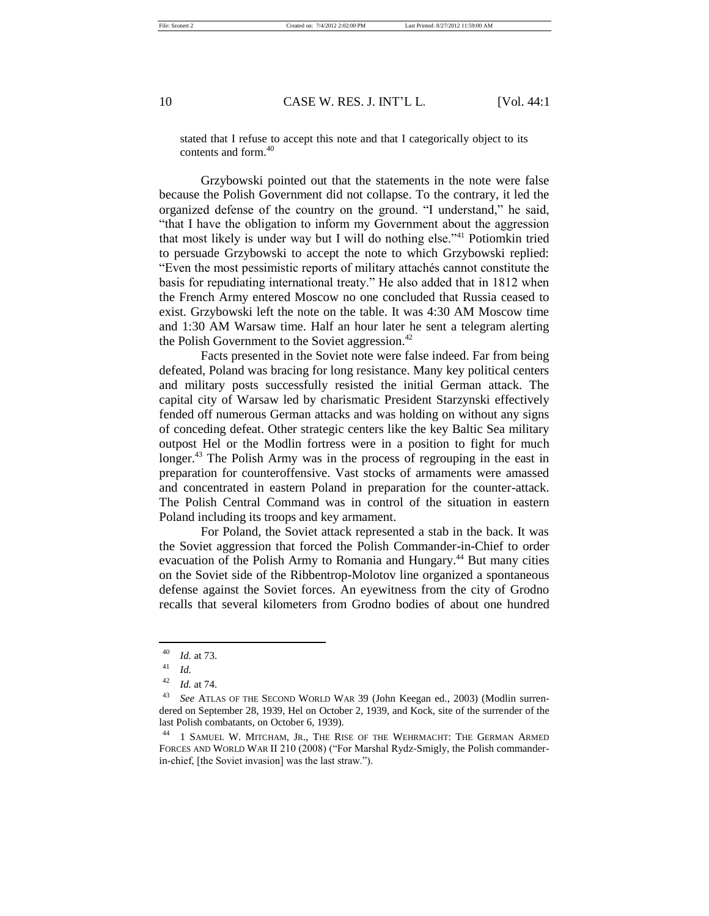stated that I refuse to accept this note and that I categorically object to its contents and form.<sup>40</sup>

Grzybowski pointed out that the statements in the note were false because the Polish Government did not collapse. To the contrary, it led the organized defense of the country on the ground. "I understand," he said, "that I have the obligation to inform my Government about the aggression that most likely is under way but I will do nothing else."<sup>41</sup> Potiomkin tried to persuade Grzybowski to accept the note to which Grzybowski replied: "Even the most pessimistic reports of military attachés cannot constitute the basis for repudiating international treaty." He also added that in 1812 when the French Army entered Moscow no one concluded that Russia ceased to exist. Grzybowski left the note on the table. It was 4:30 AM Moscow time and 1:30 AM Warsaw time. Half an hour later he sent a telegram alerting the Polish Government to the Soviet aggression.<sup>42</sup>

Facts presented in the Soviet note were false indeed. Far from being defeated, Poland was bracing for long resistance. Many key political centers and military posts successfully resisted the initial German attack. The capital city of Warsaw led by charismatic President Starzynski effectively fended off numerous German attacks and was holding on without any signs of conceding defeat. Other strategic centers like the key Baltic Sea military outpost Hel or the Modlin fortress were in a position to fight for much longer.<sup>43</sup> The Polish Army was in the process of regrouping in the east in preparation for counteroffensive. Vast stocks of armaments were amassed and concentrated in eastern Poland in preparation for the counter-attack. The Polish Central Command was in control of the situation in eastern Poland including its troops and key armament.

For Poland, the Soviet attack represented a stab in the back. It was the Soviet aggression that forced the Polish Commander-in-Chief to order evacuation of the Polish Army to Romania and Hungary.<sup>44</sup> But many cities on the Soviet side of the Ribbentrop-Molotov line organized a spontaneous defense against the Soviet forces. An eyewitness from the city of Grodno recalls that several kilometers from Grodno bodies of about one hundred

<sup>40</sup> *Id.* at 73.

<sup>41</sup> *Id.*

<sup>42</sup> *Id.* at 74.

<sup>43</sup> *See* ATLAS OF THE SECOND WORLD WAR 39 (John Keegan ed., 2003) (Modlin surrendered on September 28, 1939, Hel on October 2, 1939, and Kock, site of the surrender of the last Polish combatants, on October 6, 1939).

<sup>44</sup> 1 SAMUEL W. MITCHAM, JR., THE RISE OF THE WEHRMACHT: THE GERMAN ARMED FORCES AND WORLD WAR II 210 (2008) ("For Marshal Rydz-Smigly, the Polish commanderin-chief, [the Soviet invasion] was the last straw.").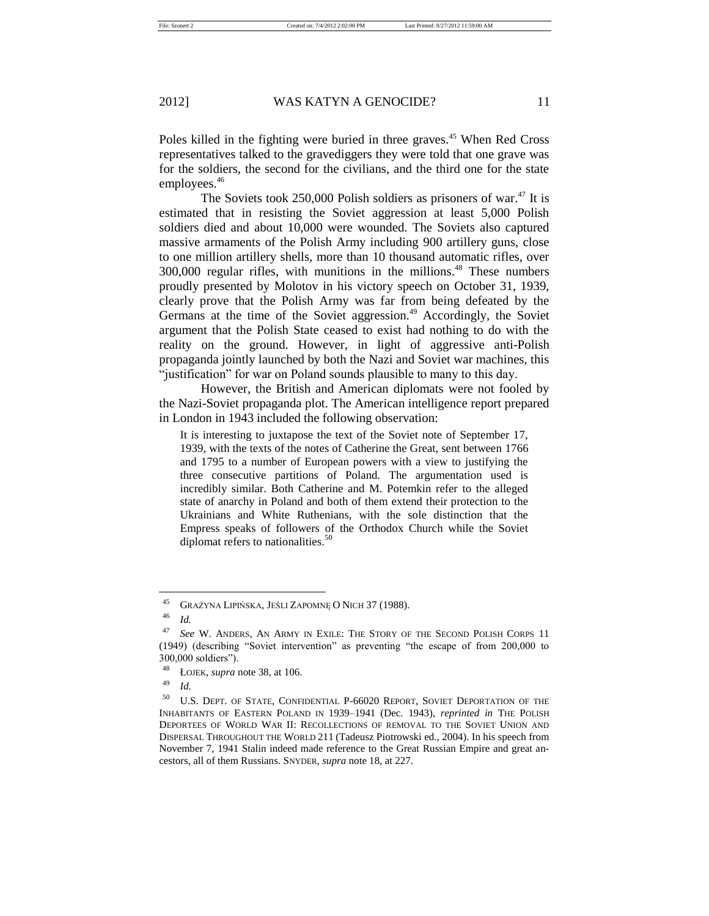File: Szonert 2 Created on: 7/4/2012 2:02:00 PM Last Printed: 8/27/2012 11:59:00 AM

#### 2012] WAS KATYN A GENOCIDE? 11

Poles killed in the fighting were buried in three graves.<sup>45</sup> When Red Cross representatives talked to the gravediggers they were told that one grave was for the soldiers, the second for the civilians, and the third one for the state employees.<sup>46</sup>

The Soviets took 250,000 Polish soldiers as prisoners of war.<sup>47</sup> It is estimated that in resisting the Soviet aggression at least 5,000 Polish soldiers died and about 10,000 were wounded. The Soviets also captured massive armaments of the Polish Army including 900 artillery guns, close to one million artillery shells, more than 10 thousand automatic rifles, over 300,000 regular rifles, with munitions in the millions.<sup>48</sup> These numbers proudly presented by Molotov in his victory speech on October 31, 1939, clearly prove that the Polish Army was far from being defeated by the Germans at the time of the Soviet aggression.<sup>49</sup> Accordingly, the Soviet argument that the Polish State ceased to exist had nothing to do with the reality on the ground. However, in light of aggressive anti-Polish propaganda jointly launched by both the Nazi and Soviet war machines, this "justification" for war on Poland sounds plausible to many to this day.

However, the British and American diplomats were not fooled by the Nazi-Soviet propaganda plot. The American intelligence report prepared in London in 1943 included the following observation:

It is interesting to juxtapose the text of the Soviet note of September 17, 1939, with the texts of the notes of Catherine the Great, sent between 1766 and 1795 to a number of European powers with a view to justifying the three consecutive partitions of Poland. The argumentation used is incredibly similar. Both Catherine and M. Potemkin refer to the alleged state of anarchy in Poland and both of them extend their protection to the Ukrainians and White Ruthenians, with the sole distinction that the Empress speaks of followers of the Orthodox Church while the Soviet diplomat refers to nationalities.<sup>50</sup>

<sup>45</sup> GRAŻYNA LIPIŃSKA, JEŚLI ZAPOMNĘ O NICH 37 (1988).

<sup>46</sup> *Id.*

<sup>47</sup> *See* W. ANDERS, AN ARMY IN EXILE: THE STORY OF THE SECOND POLISH CORPS 11 (1949) (describing "Soviet intervention" as preventing "the escape of from 200,000 to 300,000 soldiers").

<sup>48</sup> ŁOJEK, *supra* note 38, at 106.

<sup>49</sup> *Id.*

<sup>50</sup> U.S. DEPT. OF STATE, CONFIDENTIAL P-66020 REPORT, SOVIET DEPORTATION OF THE INHABITANTS OF EASTERN POLAND IN 1939–1941 (Dec. 1943), *reprinted in* THE POLISH DEPORTEES OF WORLD WAR II: RECOLLECTIONS OF REMOVAL TO THE SOVIET UNION AND DISPERSAL THROUGHOUT THE WORLD 211 (Tadeusz Piotrowski ed., 2004). In his speech from November 7, 1941 Stalin indeed made reference to the Great Russian Empire and great ancestors, all of them Russians. SNYDER, *supra* note 18, at 227.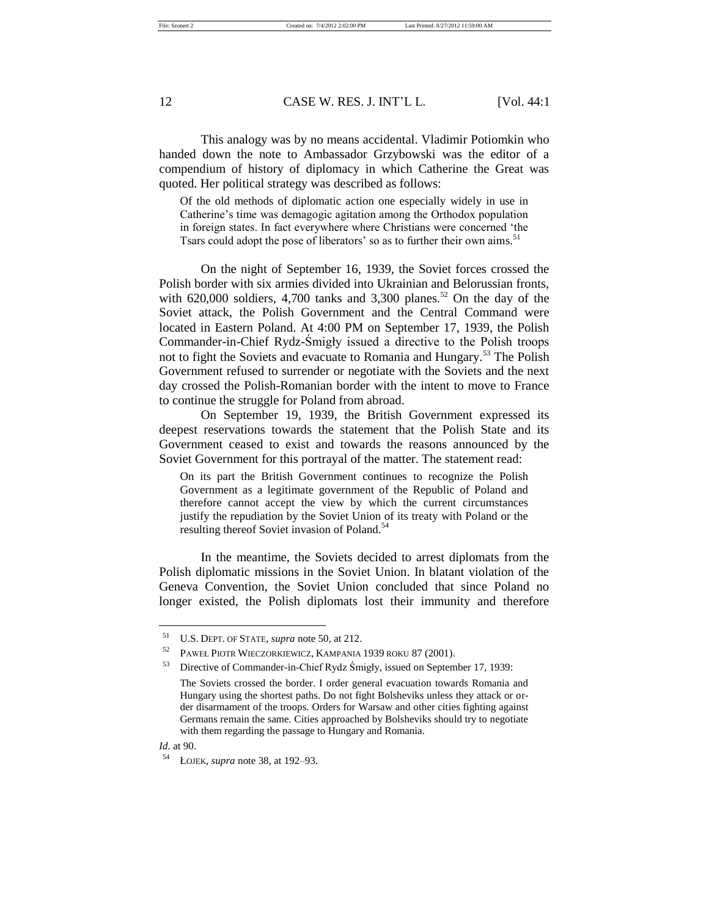File: Szonert 2 Created on: 7/4/2012 2:02:00 PM Last Printed: 8/27/2012 11:59:00 AM

## 12 CASE W. RES. J. INT'L L. [Vol. 44:1

This analogy was by no means accidental. Vladimir Potiomkin who handed down the note to Ambassador Grzybowski was the editor of a compendium of history of diplomacy in which Catherine the Great was quoted. Her political strategy was described as follows:

Of the old methods of diplomatic action one especially widely in use in Catherine's time was demagogic agitation among the Orthodox population in foreign states. In fact everywhere where Christians were concerned 'the Tsars could adopt the pose of liberators' so as to further their own aims.<sup>51</sup>

On the night of September 16, 1939, the Soviet forces crossed the Polish border with six armies divided into Ukrainian and Belorussian fronts, with 620,000 soldiers, 4,700 tanks and 3,300 planes.<sup>52</sup> On the day of the Soviet attack, the Polish Government and the Central Command were located in Eastern Poland. At 4:00 PM on September 17, 1939, the Polish Commander-in-Chief Rydz-Śmigły issued a directive to the Polish troops not to fight the Soviets and evacuate to Romania and Hungary.<sup>53</sup> The Polish Government refused to surrender or negotiate with the Soviets and the next day crossed the Polish-Romanian border with the intent to move to France to continue the struggle for Poland from abroad.

On September 19, 1939, the British Government expressed its deepest reservations towards the statement that the Polish State and its Government ceased to exist and towards the reasons announced by the Soviet Government for this portrayal of the matter. The statement read:

On its part the British Government continues to recognize the Polish Government as a legitimate government of the Republic of Poland and therefore cannot accept the view by which the current circumstances justify the repudiation by the Soviet Union of its treaty with Poland or the resulting thereof Soviet invasion of Poland.<sup>54</sup>

In the meantime, the Soviets decided to arrest diplomats from the Polish diplomatic missions in the Soviet Union. In blatant violation of the Geneva Convention, the Soviet Union concluded that since Poland no longer existed, the Polish diplomats lost their immunity and therefore

<sup>51</sup> U.S. DEPT. OF STATE, *supra* note 50, at 212.

<sup>52</sup> PAWEŁ PIOTR WIECZORKIEWICZ, KAMPANIA 1939 ROKU 87 (2001).

<sup>53</sup> Directive of Commander-in-Chief Rydz Śmigły, issued on September 17, 1939: The Soviets crossed the border. I order general evacuation towards Romania and Hungary using the shortest paths. Do not fight Bolsheviks unless they attack or order disarmament of the troops. Orders for Warsaw and other cities fighting against Germans remain the same. Cities approached by Bolsheviks should try to negotiate with them regarding the passage to Hungary and Romania.

*Id.* at 90.

<sup>54</sup> ŁOJEK, *supra* note 38, at 192–93.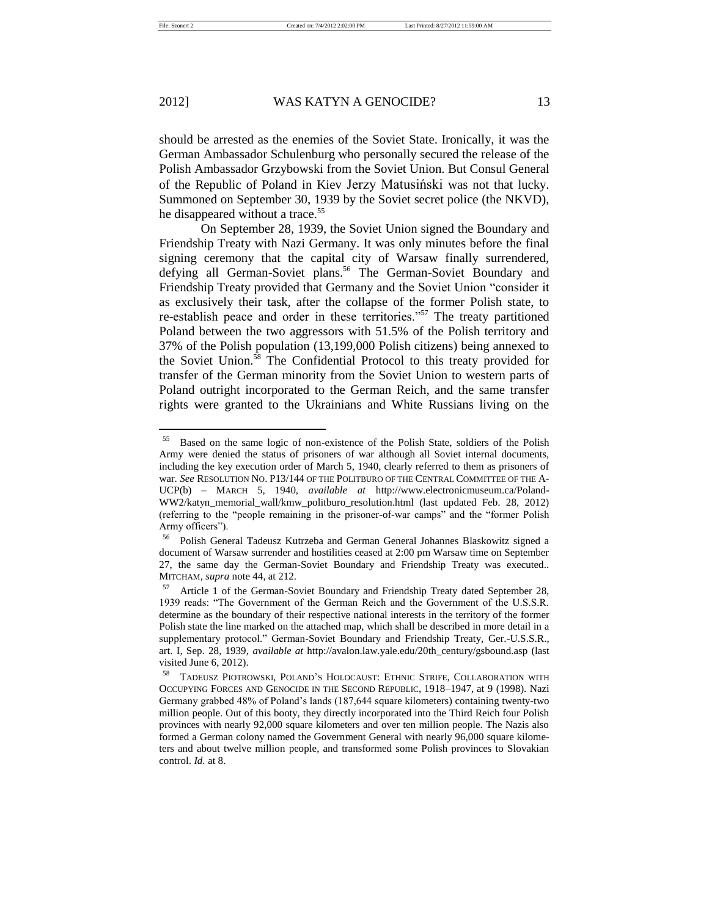should be arrested as the enemies of the Soviet State. Ironically, it was the German Ambassador Schulenburg who personally secured the release of the Polish Ambassador Grzybowski from the Soviet Union. But Consul General of the Republic of Poland in Kiev Jerzy Matusiński was not that lucky. Summoned on September 30, 1939 by the Soviet secret police (the NKVD), he disappeared without a trace.<sup>55</sup>

On September 28, 1939, the Soviet Union signed the Boundary and Friendship Treaty with Nazi Germany. It was only minutes before the final signing ceremony that the capital city of Warsaw finally surrendered, defying all German-Soviet plans.<sup>56</sup> The German-Soviet Boundary and Friendship Treaty provided that Germany and the Soviet Union "consider it as exclusively their task, after the collapse of the former Polish state, to re-establish peace and order in these territories."<sup>57</sup> The treaty partitioned Poland between the two aggressors with 51.5% of the Polish territory and 37% of the Polish population (13,199,000 Polish citizens) being annexed to the Soviet Union.<sup>58</sup> The Confidential Protocol to this treaty provided for transfer of the German minority from the Soviet Union to western parts of Poland outright incorporated to the German Reich, and the same transfer rights were granted to the Ukrainians and White Russians living on the

<sup>55</sup> Based on the same logic of non-existence of the Polish State, soldiers of the Polish Army were denied the status of prisoners of war although all Soviet internal documents, including the key execution order of March 5, 1940, clearly referred to them as prisoners of war. *See* RESOLUTION NO. P13/144 OF THE POLITBURO OF THE CENTRAL COMMITTEE OF THE A-UCP(b) – MARCH 5, 1940, *available at* http://www.electronicmuseum.ca/Poland-WW2/katyn\_memorial\_wall/kmw\_politburo\_resolution.html (last updated Feb. 28, 2012) (referring to the "people remaining in the prisoner-of-war camps" and the "former Polish Army officers").

<sup>56</sup> Polish General Tadeusz Kutrzeba and German General Johannes Blaskowitz signed a document of Warsaw surrender and hostilities ceased at 2:00 pm Warsaw time on September 27, the same day the German-Soviet Boundary and Friendship Treaty was executed.. MITCHAM, *supra* note 44, at 212.

<sup>57</sup> Article 1 of the German-Soviet Boundary and Friendship Treaty dated September 28, 1939 reads: "The Government of the German Reich and the Government of the U.S.S.R. determine as the boundary of their respective national interests in the territory of the former Polish state the line marked on the attached map, which shall be described in more detail in a supplementary protocol." German-Soviet Boundary and Friendship Treaty, Ger.-U.S.S.R., art. I, Sep. 28, 1939, *available at* http://avalon.law.yale.edu/20th\_century/gsbound.asp (last visited June 6, 2012).

<sup>58</sup> TADEUSZ PIOTROWSKI, POLAND'S HOLOCAUST: ETHNIC STRIFE, COLLABORATION WITH OCCUPYING FORCES AND GENOCIDE IN THE SECOND REPUBLIC, 1918–1947, at 9 (1998). Nazi Germany grabbed 48% of Poland's lands (187,644 square kilometers) containing twenty-two million people. Out of this booty, they directly incorporated into the Third Reich four Polish provinces with nearly 92,000 square kilometers and over ten million people. The Nazis also formed a German colony named the Government General with nearly 96,000 square kilometers and about twelve million people, and transformed some Polish provinces to Slovakian control. *Id.* at 8.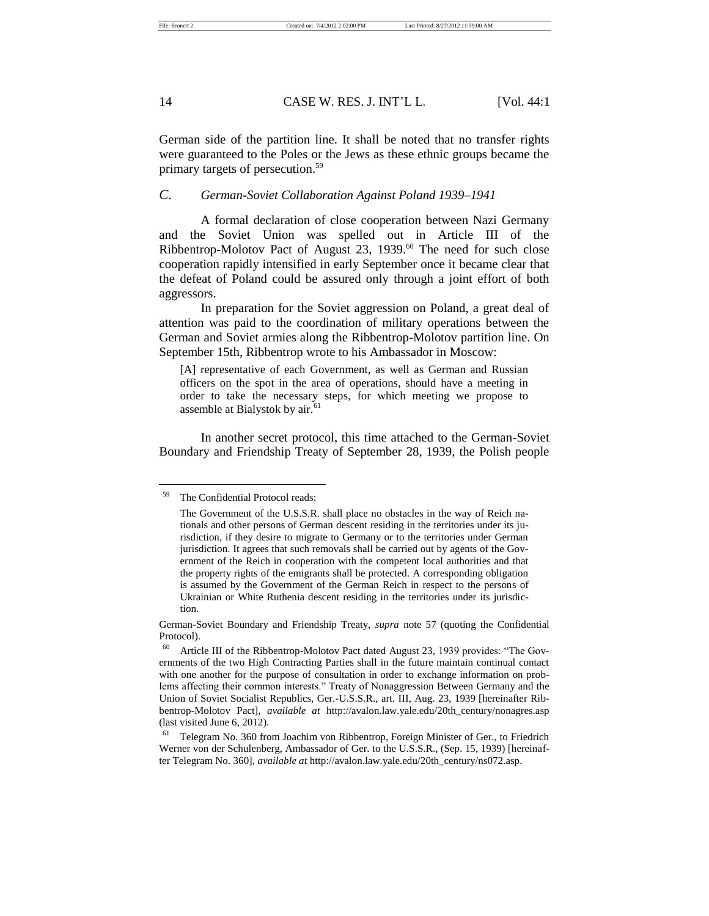German side of the partition line. It shall be noted that no transfer rights were guaranteed to the Poles or the Jews as these ethnic groups became the primary targets of persecution.<sup>59</sup>

## *C. German-Soviet Collaboration Against Poland 1939–1941*

A formal declaration of close cooperation between Nazi Germany and the Soviet Union was spelled out in Article III of the Ribbentrop-Molotov Pact of August 23, 1939.<sup>60</sup> The need for such close cooperation rapidly intensified in early September once it became clear that the defeat of Poland could be assured only through a joint effort of both aggressors.

In preparation for the Soviet aggression on Poland, a great deal of attention was paid to the coordination of military operations between the German and Soviet armies along the Ribbentrop-Molotov partition line. On September 15th, Ribbentrop wrote to his Ambassador in Moscow:

[A] representative of each Government, as well as German and Russian officers on the spot in the area of operations, should have a meeting in order to take the necessary steps, for which meeting we propose to assemble at Bialystok by air.<sup>61</sup>

In another secret protocol, this time attached to the German-Soviet Boundary and Friendship Treaty of September 28, 1939, the Polish people

The Confidential Protocol reads:

The Government of the U.S.S.R. shall place no obstacles in the way of Reich nationals and other persons of German descent residing in the territories under its jurisdiction, if they desire to migrate to Germany or to the territories under German jurisdiction. It agrees that such removals shall be carried out by agents of the Government of the Reich in cooperation with the competent local authorities and that the property rights of the emigrants shall be protected. A corresponding obligation is assumed by the Government of the German Reich in respect to the persons of Ukrainian or White Ruthenia descent residing in the territories under its jurisdiction.

German-Soviet Boundary and Friendship Treaty, *supra* note 57 (quoting the Confidential Protocol).

 $60$  Article III of the Ribbentrop-Molotov Pact dated August 23, 1939 provides: "The Governments of the two High Contracting Parties shall in the future maintain continual contact with one another for the purpose of consultation in order to exchange information on problems affecting their common interests." Treaty of Nonaggression Between Germany and the Union of Soviet Socialist Republics, Ger.-U.S.S.R., art. III, Aug. 23, 1939 [hereinafter Ribbentrop-Molotov Pact], *available at* http://avalon.law.yale.edu/20th\_century/nonagres.asp (last visited June 6, 2012).

 $61$  Telegram No. 360 from Joachim von Ribbentrop, Foreign Minister of Ger., to Friedrich Werner von der Schulenberg, Ambassador of Ger. to the U.S.S.R., (Sep. 15, 1939) [hereinafter Telegram No. 360], *available at* http://avalon.law.yale.edu/20th\_century/ns072.asp.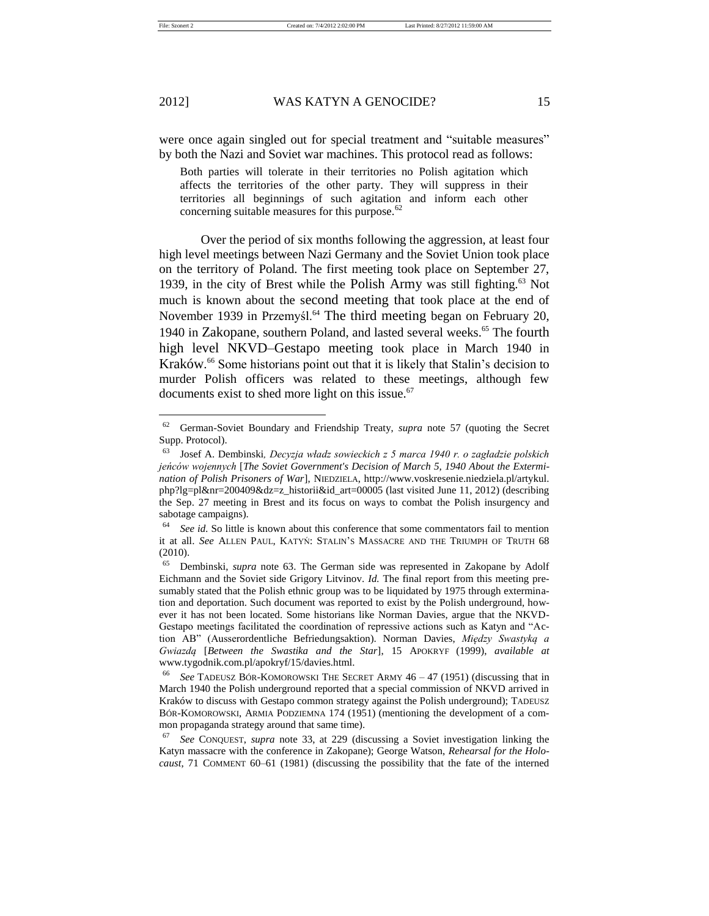were once again singled out for special treatment and "suitable measures" by both the Nazi and Soviet war machines. This protocol read as follows:

Both parties will tolerate in their territories no Polish agitation which affects the territories of the other party. They will suppress in their territories all beginnings of such agitation and inform each other concerning suitable measures for this purpose.<sup>62</sup>

Over the period of six months following the aggression, at least four high level meetings between Nazi Germany and the Soviet Union took place on the territory of Poland. The first meeting took place on September 27, 1939, in the city of Brest while the Polish Army was still fighting.<sup>63</sup> Not much is known about the second meeting that took place at the end of November 1939 in Przemyśl.<sup>64</sup> The third meeting began on February 20, 1940 in Zakopane, southern Poland, and lasted several weeks.<sup>65</sup> The fourth high level NKVD–Gestapo meeting took place in March 1940 in Kraków. <sup>66</sup> Some historians point out that it is likely that Stalin's decision to murder Polish officers was related to these meetings, although few documents exist to shed more light on this issue.<sup>67</sup>

<sup>62</sup> German-Soviet Boundary and Friendship Treaty, *supra* note 57 (quoting the Secret Supp. Protocol).

<sup>63</sup> Josef A. Dembinski*, Decyzja władz sowieckich z 5 marca 1940 r. o zagładzie polskich jeńców wojennych* [*The Soviet Government's Decision of March 5, 1940 About the Extermination of Polish Prisoners of War*], NIEDZIELA, http://www.voskresenie.niedziela.pl/artykul. php?lg=pl&nr=200409&dz=z\_historii&id\_art=00005 (last visited June 11, 2012) (describing the Sep. 27 meeting in Brest and its focus on ways to combat the Polish insurgency and sabotage campaigns).

<sup>&</sup>lt;sup>64</sup> *See id.* So little is known about this conference that some commentators fail to mention it at all. *See* ALLEN PAUL, KATYŃ: STALIN'S MASSACRE AND THE TRIUMPH OF TRUTH 68 (2010).

<sup>65</sup> Dembinski, *supra* note 63. The German side was represented in Zakopane by Adolf Eichmann and the Soviet side Grigory Litvinov. *Id.* The final report from this meeting presumably stated that the Polish ethnic group was to be liquidated by 1975 through extermination and deportation. Such document was reported to exist by the Polish underground, however it has not been located. Some historians like Norman Davies, argue that the NKVD-Gestapo meetings facilitated the coordination of repressive actions such as Katyn and "Action AB" (Ausserordentliche Befriedungsaktion). Norman Davies, *Między Swastyką a Gwiazdą* [*Between the Swastika and the Star*], 15 APOKRYF (1999), *available at*  www.tygodnik.com.pl/apokryf/15/davies.html.

<sup>66</sup> *See* TADEUSZ BÓR-KOMOROWSKI THE SECRET ARMY 46 – 47 (1951) (discussing that in March 1940 the Polish underground reported that a special commission of NKVD arrived in Kraków to discuss with Gestapo common strategy against the Polish underground); TADEUSZ BÓR-KOMOROWSKI, ARMIA PODZIEMNA 174 (1951) (mentioning the development of a common propaganda strategy around that same time).

<sup>67</sup> *See* CONQUEST, *supra* note 33, at 229 (discussing a Soviet investigation linking the Katyn massacre with the conference in Zakopane); George Watson, *Rehearsal for the Holocaust*, 71 COMMENT 60–61 (1981) (discussing the possibility that the fate of the interned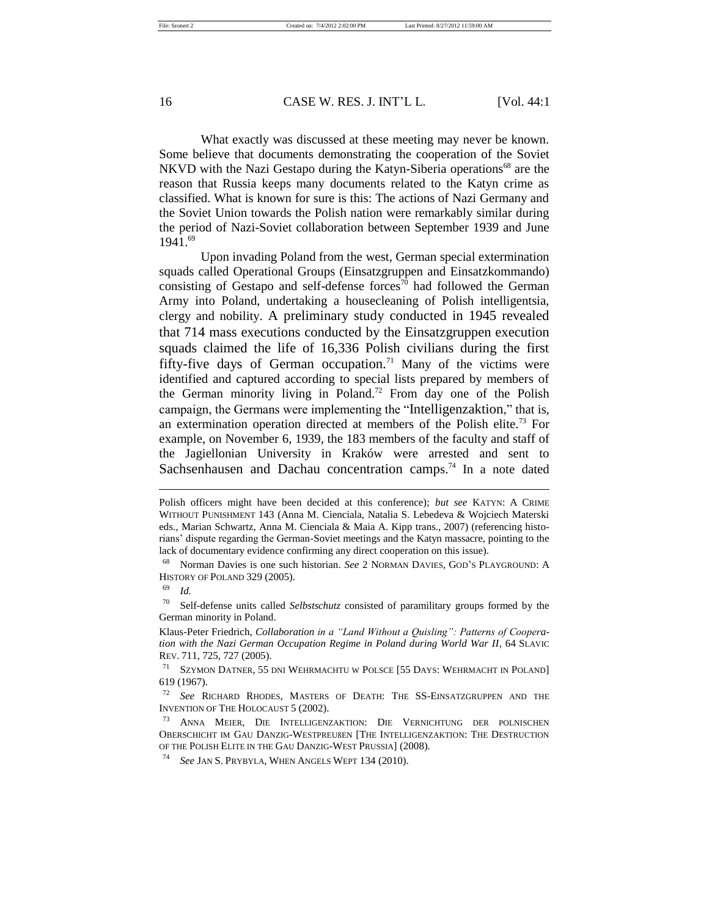What exactly was discussed at these meeting may never be known. Some believe that documents demonstrating the cooperation of the Soviet NKVD with the Nazi Gestapo during the Katyn-Siberia operations<sup>68</sup> are the reason that Russia keeps many documents related to the Katyn crime as classified. What is known for sure is this: The actions of Nazi Germany and the Soviet Union towards the Polish nation were remarkably similar during the period of Nazi-Soviet collaboration between September 1939 and June  $1941.69$ 

Upon invading Poland from the west, German special extermination squads called Operational Groups (Einsatzgruppen and Einsatzkommando) consisting of Gestapo and self-defense forces<sup>70</sup> had followed the German Army into Poland, undertaking a housecleaning of Polish intelligentsia, clergy and nobility. A preliminary study conducted in 1945 revealed that 714 mass executions conducted by the Einsatzgruppen execution squads claimed the life of 16,336 Polish civilians during the first fifty-five days of German occupation.<sup>71</sup> Many of the victims were identified and captured according to special lists prepared by members of the German minority living in Poland.<sup>72</sup> From day one of the Polish campaign, the Germans were implementing the "Intelligenzaktion," that is, an extermination operation directed at members of the Polish elite.<sup>73</sup> For example, on November 6, 1939, the 183 members of the faculty and staff of the Jagiellonian University in Kraków were arrested and sent to Sachsenhausen and [Dachau](http://en.wikipedia.org/wiki/Dachau_concentration_camp) concentration camps.<sup>74</sup> In a note dated

16 CASE W. RES. J. INT'L L. [Vol. 44:1

Polish officers might have been decided at this conference); *but see* KATYN: A CRIME WITHOUT PUNISHMENT 143 (Anna M. Cienciala, Natalia S. Lebedeva & Wojciech Materski eds., Marian Schwartz, Anna M. Cienciala & Maia A. Kipp trans., 2007) (referencing historians' dispute regarding the German-Soviet meetings and the Katyn massacre, pointing to the lack of documentary evidence confirming any direct cooperation on this issue).

<sup>68</sup> Norman Davies is one such historian. *See* 2 NORMAN DAVIES, GOD'S PLAYGROUND: A HISTORY OF POLAND 329 (2005).

<sup>69</sup> *Id.*

<sup>70</sup> Self-defense units called *Selbstschutz* consisted of paramilitary groups formed by the German minority in Poland.

Klaus-Peter Friedrich, *Collaboration in a "Land Without a Quisling": Patterns of Cooperation with the Nazi German Occupation Regime in Poland during World War II*, 64 SLAVIC REV. 711, 725, 727 (2005).

<sup>71</sup> SZYMON DATNER, 55 DNI WEHRMACHTU W POLSCE [55 DAYS: WEHRMACHT IN POLAND] 619 (1967).

<sup>72</sup> *See* RICHARD RHODES, MASTERS OF DEATH: THE SS-EINSATZGRUPPEN AND THE INVENTION OF THE HOLOCAUST 5 (2002).

<sup>73</sup> ANNA MEIER, DIE INTELLIGENZAKTION: DIE VERNICHTUNG DER POLNISCHEN OBERSCHICHT IM GAU DANZIG-WESTPREUßEN [THE INTELLIGENZAKTION: THE DESTRUCTION OF THE POLISH ELITE IN THE GAU DANZIG-WEST PRUSSIA] (2008).

<sup>74</sup> *See* JAN S. PRYBYLA, WHEN ANGELS WEPT 134 (2010).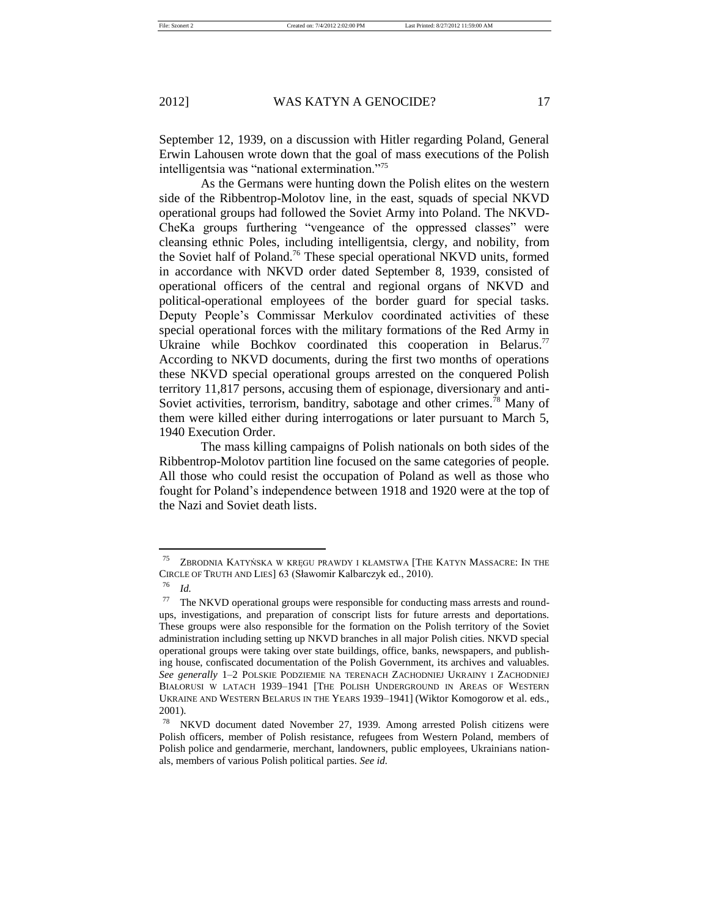September 12, 1939, on a discussion with Hitler regarding Poland, General Erwin Lahousen wrote down that the goal of mass executions of the Polish intelligentsia was "national extermination."<sup>75</sup>

As the Germans were hunting down the Polish elites on the western side of the Ribbentrop-Molotov line, in the east, squads of special NKVD operational groups had followed the Soviet Army into Poland. The NKVD-CheKa groups furthering "vengeance of the oppressed classes" were cleansing ethnic Poles, including intelligentsia, clergy, and nobility, from the Soviet half of Poland.<sup>76</sup> These special operational NKVD units, formed in accordance with NKVD order dated September 8, 1939, consisted of operational officers of the central and regional organs of NKVD and political-operational employees of the border guard for special tasks. Deputy People's Commissar Merkulov coordinated activities of these special operational forces with the military formations of the Red Army in Ukraine while Bochkov coordinated this cooperation in Belarus.<sup>77</sup> According to NKVD documents, during the first two months of operations these NKVD special operational groups arrested on the conquered Polish territory 11,817 persons, accusing them of espionage, diversionary and anti-Soviet activities, terrorism, banditry, sabotage and other crimes.<sup>78</sup> Many of them were killed either during interrogations or later pursuant to March 5, 1940 Execution Order.

The mass killing campaigns of Polish nationals on both sides of the Ribbentrop-Molotov partition line focused on the same categories of people. All those who could resist the occupation of Poland as well as those who fought for Poland's independence between 1918 and 1920 were at the top of the Nazi and Soviet death lists.

<sup>75</sup> ZBRODNIA KATYŃSKA W KRĘGU PRAWDY I KŁAMSTWA [THE KATYN MASSACRE: IN THE CIRCLE OF TRUTH AND LIES] 63 (Sławomir Kalbarczyk ed., 2010).

<sup>76</sup> *Id.*

 $77$  The NKVD operational groups were responsible for conducting mass arrests and roundups, investigations, and preparation of conscript lists for future arrests and deportations. These groups were also responsible for the formation on the Polish territory of the Soviet administration including setting up NKVD branches in all major Polish cities. NKVD special operational groups were taking over state buildings, office, banks, newspapers, and publishing house, confiscated documentation of the Polish Government, its archives and valuables. *See generally* 1–2 POLSKIE PODZIEMIE NA TERENACH ZACHODNIEJ UKRAINY I ZACHODNIEJ BIAŁORUSI W LATACH 1939–1941 [THE POLISH UNDERGROUND IN AREAS OF WESTERN UKRAINE AND WESTERN BELARUS IN THE YEARS 1939–1941] (Wiktor Komogorow et al. eds., 2001).

<sup>78</sup> NKVD document dated November 27, 1939. Among arrested Polish citizens were Polish officers, member of Polish resistance, refugees from Western Poland, members of Polish police and gendarmerie, merchant, landowners, public employees, Ukrainians nationals, members of various Polish political parties. *See id.*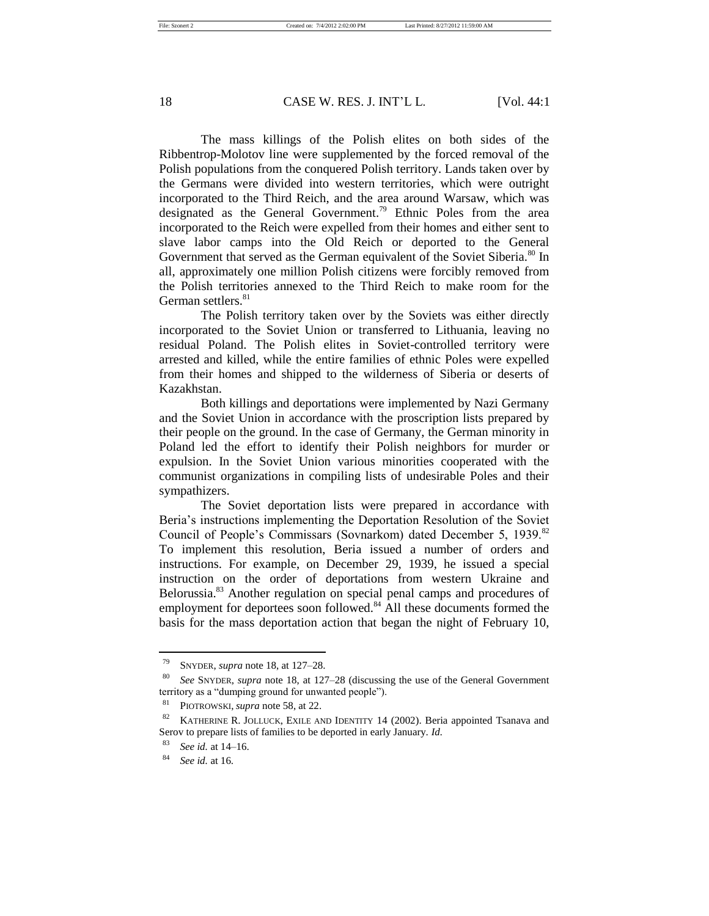The mass killings of the Polish elites on both sides of the Ribbentrop-Molotov line were supplemented by the forced removal of the Polish populations from the conquered Polish territory. Lands taken over by the Germans were divided into western territories, which were outright incorporated to the Third Reich, and the area around Warsaw, which was designated as the General Government.<sup>79</sup> Ethnic Poles from the area incorporated to the Reich were expelled from their homes and either sent to slave labor camps into the Old Reich or deported to the General Government that served as the German equivalent of the Soviet Siberia.<sup>80</sup> In all, approximately one million Polish citizens were forcibly removed from the Polish territories annexed to the Third Reich to make room for the German settlers.<sup>81</sup>

The Polish territory taken over by the Soviets was either directly incorporated to the Soviet Union or transferred to Lithuania, leaving no residual Poland. The Polish elites in Soviet-controlled territory were arrested and killed, while the entire families of ethnic Poles were expelled from their homes and shipped to the wilderness of Siberia or deserts of Kazakhstan.

Both killings and deportations were implemented by Nazi Germany and the Soviet Union in accordance with the proscription lists prepared by their people on the ground. In the case of Germany, the German minority in Poland led the effort to identify their Polish neighbors for murder or expulsion. In the Soviet Union various minorities cooperated with the communist organizations in compiling lists of undesirable Poles and their sympathizers.

The Soviet deportation lists were prepared in accordance with Beria's instructions implementing the Deportation Resolution of the Soviet Council of People's Commissars (Sovnarkom) dated December 5, 1939.<sup>82</sup> To implement this resolution, Beria issued a number of orders and instructions. For example, on December 29, 1939, he issued a special instruction on the order of deportations from western Ukraine and Belorussia.<sup>83</sup> Another regulation on special penal camps and procedures of employment for deportees soon followed.<sup>84</sup> All these documents formed the basis for the mass deportation action that began the night of February 10,

<sup>79</sup> SNYDER, *supra* note 18, at 127–28.

<sup>80</sup> *See* SNYDER, *supra* note 18, at 127–28 (discussing the use of the General Government territory as a "dumping ground for unwanted people").

<sup>81</sup> PIOTROWSKI, *supra* note 58, at 22.

<sup>82</sup> KATHERINE R. JOLLUCK, EXILE AND IDENTITY 14 (2002). Beria appointed Tsanava and Serov to prepare lists of families to be deported in early January. *Id.*

<sup>83</sup> *See id.* at 14–16.

<sup>84</sup> *See id.* at 16.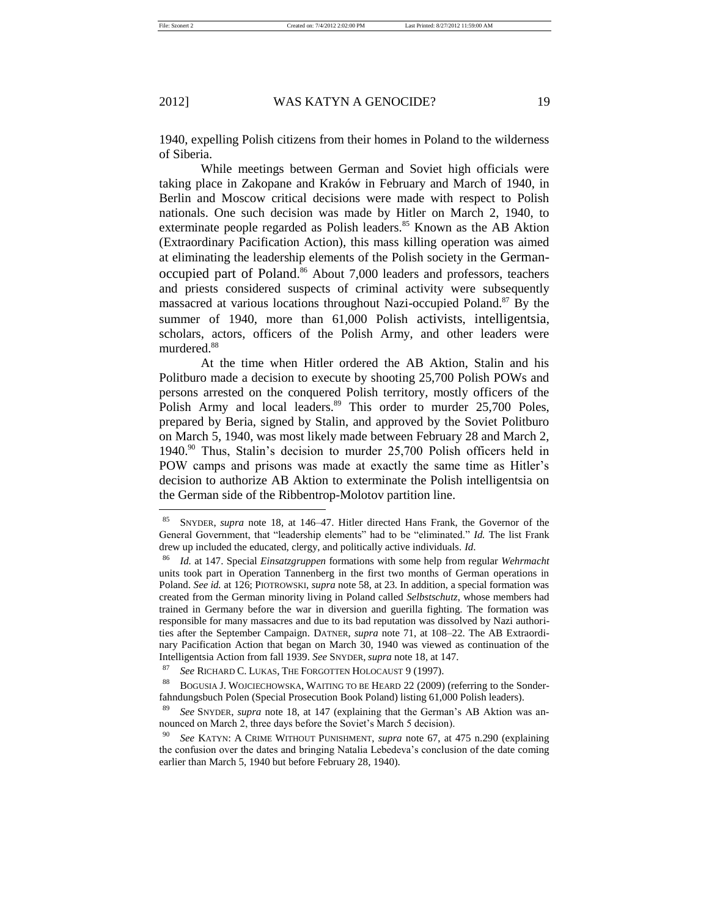1940, expelling Polish citizens from their homes in Poland to the wilderness of Siberia.

While meetings between German and Soviet high officials were taking place in Zakopane and Kraków in February and March of 1940, in Berlin and Moscow critical decisions were made with respect to Polish nationals. One such decision was made by Hitler on March 2, 1940, to exterminate people regarded as Polish leaders.<sup>85</sup> Known as the AB Aktion (Extraordinary Pacification Action), this mass killing operation was aimed at eliminating the leadership elements of the Polish society in the Germanoccupied part of Poland. <sup>86</sup> About 7,000 leaders and professors, teachers and priests considered suspects of criminal activity were subsequently massacred at various locations throughout Nazi-occupied Poland.<sup>87</sup> By the summer of 1940, more than 61,000 Polish activists, intelligentsia, scholars, actors, officers of the Polish Army, and other leaders were murdered.<sup>88</sup>

At the time when Hitler ordered the AB Aktion, Stalin and his Politburo made a decision to execute by shooting 25,700 Polish POWs and persons arrested on the conquered Polish territory, mostly officers of the Polish Army and local leaders.<sup>89</sup> This order to murder 25,700 Poles, prepared by Beria, signed by Stalin, and approved by the Soviet Politburo on March 5, 1940, was most likely made between February 28 and March 2, 1940.<sup>90</sup> Thus, Stalin's decision to murder 25,700 Polish officers held in POW camps and prisons was made at exactly the same time as Hitler's decision to authorize AB Aktion to exterminate the Polish intelligentsia on the German side of the Ribbentrop-Molotov partition line.

<sup>85</sup> SNYDER, *supra* note 18, at 146–47. Hitler directed Hans Frank, the Governor of the General Government, that "leadership elements" had to be "eliminated." *Id.* The list Frank drew up included the educated, clergy, and politically active individuals. *Id*.

<sup>86</sup> *Id.* at 147. Special *Einsatzgruppen* formations with some help from regular *Wehrmacht* units took part in Operation Tannenberg in the first two months of German operations in Poland. *See id.* at 126; PIOTROWSKI, *supra* note 58, at 23. In addition, a special formation was created from the German minority living in Poland called *Selbstschutz*, whose members had trained in Germany before the war in diversion and guerilla fighting. The formation was responsible for many massacres and due to its bad reputation was dissolved by Nazi authorities after the September Campaign. DATNER, *supra* note 71, at 108–22. The AB Extraordinary Pacification Action that began on March 30, 1940 was viewed as continuation of the Intelligentsia Action from fall 1939. *See* SNYDER, *supra* note 18*,* at 147.

<sup>87</sup> *See* RICHARD C. LUKAS, THE FORGOTTEN HOLOCAUST 9 (1997).

<sup>88</sup> BOGUSIA J. WOJCIECHOWSKA, WAITING TO BE HEARD 22 (2009) (referring to the Sonderfahndungsbuch Polen (Special Prosecution Book Poland) listing 61,000 Polish leaders).

<sup>89</sup> *See* SNYDER, *supra* note 18, at 147 (explaining that the German's AB Aktion was announced on March 2, three days before the Soviet's March 5 decision).

<sup>90</sup> *See* KATYN: A CRIME WITHOUT PUNISHMENT, *supra* note 67, at 475 n.290 (explaining the confusion over the dates and bringing Natalia Lebedeva's conclusion of the date coming earlier than March 5, 1940 but before February 28, 1940).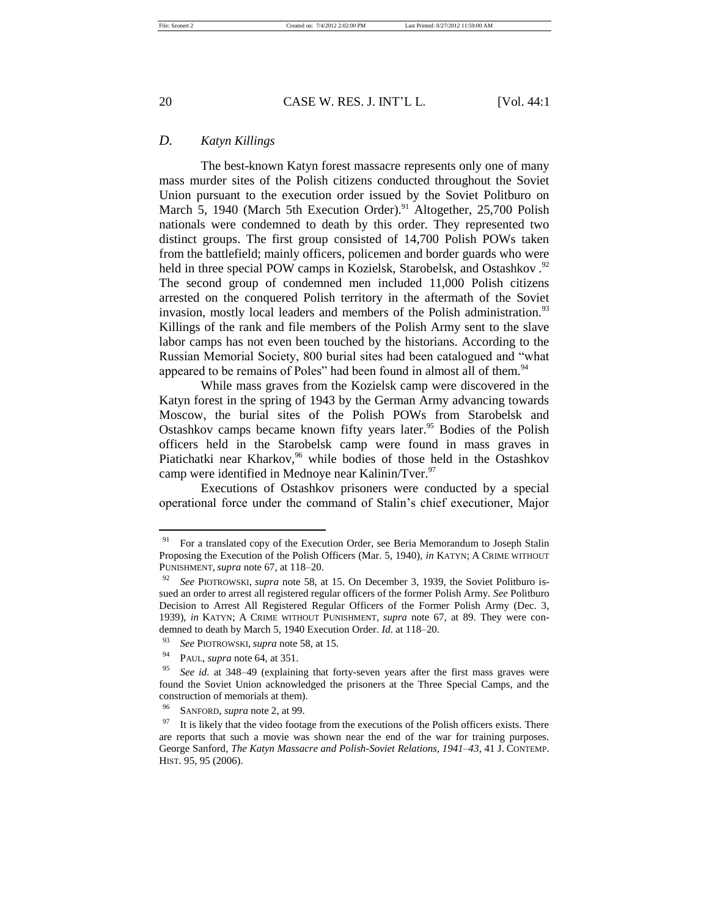## *D. Katyn Killings*

The best-known Katyn forest massacre represents only one of many mass murder sites of the Polish citizens conducted throughout the Soviet Union pursuant to the execution order issued by the Soviet Politburo on March 5, 1940 (March 5th Execution Order).<sup>91</sup> Altogether, 25,700 Polish nationals were condemned to death by this order. They represented two distinct groups. The first group consisted of 14,700 Polish POWs taken from the battlefield; mainly officers, policemen and border guards who were held in three special POW camps in Kozielsk, Starobelsk, and Ostashkov.<sup>92</sup> The second group of condemned men included 11,000 Polish citizens arrested on the conquered Polish territory in the aftermath of the Soviet invasion, mostly local leaders and members of the Polish administration.<sup>93</sup> Killings of the rank and file members of the Polish Army sent to the slave labor camps has not even been touched by the historians. According to the Russian Memorial Society, 800 burial sites had been catalogued and "what appeared to be remains of Poles" had been found in almost all of them.<sup>94</sup>

While mass graves from the Kozielsk camp were discovered in the Katyn forest in the spring of 1943 by the German Army advancing towards Moscow, the burial sites of the Polish POWs from Starobelsk and Ostashkov camps became known fifty years later.<sup>95</sup> Bodies of the Polish officers held in the Starobelsk camp were found in mass graves in Piatichatki near Kharkov,<sup>96</sup> while bodies of those held in the Ostashkov camp were identified in Mednoye near Kalinin/Tver.<sup>97</sup>

Executions of Ostashkov prisoners were conducted by a special operational force under the command of Stalin's chief executioner, Major

 $91$  For a translated copy of the Execution Order, see Beria Memorandum to Joseph Stalin Proposing the Execution of the Polish Officers (Mar. 5, 1940), *in* KATYN; A CRIME WITHOUT PUNISHMENT, *supra* note 67, at 118–20.

<sup>92</sup> *See* PIOTROWSKI, *supra* note 58, at 15. On December 3, 1939, the Soviet Politburo issued an order to arrest all registered regular officers of the former Polish Army. *See* Politburo Decision to Arrest All Registered Regular Officers of the Former Polish Army (Dec. 3, 1939), *in* KATYN; A CRIME WITHOUT PUNISHMENT, *supra* note 67, at 89. They were condemned to death by March 5, 1940 Execution Order. *Id*. at 118–20.

<sup>93</sup> *See* PIOTROWSKI*, supra* note 58, at 15.

PAUL, *supra* note 64, at 351.

<sup>95</sup> *See id.* at 348–49 (explaining that forty-seven years after the first mass graves were found the Soviet Union acknowledged the prisoners at the Three Special Camps, and the construction of memorials at them).

SANFORD, *supra* note 2, at 99.

 $97$  It is likely that the video footage from the executions of the Polish officers exists. There are reports that such a movie was shown near the end of the war for training purposes. George Sanford, *The Katyn Massacre and Polish-Soviet Relations, 1941–43*, 41 J. CONTEMP. HIST. 95, 95 (2006).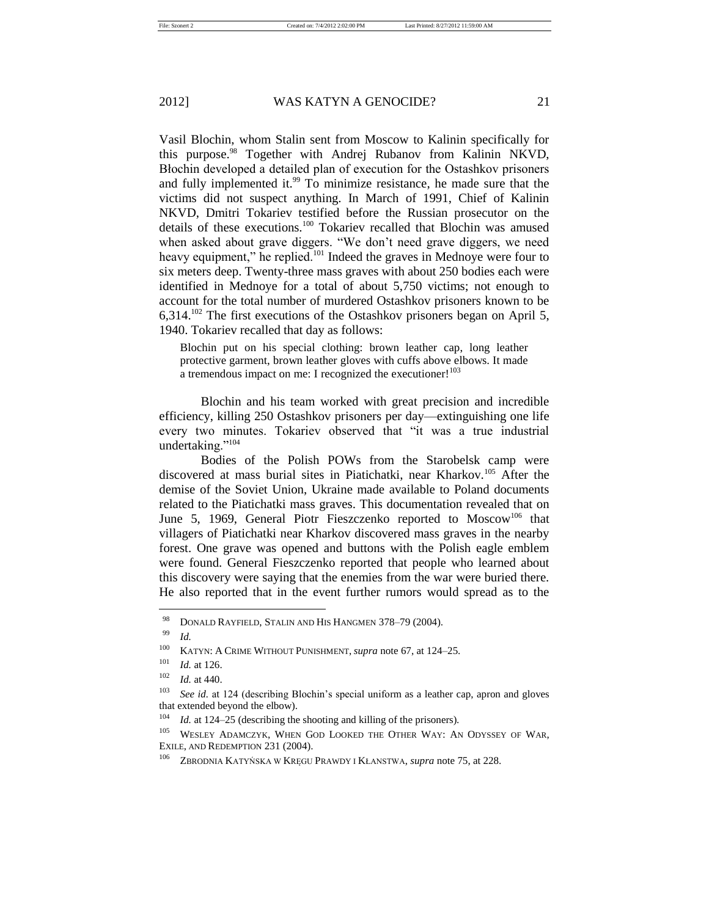Vasil Blochin, whom Stalin sent from Moscow to Kalinin specifically for this purpose.<sup>98</sup> Together with Andrej Rubanov from Kalinin NKVD, Błochin developed a detailed plan of execution for the Ostashkov prisoners and fully implemented it.<sup>99</sup> To minimize resistance, he made sure that the victims did not suspect anything. In March of 1991, Chief of Kalinin NKVD, Dmitri Tokariev testified before the Russian prosecutor on the details of these executions.<sup>100</sup> Tokariev recalled that Blochin was amused when asked about grave diggers. "We don't need grave diggers, we need heavy equipment," he replied.<sup>101</sup> Indeed the graves in Mednoye were four to six meters deep. Twenty-three mass graves with about 250 bodies each were identified in Mednoye for a total of about 5,750 victims; not enough to account for the total number of murdered Ostashkov prisoners known to be 6,314.<sup>102</sup> The first executions of the Ostashkov prisoners began on April 5, 1940. Tokariev recalled that day as follows:

Blochin put on his special clothing: brown leather cap, long leather protective garment, brown leather gloves with cuffs above elbows. It made a tremendous impact on me: I recognized the executioner!<sup>103</sup>

Blochin and his team worked with great precision and incredible efficiency, killing 250 Ostashkov prisoners per day—extinguishing one life every two minutes. Tokariev observed that "it was a true industrial undertaking."<sup>104</sup>

Bodies of the Polish POWs from the Starobelsk camp were discovered at mass burial sites in Piatichatki, near Kharkov.<sup>105</sup> After the demise of the Soviet Union, Ukraine made available to Poland documents related to the Piatichatki mass graves. This documentation revealed that on June 5, 1969, General Piotr Fieszczenko reported to Moscow<sup>106</sup> that villagers of Piatichatki near Kharkov discovered mass graves in the nearby forest. One grave was opened and buttons with the Polish eagle emblem were found. General Fieszczenko reported that people who learned about this discovery were saying that the enemies from the war were buried there. He also reported that in the event further rumors would spread as to the

<sup>98</sup> DONALD RAYFIELD, STALIN AND HIS HANGMEN 378–79 (2004).

 $\frac{99}{100}$  *Id.* 

<sup>100</sup> KATYN: A CRIME WITHOUT PUNISHMENT, *supra* note 67, at 124–25.

<sup>101</sup> *Id.* at 126.

<sup>102</sup> *Id.* at 440.

<sup>&</sup>lt;sup>103</sup> *See id.* at 124 (describing Blochin's special uniform as a leather cap, apron and gloves that extended beyond the elbow).

<sup>&</sup>lt;sup>104</sup> *Id.* at 124–25 (describing the shooting and killing of the prisoners).

<sup>105</sup> WESLEY ADAMCZYK, WHEN GOD LOOKED THE OTHER WAY: AN ODYSSEY OF WAR, EXILE, AND REDEMPTION 231 (2004).

<sup>106</sup> ZBRODNIA KATYŃSKA W KRĘGU PRAWDY I KŁANSTWA, *supra* note 75, at 228.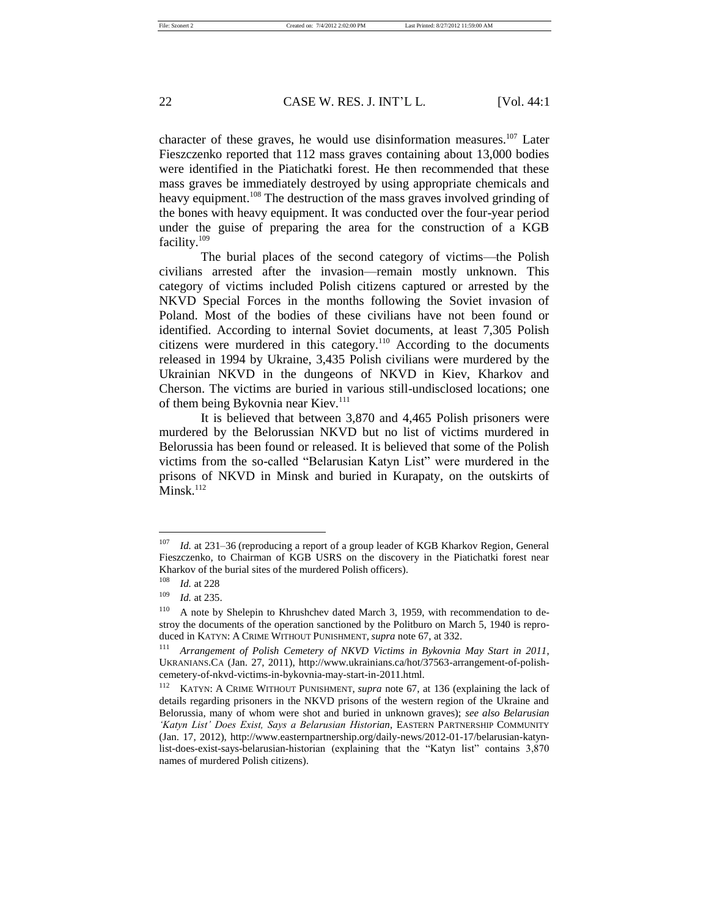character of these graves, he would use disinformation measures.<sup>107</sup> Later Fieszczenko reported that 112 mass graves containing about 13,000 bodies were identified in the Piatichatki forest. He then recommended that these mass graves be immediately destroyed by using appropriate chemicals and heavy equipment.<sup>108</sup> The destruction of the mass graves involved grinding of the bones with heavy equipment. It was conducted over the four-year period under the guise of preparing the area for the construction of a KGB facility.<sup>109</sup>

The burial places of the second category of victims—the Polish civilians arrested after the invasion—remain mostly unknown. This category of victims included Polish citizens captured or arrested by the NKVD Special Forces in the months following the Soviet invasion of Poland. Most of the bodies of these civilians have not been found or identified. According to internal Soviet documents, at least 7,305 Polish citizens were murdered in this category.<sup>110</sup> According to the documents released in 1994 by Ukraine, 3,435 Polish civilians were murdered by the Ukrainian NKVD in the dungeons of NKVD in Kiev, Kharkov and Cherson. The victims are buried in various still-undisclosed locations; one of them being Bykovnia near Kiev.<sup>111</sup>

It is believed that between 3,870 and 4,465 Polish prisoners were murdered by the Belorussian NKVD but no list of victims murdered in Belorussia has been found or released. It is believed that some of the Polish victims from the so-called "Belarusian Katyn List" were murdered in the prisons of NKVD in Minsk and buried in Kurapaty, on the outskirts of Minsk.<sup>112</sup>

<sup>107</sup> *Id.* at 231–36 (reproducing a report of a group leader of KGB Kharkov Region, General Fieszczenko, to Chairman of KGB USRS on the discovery in the Piatichatki forest near Kharkov of the burial sites of the murdered Polish officers).

<sup>108</sup> *Id.* at 228

<sup>109</sup> *Id.* at 235.

<sup>&</sup>lt;sup>110</sup> A note by Shelepin to Khrushchev dated March 3, 1959, with recommendation to destroy the documents of the operation sanctioned by the Politburo on March 5, 1940 is reproduced in KATYN: A CRIME WITHOUT PUNISHMENT, *supra* note 67, at 332.

<sup>111</sup> *Arrangement of Polish Cemetery of NKVD Victims in Bykovnia May Start in 2011*, UKRANIANS.CA (Jan. 27, 2011), http://www.ukrainians.ca/hot/37563-arrangement-of-polishcemetery-of-nkvd-victims-in-bykovnia-may-start-in-2011.html.

<sup>112</sup> KATYN: A CRIME WITHOUT PUNISHMENT, *supra* note 67, at 136 (explaining the lack of details regarding prisoners in the NKVD prisons of the western region of the Ukraine and Belorussia, many of whom were shot and buried in unknown graves); *see also Belarusian 'Katyn List' Does Exist, Says a Belarusian Historian*, EASTERN PARTNERSHIP COMMUNITY (Jan. 17, 2012), http://www.easternpartnership.org/daily-news/2012-01-17/belarusian-katynlist-does-exist-says-belarusian-historian (explaining that the "Katyn list" contains 3,870 names of murdered Polish citizens).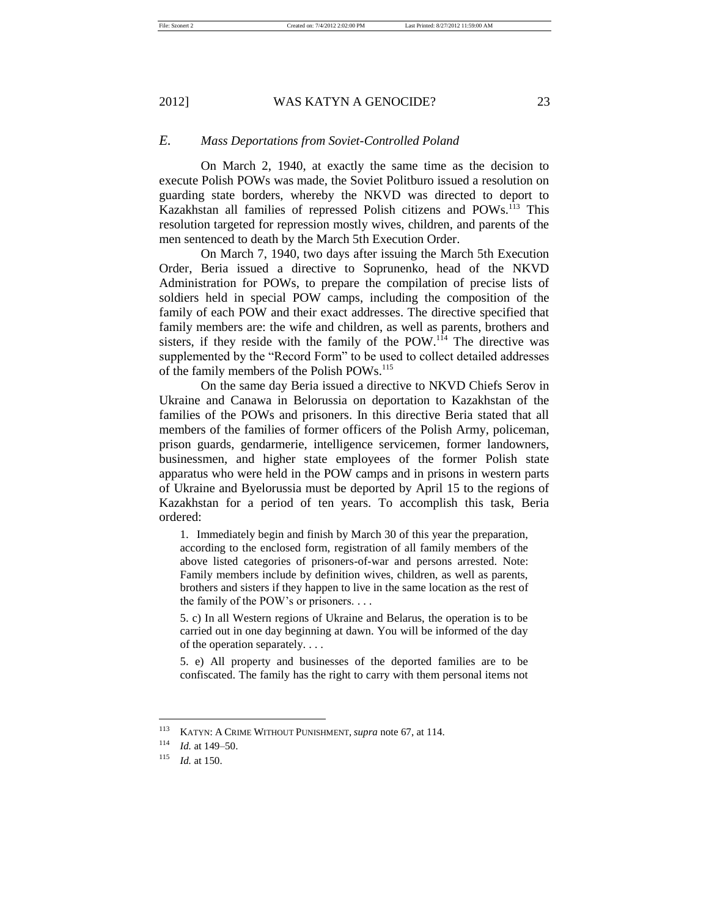## *E. Mass Deportations from Soviet-Controlled Poland*

On March 2, 1940, at exactly the same time as the decision to execute Polish POWs was made, the Soviet Politburo issued a resolution on guarding state borders, whereby the NKVD was directed to deport to Kazakhstan all families of repressed Polish citizens and POWs.<sup>113</sup> This resolution targeted for repression mostly wives, children, and parents of the men sentenced to death by the March 5th Execution Order.

On March 7, 1940, two days after issuing the March 5th Execution Order, Beria issued a directive to Soprunenko, head of the NKVD Administration for POWs, to prepare the compilation of precise lists of soldiers held in special POW camps, including the composition of the family of each POW and their exact addresses. The directive specified that family members are: the wife and children, as well as parents, brothers and sisters, if they reside with the family of the POW.<sup>114</sup> The directive was supplemented by the "Record Form" to be used to collect detailed addresses of the family members of the Polish POWs.<sup>115</sup>

On the same day Beria issued a directive to NKVD Chiefs Serov in Ukraine and Canawa in Belorussia on deportation to Kazakhstan of the families of the POWs and prisoners. In this directive Beria stated that all members of the families of former officers of the Polish Army, policeman, prison guards, gendarmerie, intelligence servicemen, former landowners, businessmen, and higher state employees of the former Polish state apparatus who were held in the POW camps and in prisons in western parts of Ukraine and Byelorussia must be deported by April 15 to the regions of Kazakhstan for a period of ten years. To accomplish this task, Beria ordered:

1. Immediately begin and finish by March 30 of this year the preparation, according to the enclosed form, registration of all family members of the above listed categories of prisoners-of-war and persons arrested. Note: Family members include by definition wives, children, as well as parents, brothers and sisters if they happen to live in the same location as the rest of the family of the POW's or prisoners. . . .

5. c) In all Western regions of Ukraine and Belarus, the operation is to be carried out in one day beginning at dawn. You will be informed of the day of the operation separately. . . .

5. e) All property and businesses of the deported families are to be confiscated. The family has the right to carry with them personal items not

<sup>113</sup> KATYN: A CRIME WITHOUT PUNISHMENT, *supra* note 67, at 114.

<sup>114</sup> *Id.* at 149–50.

<sup>115</sup> *Id.* at 150.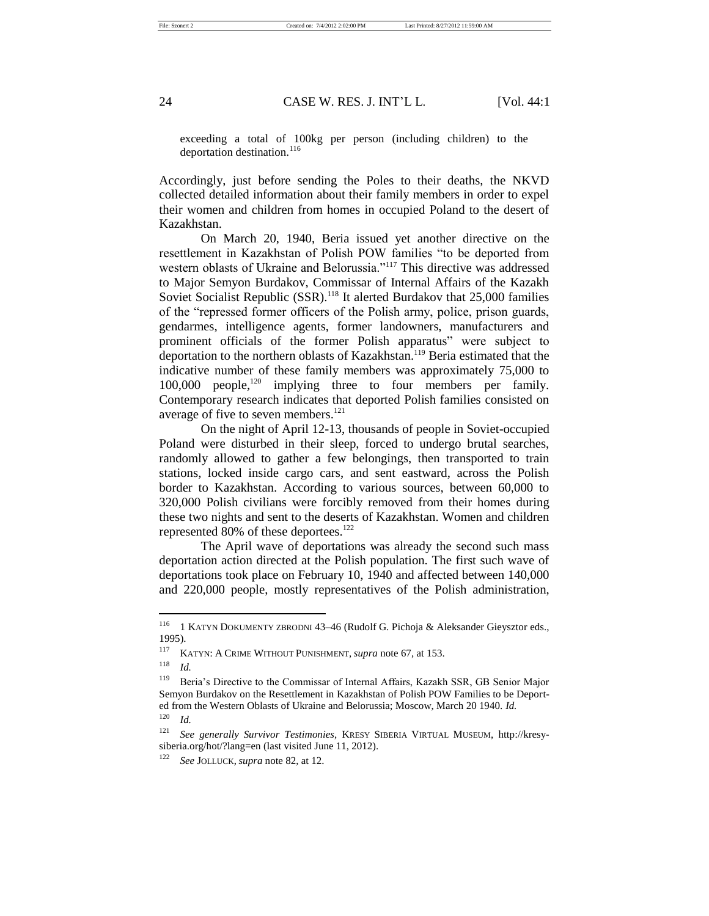exceeding a total of 100kg per person (including children) to the deportation destination.<sup>116</sup>

Accordingly, just before sending the Poles to their deaths, the NKVD collected detailed information about their family members in order to expel their women and children from homes in occupied Poland to the desert of Kazakhstan.

On March 20, 1940, Beria issued yet another directive on the resettlement in Kazakhstan of Polish POW families "to be deported from western oblasts of Ukraine and Belorussia."<sup>117</sup> This directive was addressed to Major Semyon Burdakov, Commissar of Internal Affairs of the Kazakh Soviet Socialist Republic  $(SSR)$ .<sup>118</sup> It alerted Burdakov that 25,000 families of the "repressed former officers of the Polish army, police, prison guards, gendarmes, intelligence agents, former landowners, manufacturers and prominent officials of the former Polish apparatus" were subject to deportation to the northern oblasts of Kazakhstan.<sup>119</sup> Beria estimated that the indicative number of these family members was approximately 75,000 to 100,000 people,<sup>120</sup> implying three to four members per family. Contemporary research indicates that deported Polish families consisted on average of five to seven members.<sup>121</sup>

On the night of April 12-13, thousands of people in Soviet-occupied Poland were disturbed in their sleep, forced to undergo brutal searches, randomly allowed to gather a few belongings, then transported to train stations, locked inside cargo cars, and sent eastward, across the Polish border to Kazakhstan. According to various sources, between 60,000 to 320,000 Polish civilians were forcibly removed from their homes during these two nights and sent to the deserts of Kazakhstan. Women and children represented  $80\%$  of these deportees.<sup>122</sup>

The April wave of deportations was already the second such mass deportation action directed at the Polish population. The first such wave of deportations took place on February 10, 1940 and affected between 140,000 and 220,000 people, mostly representatives of the Polish administration,

<sup>118</sup> *Id.*

<sup>&</sup>lt;sup>116</sup> 1 KATYN DOKUMENTY ZBRODNI 43-46 (Rudolf G. Pichoja & Aleksander Gieysztor eds., 1995).

<sup>117</sup> KATYN: A CRIME WITHOUT PUNISHMENT, *supra* note 67, at 153.

<sup>&</sup>lt;sup>119</sup> Beria's Directive to the Commissar of Internal Affairs, Kazakh SSR, GB Senior Major Semyon Burdakov on the Resettlement in Kazakhstan of Polish POW Families to be Deported from the Western Oblasts of Ukraine and Belorussia; Moscow, March 20 1940. *Id.* <sup>120</sup> *Id.*

<sup>121</sup> *See generally Survivor Testimonies*, KRESY SIBERIA VIRTUAL MUSEUM, http://kresysiberia.org/hot/?lang=en (last visited June 11, 2012).

<sup>122</sup> *See* JOLLUCK, *supra* note 82, at 12.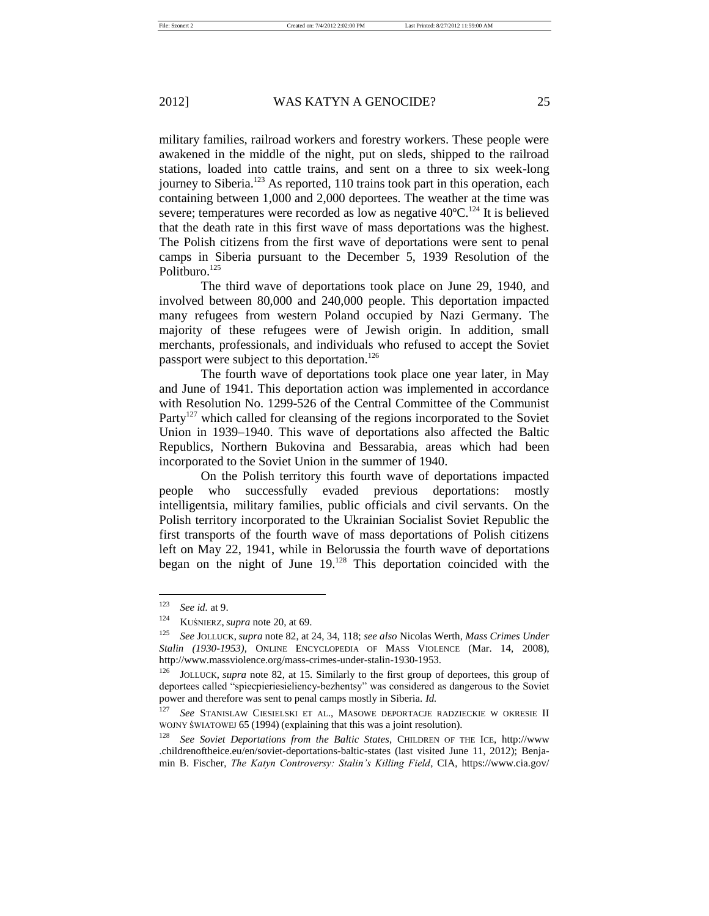military families, railroad workers and forestry workers. These people were awakened in the middle of the night, put on sleds, shipped to the railroad

stations, loaded into cattle trains, and sent on a three to six week-long journey to Siberia.<sup>123</sup> As reported, 110 trains took part in this operation, each containing between 1,000 and 2,000 deportees. The weather at the time was severe; temperatures were recorded as low as negative  $40^{\circ}$ C.<sup>124</sup> It is believed that the death rate in this first wave of mass deportations was the highest. The Polish citizens from the first wave of deportations were sent to penal camps in Siberia pursuant to the December 5, 1939 Resolution of the Politburo.<sup>125</sup>

The third wave of deportations took place on June 29, 1940, and involved between 80,000 and 240,000 people. This deportation impacted many refugees from western Poland occupied by Nazi Germany. The majority of these refugees were of Jewish origin. In addition, small merchants, professionals, and individuals who refused to accept the Soviet passport were subject to this deportation.<sup>126</sup>

The fourth wave of deportations took place one year later, in May and June of 1941. This deportation action was implemented in accordance with Resolution No. 1299-526 of the Central Committee of the Communist Party<sup>127</sup> which called for cleansing of the regions incorporated to the Soviet Union in 1939–1940. This wave of deportations also affected the Baltic Republics, Northern Bukovina and Bessarabia, areas which had been incorporated to the Soviet Union in the summer of 1940.

On the Polish territory this fourth wave of deportations impacted people who successfully evaded previous deportations: mostly intelligentsia, military families, public officials and civil servants. On the Polish territory incorporated to the Ukrainian Socialist Soviet Republic the first transports of the fourth wave of mass deportations of Polish citizens left on May 22, 1941, while in Belorussia the fourth wave of deportations began on the night of June 19.<sup>128</sup> This deportation coincided with the

<sup>123</sup> *See id.* at 9.

<sup>124</sup> KUŚNIERZ, *supra* note 20, at 69.

<sup>125</sup> *See* JOLLUCK, *supra* note 82, at 24, 34, 118; *see also* Nicolas Werth, *Mass Crimes Under Stalin (1930-1953)*, ONLINE ENCYCLOPEDIA OF MASS VIOLENCE (Mar. 14, 2008), http://www.massviolence.org/mass-crimes-under-stalin-1930-1953.

<sup>126</sup> JOLLUCK, *supra* note 82, at 15. Similarly to the first group of deportees, this group of deportees called "spiecpieriesieliency-bezhentsy" was considered as dangerous to the Soviet power and therefore was sent to penal camps mostly in Siberia. *Id.*

<sup>127</sup> *See* STANISLAW CIESIELSKI ET AL., MASOWE DEPORTACJE RADZIECKIE W OKRESIE II WOJNY ŚWIATOWEJ 65 (1994) (explaining that this was a joint resolution).

<sup>128</sup> *See Soviet Deportations from the Baltic States*, CHILDREN OF THE ICE, http://www .childrenoftheice.eu/en/soviet-deportations-baltic-states (last visited June 11, 2012); Benjamin B. Fischer, *The Katyn Controversy: Stalin's Killing Field*, CIA, https://www.cia.gov/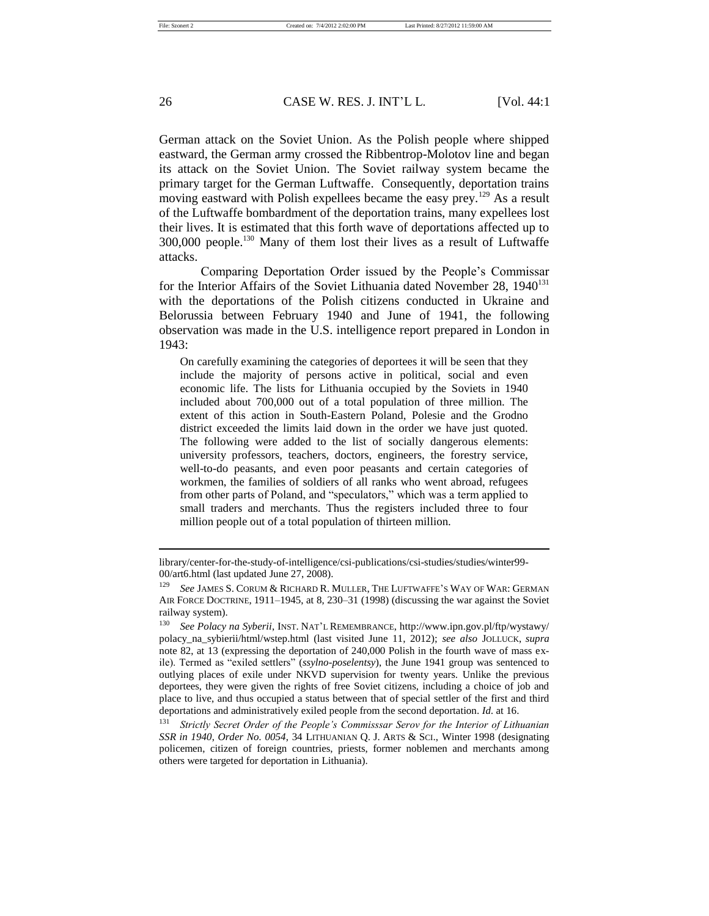German attack on the Soviet Union. As the Polish people where shipped eastward, the German army crossed the Ribbentrop-Molotov line and began its attack on the Soviet Union. The Soviet railway system became the primary target for the German Luftwaffe. Consequently, deportation trains moving eastward with Polish expellees became the easy prev.<sup>129</sup> As a result of the Luftwaffe bombardment of the deportation trains, many expellees lost their lives. It is estimated that this forth wave of deportations affected up to 300,000 people.<sup>130</sup> Many of them lost their lives as a result of Luftwaffe attacks.

Comparing Deportation Order issued by the People's Commissar for the Interior Affairs of the Soviet Lithuania dated November 28, 1940<sup>131</sup> with the deportations of the Polish citizens conducted in Ukraine and Belorussia between February 1940 and June of 1941, the following observation was made in the U.S. intelligence report prepared in London in 1943:

On carefully examining the categories of deportees it will be seen that they include the majority of persons active in political, social and even economic life. The lists for Lithuania occupied by the Soviets in 1940 included about 700,000 out of a total population of three million. The extent of this action in South-Eastern Poland, Polesie and the Grodno district exceeded the limits laid down in the order we have just quoted. The following were added to the list of socially dangerous elements: university professors, teachers, doctors, engineers, the forestry service, well-to-do peasants, and even poor peasants and certain categories of workmen, the families of soldiers of all ranks who went abroad, refugees from other parts of Poland, and "speculators," which was a term applied to small traders and merchants. Thus the registers included three to four million people out of a total population of thirteen million.

library/center-for-the-study-of-intelligence/csi-publications/csi-studies/studies/winter99- 00/art6.html (last updated June 27, 2008).

See JAMES S. CORUM & RICHARD R. MULLER, THE LUFTWAFFE'S WAY OF WAR: GERMAN AIR FORCE DOCTRINE, 1911–1945, at 8, 230–31 (1998) (discussing the war against the Soviet railway system).

<sup>130</sup> *See Polacy na Syberii*, INST. NAT'L REMEMBRANCE, http://www.ipn.gov.pl/ftp/wystawy/ polacy\_na\_sybierii/html/wstep.html (last visited June 11, 2012); *see also* JOLLUCK, *supra* note 82, at 13 (expressing the deportation of 240,000 Polish in the fourth wave of mass exile). Termed as "exiled settlers" (*ssylno-poselentsy*), the June 1941 group was sentenced to outlying places of exile under NKVD supervision for twenty years. Unlike the previous deportees, they were given the rights of free Soviet citizens, including a choice of job and place to live, and thus occupied a status between that of special settler of the first and third deportations and administratively exiled people from the second deportation. *Id.* at 16.<br><sup>131</sup> Stripthy Secret Order of the People's Commissear Seroy for the Interior of Lith

<sup>131</sup> *Strictly Secret Order of the People's Commisssar Serov for the Interior of Lithuanian SSR in 1940*, *Order No. 0054*, 34 LITHUANIAN Q. J. ARTS & SCI., Winter 1998 (designating policemen, citizen of foreign countries, priests, former noblemen and merchants among others were targeted for deportation in Lithuania).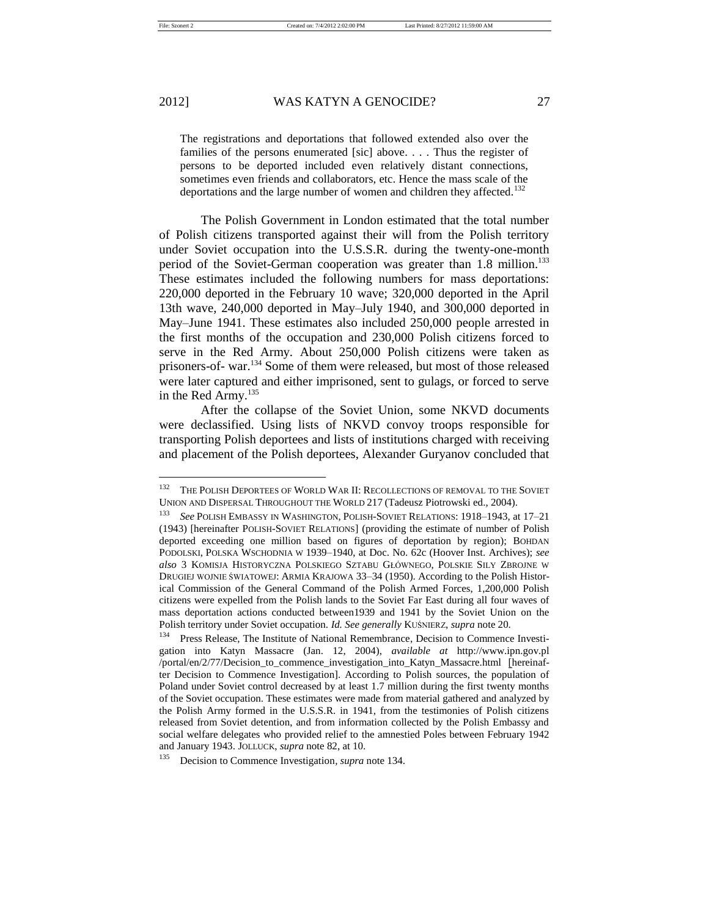The registrations and deportations that followed extended also over the families of the persons enumerated [sic] above. . . . Thus the register of persons to be deported included even relatively distant connections, sometimes even friends and collaborators, etc. Hence the mass scale of the deportations and the large number of women and children they affected.<sup>132</sup>

The Polish Government in London estimated that the total number of Polish citizens transported against their will from the Polish territory under Soviet occupation into the U.S.S.R. during the twenty-one-month period of the Soviet-German cooperation was greater than 1.8 million.<sup>133</sup> These estimates included the following numbers for mass deportations: 220,000 deported in the February 10 wave; 320,000 deported in the April 13th wave, 240,000 deported in May–July 1940, and 300,000 deported in May–June 1941. These estimates also included 250,000 people arrested in the first months of the occupation and 230,000 Polish citizens forced to serve in the Red Army. About 250,000 Polish citizens were taken as prisoners-of- war.<sup>134</sup> Some of them were released, but most of those released were later captured and either imprisoned, sent to gulags, or forced to serve in the Red Army.<sup>135</sup>

After the collapse of the Soviet Union, some NKVD documents were declassified. Using lists of NKVD convoy troops responsible for transporting Polish deportees and lists of institutions charged with receiving and placement of the Polish deportees, Alexander Guryanov concluded that

<sup>&</sup>lt;sup>132</sup> THE POLISH DEPORTEES OF WORLD WAR II: RECOLLECTIONS OF REMOVAL TO THE SOVIET UNION AND DISPERSAL THROUGHOUT THE WORLD 217 (Tadeusz Piotrowski ed., 2004).

<sup>133</sup> *See* POLISH EMBASSY IN WASHINGTON, POLISH-SOVIET RELATIONS: 1918–1943, at 17–21 (1943) [hereinafter POLISH-SOVIET RELATIONS] (providing the estimate of number of Polish deported exceeding one million based on figures of deportation by region); BOHDAN PODOLSKI, POLSKA WSCHODNIA W 1939–1940, at Doc. No. 62c (Hoover Inst. Archives); *see also* 3 KOMISJA HISTORYCZNA POLSKIEGO SZTABU GŁÓWNEGO, POLSKIE SILY ZBROJNE W DRUGIEJ WOJNIE ŚWIATOWEJ: ARMIA KRAJOWA 33–34 (1950). According to the Polish Historical Commission of the General Command of the Polish Armed Forces, 1,200,000 Polish citizens were expelled from the Polish lands to the Soviet Far East during all four waves of mass deportation actions conducted between1939 and 1941 by the Soviet Union on the Polish territory under Soviet occupation. *Id. See generally* KUŚNIERZ, *supra* note 20.

<sup>&</sup>lt;sup>134</sup> Press Release. The Institute of National Remembrance, Decision to Commence Investigation into Katyn Massacre (Jan. 12, 2004), *available at* http://www.ipn.gov.pl /portal/en/2/77/Decision\_to\_commence\_investigation\_into\_Katyn\_Massacre.html [hereinafter Decision to Commence Investigation]. According to Polish sources, the population of Poland under Soviet control decreased by at least 1.7 million during the first twenty months of the Soviet occupation. These estimates were made from material gathered and analyzed by the Polish Army formed in the U.S.S.R. in 1941, from the testimonies of Polish citizens released from Soviet detention, and from information collected by the Polish Embassy and social welfare delegates who provided relief to the amnestied Poles between February 1942 and January 1943. JOLLUCK, *supra* note 82, at 10.

<sup>135</sup> Decision to Commence Investigation*, supra* note 134.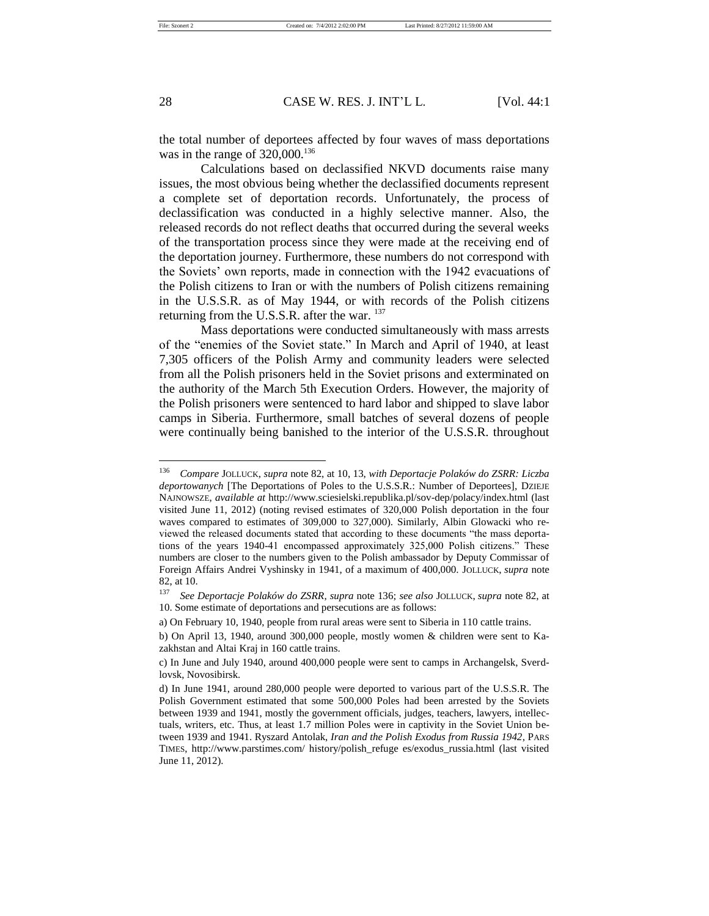the total number of deportees affected by four waves of mass deportations was in the range of  $320,000$ .<sup>136</sup>

Calculations based on declassified NKVD documents raise many issues, the most obvious being whether the declassified documents represent a complete set of deportation records. Unfortunately, the process of declassification was conducted in a highly selective manner. Also, the released records do not reflect deaths that occurred during the several weeks of the transportation process since they were made at the receiving end of the deportation journey. Furthermore, these numbers do not correspond with the Soviets' own reports, made in connection with the 1942 evacuations of the Polish citizens to Iran or with the numbers of Polish citizens remaining in the U.S.S.R. as of May 1944, or with records of the Polish citizens returning from the U.S.S.R. after the war. <sup>137</sup>

Mass deportations were conducted simultaneously with mass arrests of the "enemies of the Soviet state." In March and April of 1940, at least 7,305 officers of the Polish Army and community leaders were selected from all the Polish prisoners held in the Soviet prisons and exterminated on the authority of the March 5th Execution Orders. However, the majority of the Polish prisoners were sentenced to hard labor and shipped to slave labor camps in Siberia. Furthermore, small batches of several dozens of people were continually being banished to the interior of the U.S.S.R. throughout

<sup>136</sup> *Compare* JOLLUCK, *supra* note 82, at 10, 13, *with Deportacje Polaków do ZSRR: Liczba deportowanych* [The Deportations of Poles to the U.S.S.R.: Number of Deportees], DZIEJE NAJNOWSZE, *available at* http://www.sciesielski.republika.pl/sov-dep/polacy/index.html (last visited June 11, 2012) (noting revised estimates of 320,000 Polish deportation in the four waves compared to estimates of 309,000 to 327,000). Similarly, Albin Glowacki who reviewed the released documents stated that according to these documents "the mass deportations of the years 1940-41 encompassed approximately 325,000 Polish citizens." These numbers are closer to the numbers given to the Polish ambassador by Deputy Commissar of Foreign Affairs Andrei Vyshinsky in 1941, of a maximum of 400,000. JOLLUCK, *supra* note 82, at 10.

<sup>137</sup> *See Deportacje Polaków do ZSRR*, *supra* note 136; *see also* JOLLUCK, *supra* note 82, at 10. Some estimate of deportations and persecutions are as follows:

a) On February 10, 1940, people from rural areas were sent to Siberia in 110 cattle trains.

b) On April 13, 1940, around 300,000 people, mostly women & children were sent to Kazakhstan and Altai Kraj in 160 cattle trains.

c) In June and July 1940, around 400,000 people were sent to camps in Archangelsk, Sverdlovsk, Novosibirsk.

d) In June 1941, around 280,000 people were deported to various part of the U.S.S.R. The Polish Government estimated that some 500,000 Poles had been arrested by the Soviets between 1939 and 1941, mostly the government officials, judges, teachers, lawyers, intellectuals, writers, etc. Thus, at least 1.7 million Poles were in captivity in the Soviet Union between 1939 and 1941. Ryszard Antolak, *Iran and the Polish Exodus from Russia 1942*, PARS TIMES, http://www.parstimes.com/ history/polish\_refuge es/exodus\_russia.html (last visited June 11, 2012).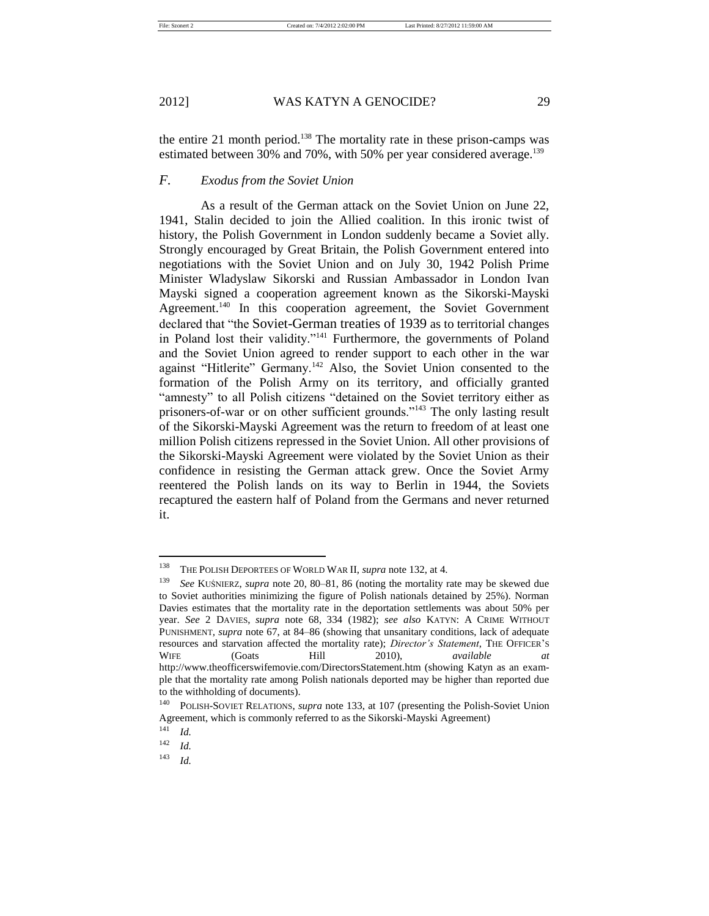the entire 21 month period.<sup>138</sup> The mortality rate in these prison-camps was estimated between 30% and 70%, with 50% per year considered average.<sup>139</sup>

## *F. Exodus from the Soviet Union*

As a result of the German attack on the Soviet Union on June 22, 1941, Stalin decided to join the Allied coalition. In this ironic twist of history, the Polish Government in London suddenly became a Soviet ally. Strongly encouraged by Great Britain, the Polish Government entered into negotiations with the Soviet Union and on July 30, 1942 Polish Prime Minister Wladyslaw Sikorski and Russian Ambassador in London Ivan Mayski signed a cooperation agreement known as the Sikorski-Mayski Agreement.<sup>140</sup> In this cooperation agreement, the Soviet Government declared that "the Soviet-German treaties of 1939 as to territorial changes in Poland lost their validity."<sup>141</sup> Furthermore, the governments of Poland and the Soviet Union agreed to render support to each other in the war against "Hitlerite" Germany.<sup>142</sup> Also, the Soviet Union consented to the formation of the Polish Army on its territory, and officially granted "amnesty" to all Polish citizens "detained on the Soviet territory either as prisoners-of-war or on other sufficient grounds."<sup>143</sup> The only lasting result of the Sikorski-Mayski Agreement was the return to freedom of at least one million Polish citizens repressed in the Soviet Union. All other provisions of the Sikorski-Mayski Agreement were violated by the Soviet Union as their confidence in resisting the German attack grew. Once the Soviet Army reentered the Polish lands on its way to Berlin in 1944, the Soviets recaptured the eastern half of Poland from the Germans and never returned it.

<sup>138</sup> THE POLISH DEPORTEES OF WORLD WAR II, *supra* note 132, at 4.

<sup>139</sup> *See* KUŚNIERZ, *supra* note 20, 80–81, 86 (noting the mortality rate may be skewed due to Soviet authorities minimizing the figure of Polish nationals detained by 25%). Norman Davies estimates that the mortality rate in the deportation settlements was about 50% per year. *See* 2 DAVIES, *supra* note 68, 334 (1982); *see also* KATYN: A CRIME WITHOUT PUNISHMENT*, supra* note 67, at 84–86 (showing that unsanitary conditions, lack of adequate resources and starvation affected the mortality rate); *Director's Statement*, THE OFFICER'S WIFE (Goats Hill 2010), *available at* http://www.theofficerswifemovie.com/DirectorsStatement.htm (showing Katyn as an example that the mortality rate among Polish nationals deported may be higher than reported due to the withholding of documents).

<sup>140</sup> POLISH-SOVIET RELATIONS, *supra* note 133, at 107 (presenting the Polish-Soviet Union Agreement, which is commonly referred to as the Sikorski-Mayski Agreement)

 $\begin{array}{cc} 141 & \text{Id.} \\ 142 & \text{Id.} \end{array}$ 

*Id.* 

 $143$  *Id.*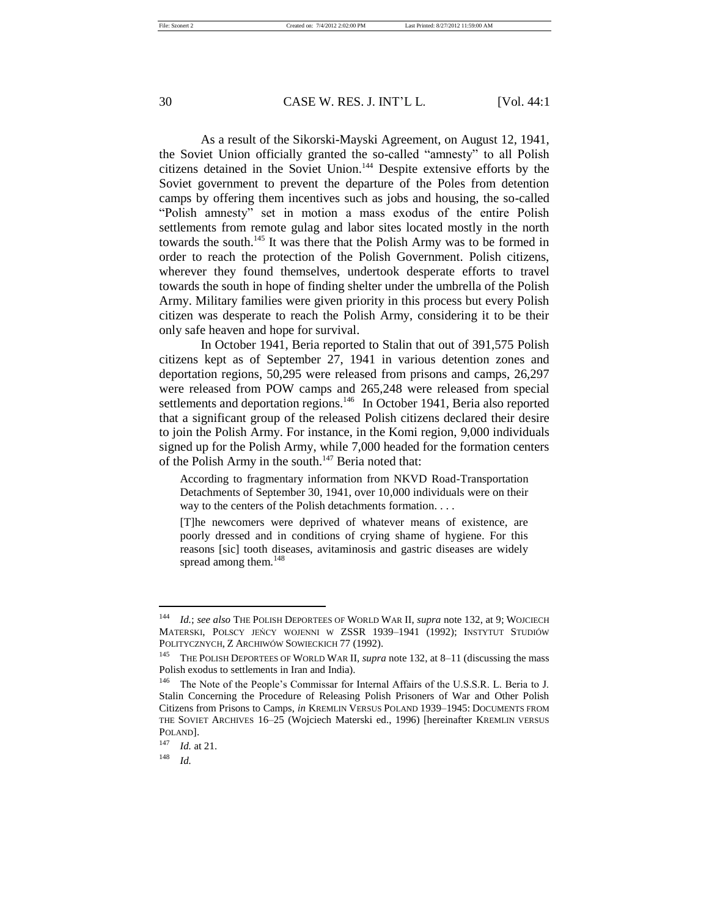As a result of the Sikorski-Mayski Agreement, on August 12, 1941, the Soviet Union officially granted the so-called "amnesty" to all Polish citizens detained in the Soviet Union.<sup>144</sup> Despite extensive efforts by the Soviet government to prevent the departure of the Poles from detention camps by offering them incentives such as jobs and housing, the so-called "Polish amnesty" set in motion a mass exodus of the entire Polish settlements from remote gulag and labor sites located mostly in the north towards the south.<sup>145</sup> It was there that the Polish Army was to be formed in order to reach the protection of the Polish Government. Polish citizens, wherever they found themselves, undertook desperate efforts to travel towards the south in hope of finding shelter under the umbrella of the Polish Army. Military families were given priority in this process but every Polish citizen was desperate to reach the Polish Army, considering it to be their only safe heaven and hope for survival.

In October 1941, Beria reported to Stalin that out of 391,575 Polish citizens kept as of September 27, 1941 in various detention zones and deportation regions, 50,295 were released from prisons and camps, 26,297 were released from POW camps and 265,248 were released from special settlements and deportation regions.<sup>146</sup> In October 1941, Beria also reported that a significant group of the released Polish citizens declared their desire to join the Polish Army. For instance, in the Komi region, 9,000 individuals signed up for the Polish Army, while 7,000 headed for the formation centers of the Polish Army in the south.<sup>147</sup> Beria noted that:

According to fragmentary information from NKVD Road-Transportation Detachments of September 30, 1941, over 10,000 individuals were on their way to the centers of the Polish detachments formation. . . .

[T]he newcomers were deprived of whatever means of existence, are poorly dressed and in conditions of crying shame of hygiene. For this reasons [sic] tooth diseases, avitaminosis and gastric diseases are widely spread among them.<sup>148</sup>

<sup>144</sup> *Id.*; *see also* THE POLISH DEPORTEES OF WORLD WAR II, *supra* note 132, at 9; WOJCIECH MATERSKI, POLSCY JEŃCY WOJENNI W ZSSR 1939–1941 (1992); INSTYTUT STUDIÓW POLITYCZNYCH, Z ARCHIWÓW SOWIECKICH 77 (1992).

<sup>145</sup> THE POLISH DEPORTEES OF WORLD WAR II, *supra* note 132, at 8–11 (discussing the mass Polish exodus to settlements in Iran and India).

<sup>&</sup>lt;sup>146</sup> The Note of the People's Commissar for Internal Affairs of the U.S.S.R. L. Beria to J. Stalin Concerning the Procedure of Releasing Polish Prisoners of War and Other Polish Citizens from Prisons to Camps, *in* KREMLIN VERSUS POLAND 1939–1945: DOCUMENTS FROM THE SOVIET ARCHIVES 16–25 (Wojciech Materski ed., 1996) [hereinafter KREMLIN VERSUS POLAND].

<sup>147</sup> *Id.* at 21.

<sup>148</sup> *Id.*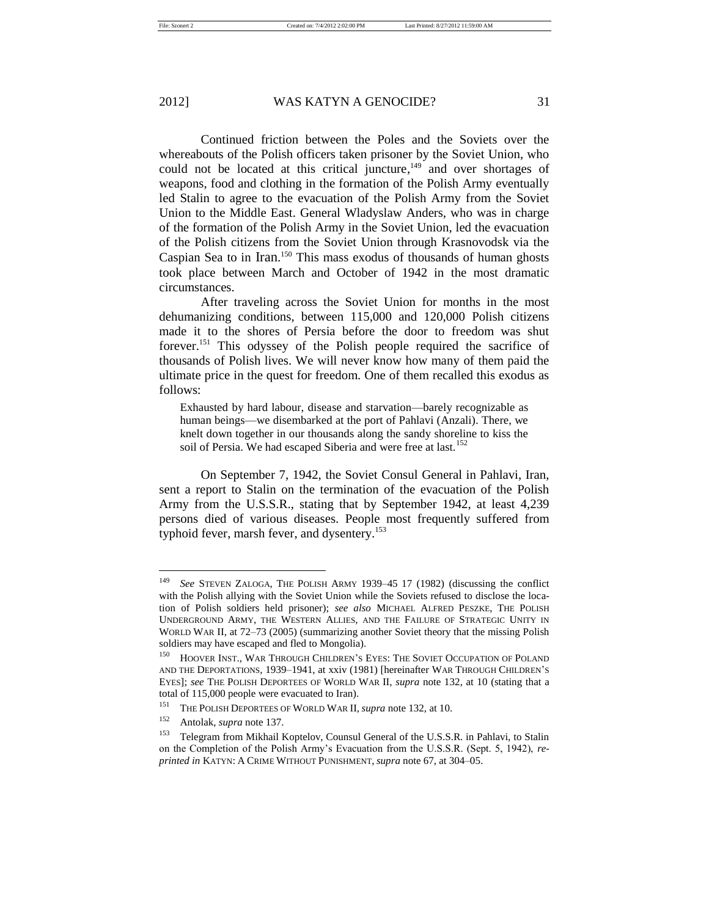Continued friction between the Poles and the Soviets over the whereabouts of the Polish officers taken prisoner by the Soviet Union, who could not be located at this critical juncture,<sup>149</sup> and over shortages of weapons, food and clothing in the formation of the Polish Army eventually led Stalin to agree to the evacuation of the Polish Army from the Soviet Union to the Middle East. General Wladyslaw Anders, who was in charge of the formation of the Polish Army in the Soviet Union, led the evacuation of the Polish citizens from the Soviet Union through Krasnovodsk via the Caspian Sea to in Iran. <sup>150</sup> This mass exodus of thousands of human ghosts took place between March and October of 1942 in the most dramatic circumstances.

After traveling across the Soviet Union for months in the most dehumanizing conditions, between 115,000 and 120,000 Polish citizens made it to the shores of Persia before the door to freedom was shut forever.<sup>151</sup> This odyssey of the Polish people required the sacrifice of thousands of Polish lives. We will never know how many of them paid the ultimate price in the quest for freedom. One of them recalled this exodus as follows:

Exhausted by hard labour, disease and starvation—barely recognizable as human beings—we disembarked at the port of Pahlavi (Anzali). There, we knelt down together in our thousands along the sandy shoreline to kiss the soil of Persia. We had escaped Siberia and were free at last.<sup>152</sup>

On September 7, 1942, the Soviet Consul General in Pahlavi, Iran, sent a report to Stalin on the termination of the evacuation of the Polish Army from the U.S.S.R., stating that by September 1942, at least 4,239 persons died of various diseases. People most frequently suffered from typhoid fever, marsh fever, and dysentery.<sup>153</sup>

<sup>149</sup> *See* STEVEN ZALOGA, THE POLISH ARMY 1939–45 17 (1982) (discussing the conflict with the Polish allying with the Soviet Union while the Soviets refused to disclose the location of Polish soldiers held prisoner); *see also* MICHAEL ALFRED PESZKE, THE POLISH UNDERGROUND ARMY, THE WESTERN ALLIES, AND THE FAILURE OF STRATEGIC UNITY IN WORLD WAR II, at 72–73 (2005) (summarizing another Soviet theory that the missing Polish soldiers may have escaped and fled to Mongolia).

<sup>&</sup>lt;sup>150</sup> HOOVER INST., WAR THROUGH CHILDREN'S EYES: THE SOVIET OCCUPATION OF POLAND AND THE DEPORTATIONS, 1939–1941, at xxiv (1981) [hereinafter WAR THROUGH CHILDREN'S EYES]; *see* THE POLISH DEPORTEES OF WORLD WAR II, *supra* note 132, at 10 (stating that a total of 115,000 people were evacuated to Iran).

<sup>151</sup> THE POLISH DEPORTEES OF WORLD WAR II, *supra* note 132, at 10.

<sup>152</sup> Antolak, *supra* note 137.

<sup>&</sup>lt;sup>153</sup> Telegram from Mikhail Koptelov, Counsul General of the U.S.S.R. in Pahlavi, to Stalin on the Completion of the Polish Army's Evacuation from the U.S.S.R. (Sept. 5, 1942), *reprinted in* KATYN: A CRIME WITHOUT PUNISHMENT, *supra* note 67, at 304–05.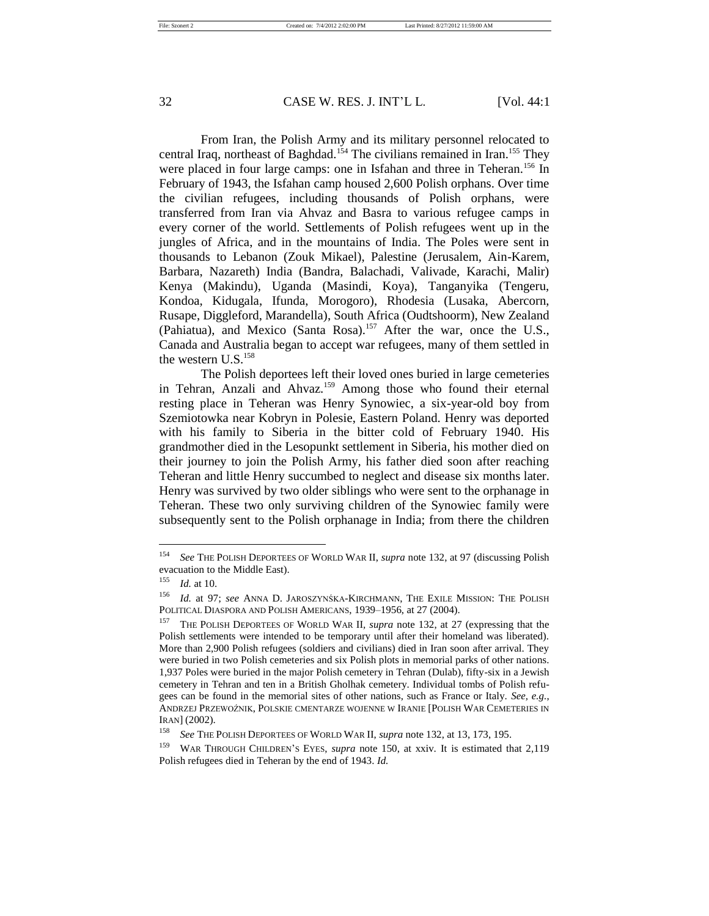From Iran, the Polish Army and its military personnel relocated to central Iraq, northeast of Baghdad.<sup>154</sup> The civilians remained in Iran.<sup>155</sup> They were placed in four large camps: one in Isfahan and three in Teheran.<sup>156</sup> In February of 1943, the Isfahan camp housed 2,600 Polish orphans. Over time the civilian refugees, including thousands of Polish orphans, were transferred from Iran via Ahvaz and Basra to various refugee camps in every corner of the world. Settlements of Polish refugees went up in the jungles of Africa, and in the mountains of India. The Poles were sent in thousands to Lebanon (Zouk Mikael), Palestine (Jerusalem, Ain-Karem, Barbara, Nazareth) India (Bandra, Balachadi, Valivade, Karachi, Malir) Kenya (Makindu), Uganda (Masindi, Koya), Tanganyika (Tengeru, Kondoa, Kidugala, Ifunda, Morogoro), Rhodesia (Lusaka, Abercorn, Rusape, Diggleford, Marandella), South Africa (Oudtshoorm), New Zealand (Pahiatua), and Mexico (Santa Rosa).<sup>157</sup> After the war, once the U.S., Canada and Australia began to accept war refugees, many of them settled in the western  $U.S.<sup>158</sup>$ 

The Polish deportees left their loved ones buried in large cemeteries in Tehran, Anzali and Ahvaz.<sup>159</sup> Among those who found their eternal resting place in Teheran was Henry Synowiec, a six-year-old boy from Szemiotowka near Kobryn in Polesie, Eastern Poland. Henry was deported with his family to Siberia in the bitter cold of February 1940. His grandmother died in the Lesopunkt settlement in Siberia, his mother died on their journey to join the Polish Army, his father died soon after reaching Teheran and little Henry succumbed to neglect and disease six months later. Henry was survived by two older siblings who were sent to the orphanage in Teheran. These two only surviving children of the Synowiec family were subsequently sent to the Polish orphanage in India; from there the children

<sup>154</sup> *See* THE POLISH DEPORTEES OF WORLD WAR II, *supra* note 132, at 97 (discussing Polish evacuation to the Middle East).

<sup>155</sup> *Id.* at 10.

<sup>156</sup> *Id.* at 97; *see* ANNA D. JAROSZYNŚKA-KIRCHMANN, THE EXILE MISSION: THE POLISH POLITICAL DIASPORA AND POLISH AMERICANS, 1939–1956, at 27 (2004).

<sup>157</sup> THE POLISH DEPORTEES OF WORLD WAR II*, supra* note 132, at 27 (expressing that the Polish settlements were intended to be temporary until after their homeland was liberated). More than 2,900 Polish refugees (soldiers and civilians) died in Iran soon after arrival. They were buried in two Polish cemeteries and six Polish plots in memorial parks of other nations. 1,937 Poles were buried in the major Polish cemetery in Tehran (Dulab), fifty-six in a Jewish cemetery in Tehran and ten in a British Gholhak cemetery. Individual tombs of Polish refugees can be found in the memorial sites of other nations, such as France or Italy. *See, e.g.*, ANDRZEJ PRZEWOŹNIK, POLSKIE CMENTARZE WOJENNE W IRANIE [POLISH WAR CEMETERIES IN IRAN] (2002).

<sup>158</sup> *See* THE POLISH DEPORTEES OF WORLD WAR II, *supra* note 132, at 13, 173, 195.

<sup>159</sup> WAR THROUGH CHILDREN'S EYES, *supra* note 150, at xxiv. It is estimated that 2,119 Polish refugees died in Teheran by the end of 1943. *Id.*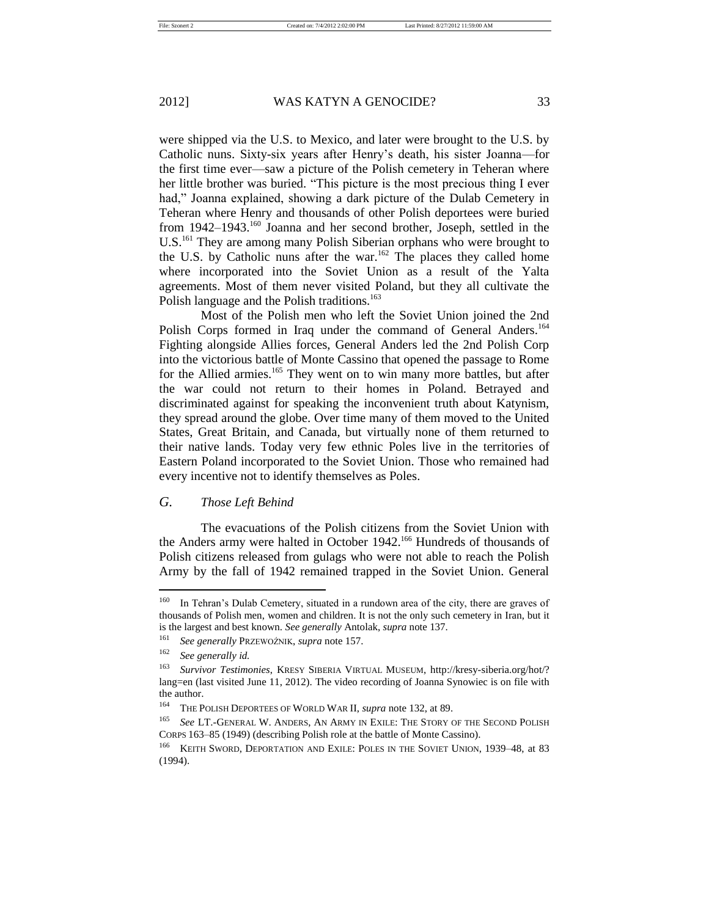were shipped via the U.S. to Mexico, and later were brought to the U.S. by Catholic nuns. Sixty-six years after Henry's death, his sister Joanna—for the first time ever—saw a picture of the Polish cemetery in Teheran where her little brother was buried. "This picture is the most precious thing I ever had," Joanna explained, showing a dark picture of the Dulab Cemetery in Teheran where Henry and thousands of other Polish deportees were buried from 1942–1943.<sup>160</sup> Joanna and her second brother, Joseph, settled in the U.S.<sup>161</sup> They are among many Polish Siberian orphans who were brought to the U.S. by Catholic nuns after the war.<sup>162</sup> The places they called home where incorporated into the Soviet Union as a result of the Yalta agreements. Most of them never visited Poland, but they all cultivate the Polish language and the Polish traditions.<sup>163</sup>

Most of the Polish men who left the Soviet Union joined the 2nd Polish Corps formed in Iraq under the command of General Anders.<sup>164</sup> Fighting alongside Allies forces, General Anders led the 2nd Polish Corp into the victorious battle of Monte Cassino that opened the passage to Rome for the Allied armies.<sup>165</sup> They went on to win many more battles, but after the war could not return to their homes in Poland. Betrayed and discriminated against for speaking the inconvenient truth about Katynism, they spread around the globe. Over time many of them moved to the United States, Great Britain, and Canada, but virtually none of them returned to their native lands. Today very few ethnic Poles live in the territories of Eastern Poland incorporated to the Soviet Union. Those who remained had every incentive not to identify themselves as Poles.

# *G. Those Left Behind*

The evacuations of the Polish citizens from the Soviet Union with the Anders army were halted in October 1942.<sup>166</sup> Hundreds of thousands of Polish citizens released from gulags who were not able to reach the Polish Army by the fall of 1942 remained trapped in the Soviet Union. General

<sup>&</sup>lt;sup>160</sup> In Tehran's Dulab Cemetery, situated in a rundown area of the city, there are graves of thousands of Polish men, women and children. It is not the only such cemetery in Iran, but it is the largest and best known. *See generally* Antolak, *supra* note 137.

<sup>161</sup> *See generally* PRZEWOŹNIK, *supra* note 157.

<sup>162</sup> *See generally id.* 

<sup>163</sup> *Survivor Testimonies*, KRESY SIBERIA VIRTUAL MUSEUM, http://kresy-siberia.org/hot/? lang=en (last visited June 11, 2012). The video recording of Joanna Synowiec is on file with the author.

<sup>164</sup> THE POLISH DEPORTEES OF WORLD WAR II, *supra* note 132, at 89.

<sup>165</sup> *See* LT.-GENERAL W. ANDERS, AN ARMY IN EXILE: THE STORY OF THE SECOND POLISH CORPS 163–85 (1949) (describing Polish role at the battle of Monte Cassino).

<sup>&</sup>lt;sup>166</sup> KEITH SWORD, DEPORTATION AND EXILE: POLES IN THE SOVIET UNION, 1939–48, at 83 (1994).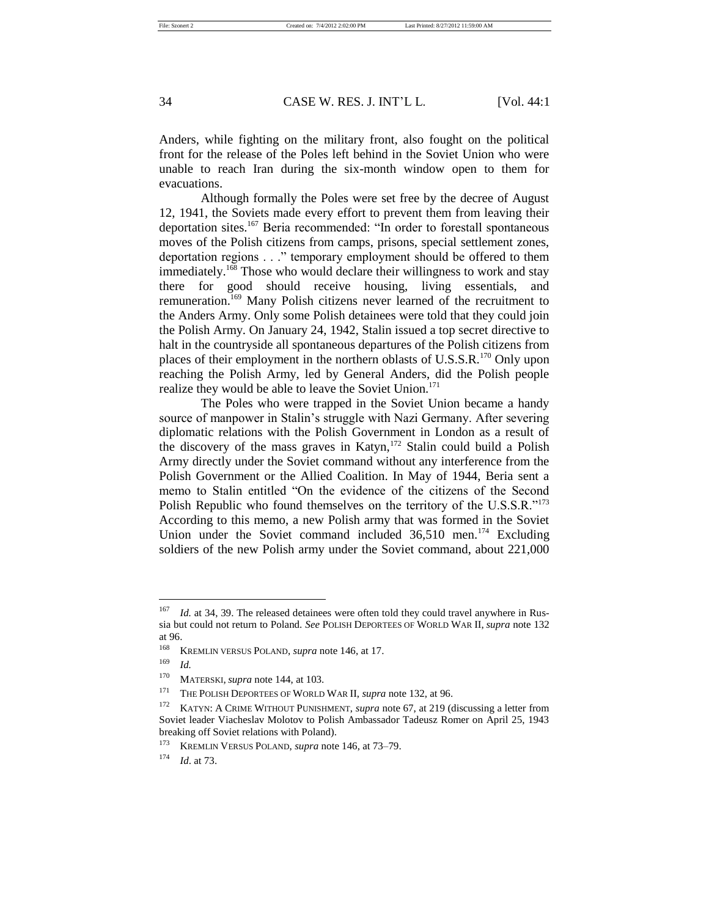Anders, while fighting on the military front, also fought on the political front for the release of the Poles left behind in the Soviet Union who were unable to reach Iran during the six-month window open to them for evacuations.

Although formally the Poles were set free by the decree of August 12, 1941, the Soviets made every effort to prevent them from leaving their deportation sites.<sup>167</sup> Beria recommended: "In order to forestall spontaneous moves of the Polish citizens from camps, prisons, special settlement zones, deportation regions . . ." temporary employment should be offered to them immediately.<sup>168</sup> Those who would declare their willingness to work and stay there for good should receive housing, living essentials, and remuneration.<sup>169</sup> Many Polish citizens never learned of the recruitment to the Anders Army. Only some Polish detainees were told that they could join the Polish Army. On January 24, 1942, Stalin issued a top secret directive to halt in the countryside all spontaneous departures of the Polish citizens from places of their employment in the northern oblasts of U.S.S.R.<sup>170</sup> Only upon reaching the Polish Army, led by General Anders, did the Polish people realize they would be able to leave the Soviet Union.<sup>171</sup>

The Poles who were trapped in the Soviet Union became a handy source of manpower in Stalin's struggle with Nazi Germany. After severing diplomatic relations with the Polish Government in London as a result of the discovery of the mass graves in Katyn,<sup>172</sup> Stalin could build a Polish Army directly under the Soviet command without any interference from the Polish Government or the Allied Coalition. In May of 1944, Beria sent a memo to Stalin entitled "On the evidence of the citizens of the Second Polish Republic who found themselves on the territory of the U.S.S.R."<sup>173</sup> According to this memo, a new Polish army that was formed in the Soviet Union under the Soviet command included 36,510 men.<sup>174</sup> Excluding soldiers of the new Polish army under the Soviet command, about 221,000

<sup>&</sup>lt;sup>167</sup> *Id.* at 34, 39. The released detainees were often told they could travel anywhere in Russia but could not return to Poland. *See* POLISH DEPORTEES OF WORLD WAR II, *supra* note 132 at 96.<br> $\frac{168}{1}$ 

<sup>168</sup> KREMLIN VERSUS POLAND, *supra* note 146, at 17.

<sup>169</sup> *Id.*

<sup>170</sup> MATERSKI, *supra* note 144, at 103.

<sup>171</sup> THE POLISH DEPORTEES OF WORLD WAR II, *supra* note 132, at 96.

<sup>&</sup>lt;sup>172</sup> KATYN: A CRIME WITHOUT PUNISHMENT, *supra* note 67, at 219 (discussing a letter from Soviet leader Viacheslav Molotov to Polish Ambassador Tadeusz Romer on April 25, 1943 breaking off Soviet relations with Poland).

<sup>173</sup> KREMLIN VERSUS POLAND, *supra* note 146, at 73–79.

<sup>174</sup> *Id*. at 73.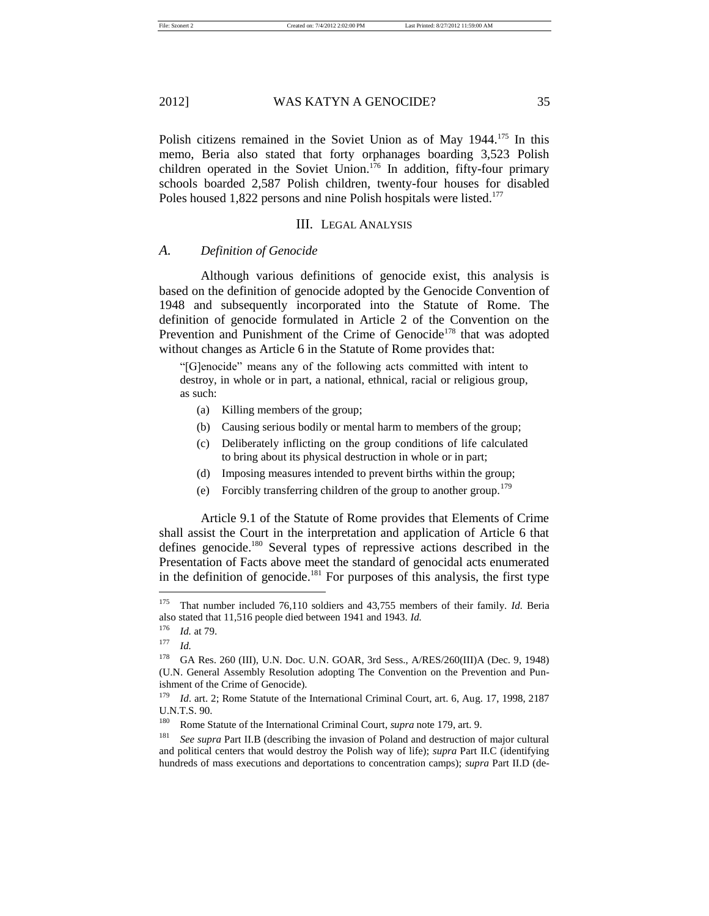Polish citizens remained in the Soviet Union as of May 1944.<sup>175</sup> In this memo, Beria also stated that forty orphanages boarding 3,523 Polish children operated in the Soviet Union.<sup>176</sup> In addition, fifty-four primary schools boarded 2,587 Polish children, twenty-four houses for disabled Poles housed 1,822 persons and nine Polish hospitals were listed.<sup>177</sup>

#### III. LEGAL ANALYSIS

#### *A. Definition of Genocide*

Although various definitions of genocide exist, this analysis is based on the definition of genocide adopted by the Genocide Convention of 1948 and subsequently incorporated into the Statute of Rome. The definition of genocide formulated in Article 2 of the Convention on the Prevention and Punishment of the Crime of Genocide<sup>178</sup> that was adopted without changes as Article 6 in the Statute of Rome provides that:

"[G]enocide" means any of the following acts committed with intent to destroy, in whole or in part, a national, ethnical, racial or religious group, as such:

- (a) Killing members of the group;
- (b) Causing serious bodily or mental harm to members of the group;
- (c) Deliberately inflicting on the group conditions of life calculated to bring about its physical destruction in whole or in part;
- (d) Imposing measures intended to prevent births within the group;
- (e) Forcibly transferring children of the group to another group.<sup>179</sup>

Article 9.1 of the Statute of Rome provides that Elements of Crime shall assist the Court in the interpretation and application of Article 6 that defines genocide.<sup>180</sup> Several types of repressive actions described in the Presentation of Facts above meet the standard of genocidal acts enumerated in the definition of genocide.<sup>181</sup> For purposes of this analysis, the first type

<sup>175</sup> That number included 76,110 soldiers and 43,755 members of their family. *Id.* Beria also stated that 11,516 people died between 1941 and 1943. *Id.*

 $\frac{176}{177}$  *Id.* at 79.

*Id.* 

<sup>178</sup> GA Res. 260 (III), U.N. Doc. U.N. GOAR, 3rd Sess., A/RES/260(III)A (Dec. 9, 1948) (U.N. General Assembly Resolution adopting The Convention on the Prevention and Punishment of the Crime of Genocide).

<sup>179</sup> *Id*. art. 2; Rome Statute of the International Criminal Court, art. 6, Aug. 17, 1998, 2187 U.N.T.S. 90.

<sup>180</sup> Rome Statute of the International Criminal Court, *supra* note 179, art. 9.

<sup>181</sup> *See supra* Part II.B (describing the invasion of Poland and destruction of major cultural and political centers that would destroy the Polish way of life); *supra* Part II.C (identifying hundreds of mass executions and deportations to concentration camps); *supra* Part II.D (de-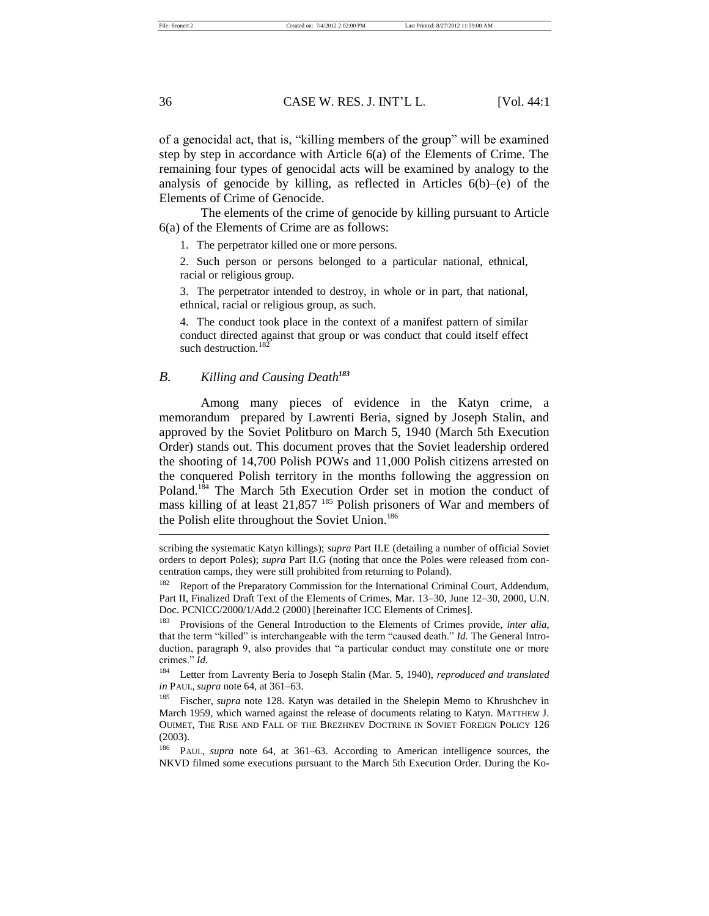File: Szonert 2 Created on: 7/4/2012 2:02:00 PM Last Printed: 8/27/2012 11:59:00 AM

36 CASE W. RES. J. INT'L L. [Vol. 44:1

of a genocidal act, that is, "killing members of the group" will be examined step by step in accordance with Article 6(a) of the Elements of Crime. The remaining four types of genocidal acts will be examined by analogy to the analysis of genocide by killing, as reflected in Articles 6(b)–(e) of the Elements of Crime of Genocide.

The elements of the crime of genocide by killing pursuant to Article 6(a) of the Elements of Crime are as follows:

1. The perpetrator killed one or more persons.

2. Such person or persons belonged to a particular national, ethnical, racial or religious group.

3. The perpetrator intended to destroy, in whole or in part, that national, ethnical, racial or religious group, as such.

4. The conduct took place in the context of a manifest pattern of similar conduct directed against that group or was conduct that could itself effect such destruction.<sup>182</sup>

## *B. Killing and Causing Death<sup>183</sup>*

Among many pieces of evidence in the Katyn crime, a memorandum prepared by Lawrenti Beria, signed by Joseph Stalin, and approved by the Soviet Politburo on March 5, 1940 (March 5th Execution Order) stands out. This document proves that the Soviet leadership ordered the shooting of 14,700 Polish POWs and 11,000 Polish citizens arrested on the conquered Polish territory in the months following the aggression on Poland.<sup>184</sup> The March 5th Execution Order set in motion the conduct of mass killing of at least  $21,857$  <sup>185</sup> Polish prisoners of War and members of the Polish elite throughout the Soviet Union.<sup>186</sup>

<sup>184</sup> Letter from Lavrenty Beria to Joseph Stalin (Mar. 5, 1940), *reproduced and translated in* PAUL, *supra* note 64, at 361–63.

Fischer, *supra* note 128. Katyn was detailed in the Shelepin Memo to Khrushchev in March 1959, which warned against the release of documents relating to Katyn. MATTHEW J. OUIMET, THE RISE AND FALL OF THE BREZHNEV DOCTRINE IN SOVIET FOREIGN POLICY 126 (2003).

<sup>186</sup> PAUL, *supra* note 64, at 361–63. According to American intelligence sources, the NKVD filmed some executions pursuant to the March 5th Execution Order. During the Ko-

scribing the systematic Katyn killings); *supra* Part II.E (detailing a number of official Soviet orders to deport Poles); *supra* Part II.G (noting that once the Poles were released from concentration camps, they were still prohibited from returning to Poland).

<sup>&</sup>lt;sup>182</sup> Report of the Preparatory Commission for the International Criminal Court, Addendum, Part II, Finalized Draft Text of the Elements of Crimes, Mar. 13–30, June 12–30, 2000, U.N. Doc. PCNICC/2000/1/Add.2 (2000) [hereinafter ICC Elements of Crimes].

Provisions of the General Introduction to the Elements of Crimes provide, *inter alia*, that the term "killed" is interchangeable with the term "caused death." *Id.* The General Introduction, paragraph 9, also provides that "a particular conduct may constitute one or more crimes." *Id.*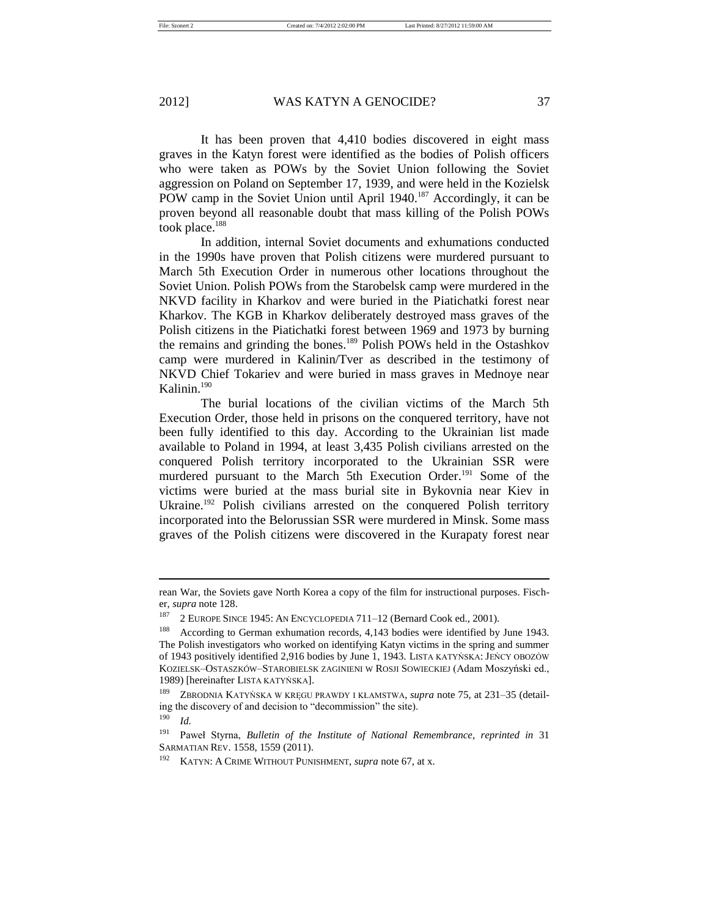It has been proven that 4,410 bodies discovered in eight mass graves in the Katyn forest were identified as the bodies of Polish officers who were taken as POWs by the Soviet Union following the Soviet aggression on Poland on September 17, 1939, and were held in the Kozielsk POW camp in the Soviet Union until April 1940.<sup>187</sup> Accordingly, it can be proven beyond all reasonable doubt that mass killing of the Polish POWs took place.<sup>188</sup>

In addition, internal Soviet documents and exhumations conducted in the 1990s have proven that Polish citizens were murdered pursuant to March 5th Execution Order in numerous other locations throughout the Soviet Union. Polish POWs from the Starobelsk camp were murdered in the NKVD facility in Kharkov and were buried in the Piatichatki forest near Kharkov. The KGB in Kharkov deliberately destroyed mass graves of the Polish citizens in the Piatichatki forest between 1969 and 1973 by burning the remains and grinding the bones.<sup>189</sup> Polish POWs held in the Ostashkov camp were murdered in Kalinin/Tver as described in the testimony of NKVD Chief Tokariev and were buried in mass graves in Mednoye near Kalinin.<sup>190</sup>

The burial locations of the civilian victims of the March 5th Execution Order, those held in prisons on the conquered territory, have not been fully identified to this day. According to the Ukrainian list made available to Poland in 1994, at least 3,435 Polish civilians arrested on the conquered Polish territory incorporated to the Ukrainian SSR were murdered pursuant to the March 5th Execution Order.<sup>191</sup> Some of the victims were buried at the mass burial site in Bykovnia near Kiev in Ukraine.<sup>192</sup> Polish civilians arrested on the conquered Polish territory incorporated into the Belorussian SSR were murdered in Minsk. Some mass graves of the Polish citizens were discovered in the Kurapaty forest near

<sup>190</sup> *Id.*

rean War, the Soviets gave North Korea a copy of the film for instructional purposes. Fischer, *supra* note 128.

<sup>187</sup> 2 EUROPE SINCE 1945: AN ENCYCLOPEDIA 711–12 (Bernard Cook ed., 2001).

<sup>188</sup> According to German exhumation records, 4,143 bodies were identified by June 1943. The Polish investigators who worked on identifying Katyn victims in the spring and summer of 1943 positively identified 2,916 bodies by June 1, 1943. LISTA KATYŃSKA: JEŃCY OBOZÓW KOZIELSK–OSTASZKÓW–STAROBIELSK ZAGINIENI W ROSJI SOWIECKIEJ (Adam Moszyński ed., 1989) [hereinafter LISTA KATYŃSKA].

<sup>189</sup> ZBRODNIA KATYŃSKA W KRĘGU PRAWDY I KŁAMSTWA, *supra* note 75, at 231–35 (detailing the discovery of and decision to "decommission" the site).

<sup>191</sup> Paweł Styrna, *Bulletin of the Institute of National Remembrance*, *reprinted in* 31 SARMATIAN REV. 1558, 1559 (2011).

<sup>192</sup> KATYN: A CRIME WITHOUT PUNISHMENT, *supra* note 67, at x.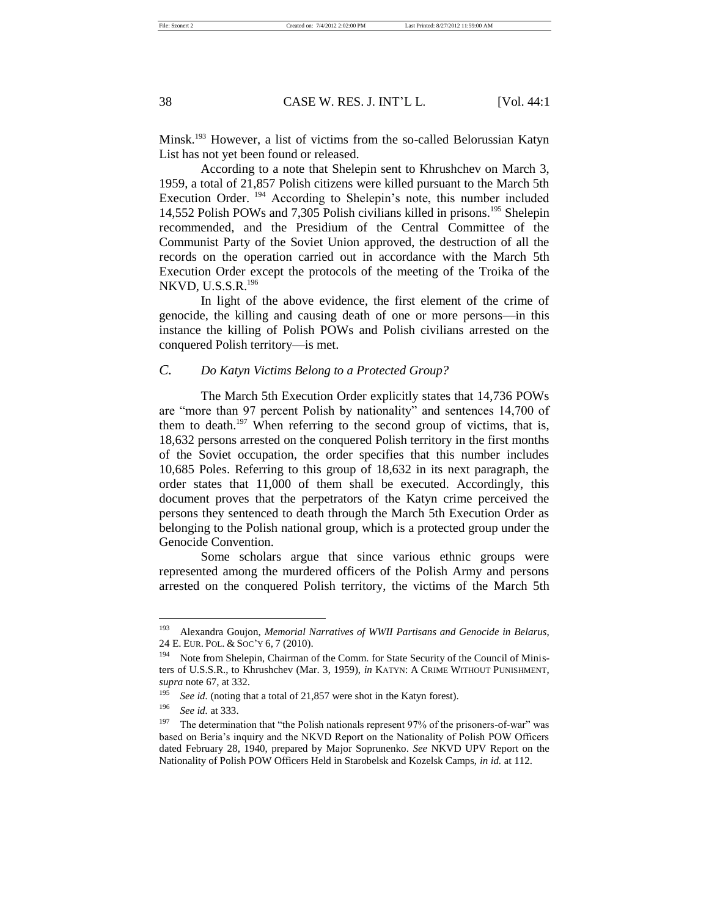Minsk.<sup>193</sup> However, a list of victims from the so-called Belorussian Katyn List has not yet been found or released.

According to a note that Shelepin sent to Khrushchev on March 3, 1959, a total of 21,857 Polish citizens were killed pursuant to the March 5th Execution Order.<sup>194</sup> According to Shelepin's note, this number included 14,552 Polish POWs and 7,305 Polish civilians killed in prisons.<sup>195</sup> Shelepin recommended, and the Presidium of the Central Committee of the Communist Party of the Soviet Union approved, the destruction of all the records on the operation carried out in accordance with the March 5th Execution Order except the protocols of the meeting of the Troika of the NKVD, U.S.S.R.<sup>196</sup>

In light of the above evidence, the first element of the crime of genocide, the killing and causing death of one or more persons—in this instance the killing of Polish POWs and Polish civilians arrested on the conquered Polish territory—is met.

# *C. Do Katyn Victims Belong to a Protected Group?*

The March 5th Execution Order explicitly states that 14,736 POWs are "more than 97 percent Polish by nationality" and sentences 14,700 of them to death.<sup>197</sup> When referring to the second group of victims, that is, 18,632 persons arrested on the conquered Polish territory in the first months of the Soviet occupation, the order specifies that this number includes 10,685 Poles. Referring to this group of 18,632 in its next paragraph, the order states that 11,000 of them shall be executed. Accordingly, this document proves that the perpetrators of the Katyn crime perceived the persons they sentenced to death through the March 5th Execution Order as belonging to the Polish national group, which is a protected group under the Genocide Convention.

Some scholars argue that since various ethnic groups were represented among the murdered officers of the Polish Army and persons arrested on the conquered Polish territory, the victims of the March 5th

<sup>193</sup> Alexandra Goujon, *Memorial Narratives of WWII Partisans and Genocide in Belarus*, 24 E. EUR. POL. & SOC'Y 6, 7 (2010).

<sup>&</sup>lt;sup>194</sup> Note from Shelepin, Chairman of the Comm. for State Security of the Council of Ministers of U.S.S.R., to Khrushchev (Mar. 3, 1959), *in* KATYN: A CRIME WITHOUT PUNISHMENT, *supra* note 67, at 332.

<sup>&</sup>lt;sup>195</sup> *See id.* (noting that a total of 21,857 were shot in the Katyn forest).

<sup>196</sup> *See id.* at 333.

<sup>&</sup>lt;sup>197</sup> The determination that "the Polish nationals represent 97% of the prisoners-of-war" was based on Beria's inquiry and the NKVD Report on the Nationality of Polish POW Officers dated February 28, 1940, prepared by Major Soprunenko. *See* NKVD UPV Report on the Nationality of Polish POW Officers Held in Starobelsk and Kozelsk Camps, *in id.* at 112.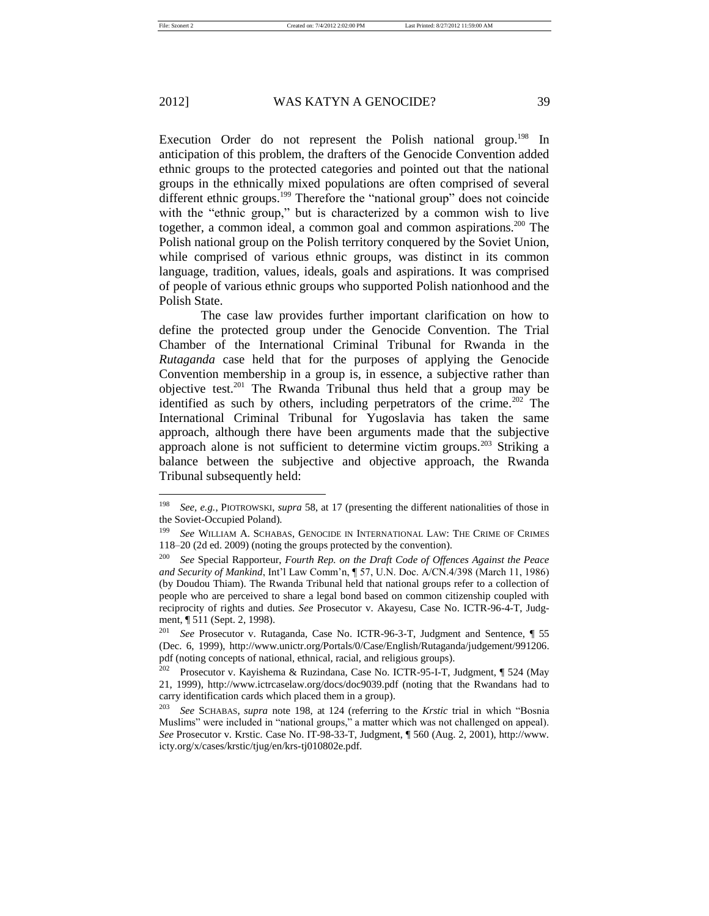Execution Order do not represent the Polish national group.<sup>198</sup> In anticipation of this problem, the drafters of the Genocide Convention added ethnic groups to the protected categories and pointed out that the national groups in the ethnically mixed populations are often comprised of several different ethnic groups.<sup>199</sup> Therefore the "national group" does not coincide with the "ethnic group," but is characterized by a common wish to live together, a common ideal, a common goal and common aspirations.<sup>200</sup> The Polish national group on the Polish territory conquered by the Soviet Union, while comprised of various ethnic groups, was distinct in its common language, tradition, values, ideals, goals and aspirations. It was comprised of people of various ethnic groups who supported Polish nationhood and the Polish State.

The case law provides further important clarification on how to define the protected group under the Genocide Convention. The Trial Chamber of the International Criminal Tribunal for Rwanda in the *Rutaganda* case held that for the purposes of applying the Genocide Convention membership in a group is, in essence, a subjective rather than objective test.<sup>201</sup> The Rwanda Tribunal thus held that a group may be identified as such by others, including perpetrators of the crime.<sup>202</sup> The International Criminal Tribunal for Yugoslavia has taken the same approach, although there have been arguments made that the subjective approach alone is not sufficient to determine victim groups.<sup>203</sup> Striking a balance between the subjective and objective approach, the Rwanda Tribunal subsequently held:

<sup>198</sup> *See, e.g.*, PIOTROWSKI, *supra* 58, at 17 (presenting the different nationalities of those in the Soviet-Occupied Poland).

<sup>&</sup>lt;sup>199</sup> See WILLIAM A. SCHABAS, GENOCIDE IN INTERNATIONAL LAW: THE CRIME OF CRIMES 118–20 (2d ed. 2009) (noting the groups protected by the convention).

<sup>200</sup> *See* Special Rapporteur, *Fourth Rep. on the Draft Code of Offences Against the Peace and Security of Mankind*, Int'l Law Comm'n, ¶ 57, U.N. Doc. A/CN.4/398 (March 11, 1986) (by Doudou Thiam). The Rwanda Tribunal held that national groups refer to a collection of people who are perceived to share a legal bond based on common citizenship coupled with reciprocity of rights and duties. *See* Prosecutor v. Akayesu*,* Case No. ICTR-96-4-T, Judgment, ¶ 511 (Sept. 2, 1998).

<sup>201</sup> *See* Prosecutor v. Rutaganda, Case No. ICTR-96-3-T, Judgment and Sentence, ¶ 55 (Dec. 6, 1999), http://www.unictr.org/Portals/0/Case/English/Rutaganda/judgement/991206. pdf (noting concepts of national, ethnical, racial, and religious groups).

<sup>&</sup>lt;sup>202</sup> Prosecutor v. Kayishema & Ruzindana, Case No. ICTR-95-I-T, Judgment,  $\sqrt{ }$  524 (May 21, 1999), http://www.ictrcaselaw.org/docs/doc9039.pdf (noting that the Rwandans had to carry identification cards which placed them in a group).

See SCHABAS, *supra* note 198, at 124 (referring to the *Krstic* trial in which "Bosnia Muslims" were included in "national groups," a matter which was not challenged on appeal). *See* Prosecutor v. Krstic*.* Case No. IT-98-33-T, Judgment, ¶ 560 (Aug. 2, 2001), http://www. icty.org/x/cases/krstic/tjug/en/krs-tj010802e.pdf.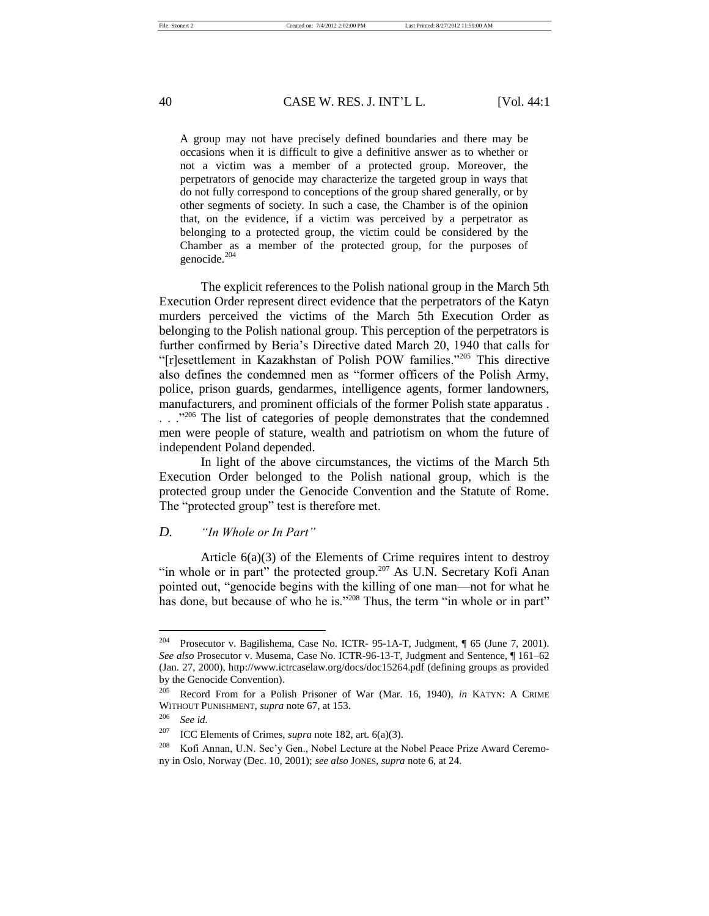A group may not have precisely defined boundaries and there may be occasions when it is difficult to give a definitive answer as to whether or not a victim was a member of a protected group. Moreover, the perpetrators of genocide may characterize the targeted group in ways that do not fully correspond to conceptions of the group shared generally, or by other segments of society. In such a case, the Chamber is of the opinion that, on the evidence, if a victim was perceived by a perpetrator as belonging to a protected group, the victim could be considered by the Chamber as a member of the protected group, for the purposes of genocide.<sup>204</sup>

The explicit references to the Polish national group in the March 5th Execution Order represent direct evidence that the perpetrators of the Katyn murders perceived the victims of the March 5th Execution Order as belonging to the Polish national group. This perception of the perpetrators is further confirmed by Beria's Directive dated March 20, 1940 that calls for "[r]esettlement in Kazakhstan of Polish POW families."<sup>205</sup> This directive also defines the condemned men as "former officers of the Polish Army, police, prison guards, gendarmes, intelligence agents, former landowners, manufacturers, and prominent officials of the former Polish state apparatus . ..."<sup>206</sup> The list of categories of people demonstrates that the condemned men were people of stature, wealth and patriotism on whom the future of independent Poland depended.

In light of the above circumstances, the victims of the March 5th Execution Order belonged to the Polish national group, which is the protected group under the Genocide Convention and the Statute of Rome. The "protected group" test is therefore met.

#### *D. "In Whole or In Part"*

Article 6(a)(3) of the Elements of Crime requires intent to destroy "in whole or in part" the protected group.<sup>207</sup> As U.N. Secretary Kofi Anan pointed out, "genocide begins with the killing of one man—not for what he has done, but because of who he is."<sup>208</sup> Thus, the term "in whole or in part"

<sup>204</sup> Prosecutor v. Bagilishema, Case No. ICTR- 95-1A-T, Judgment, ¶ 65 (June 7, 2001). *See also* Prosecutor v. Musema, Case No. ICTR-96-13-T, Judgment and Sentence, ¶ 161–62 (Jan. 27, 2000), http://www.ictrcaselaw.org/docs/doc15264.pdf (defining groups as provided by the Genocide Convention).

<sup>205</sup> Record From for a Polish Prisoner of War (Mar. 16, 1940), *in* KATYN: A CRIME WITHOUT PUNISHMENT, *supra* note 67, at 153.

<sup>206</sup> *See id.*

<sup>207</sup> ICC Elements of Crimes, *supra* note 182, art. 6(a)(3).

<sup>&</sup>lt;sup>208</sup> Kofi Annan, U.N. Sec'y Gen., Nobel Lecture at the Nobel Peace Prize Award Ceremony in Oslo, Norway (Dec. 10, 2001); *see also* JONES, *supra* note 6, at 24.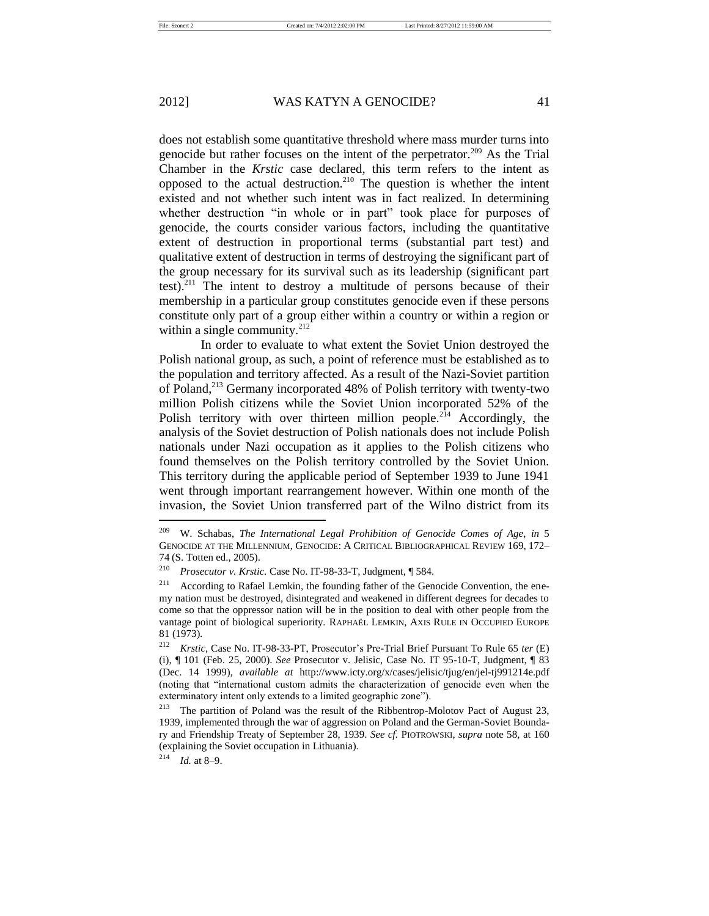does not establish some quantitative threshold where mass murder turns into genocide but rather focuses on the intent of the perpetrator.<sup>209</sup> As the Trial Chamber in the *Krstic* case declared, this term refers to the intent as opposed to the actual destruction.<sup>210</sup> The question is whether the intent existed and not whether such intent was in fact realized. In determining whether destruction "in whole or in part" took place for purposes of genocide, the courts consider various factors, including the quantitative extent of destruction in proportional terms (substantial part test) and qualitative extent of destruction in terms of destroying the significant part of the group necessary for its survival such as its leadership (significant part test).<sup>211</sup> The intent to destroy a multitude of persons because of their membership in a particular group constitutes genocide even if these persons constitute only part of a group either within a country or within a region or within a single community. $^{212}$ 

In order to evaluate to what extent the Soviet Union destroyed the Polish national group, as such, a point of reference must be established as to the population and territory affected. As a result of the Nazi-Soviet partition of Poland,<sup>213</sup> Germany incorporated 48% of Polish territory with twenty-two million Polish citizens while the Soviet Union incorporated 52% of the Polish territory with over thirteen million people.<sup>214</sup> Accordingly, the analysis of the Soviet destruction of Polish nationals does not include Polish nationals under Nazi occupation as it applies to the Polish citizens who found themselves on the Polish territory controlled by the Soviet Union. This territory during the applicable period of September 1939 to June 1941 went through important rearrangement however. Within one month of the invasion, the Soviet Union transferred part of the Wilno district from its

<sup>209</sup> W. Schabas, *The International Legal Prohibition of Genocide Comes of Age*, *in* 5 GENOCIDE AT THE MILLENNIUM, GENOCIDE: A CRITICAL BIBLIOGRAPHICAL REVIEW 169, 172– 74 (S. Totten ed., 2005).

<sup>210</sup> *Prosecutor v. Krstic.* Case No. IT-98-33-T, Judgment, ¶ 584.

<sup>&</sup>lt;sup>211</sup> According to Rafael Lemkin, the founding father of the Genocide Convention, the enemy nation must be destroyed, disintegrated and weakened in different degrees for decades to come so that the oppressor nation will be in the position to deal with other people from the vantage point of biological superiority. RAPHAËL LEMKIN, AXIS RULE IN OCCUPIED EUROPE 81 (1973).

<sup>212</sup> *Krstic*, Case No. IT-98-33-PT, Prosecutor's Pre-Trial Brief Pursuant To Rule 65 *ter* (E) (i), ¶ 101 (Feb. 25, 2000). *See* Prosecutor v. Jelisic, Case No. IT 95-10-T, Judgment, ¶ 83 (Dec. 14 1999), *available at* http://www.icty.org/x/cases/jelisic/tjug/en/jel-tj991214e.pdf (noting that "international custom admits the characterization of genocide even when the exterminatory intent only extends to a limited geographic zone").

<sup>&</sup>lt;sup>213</sup> The partition of Poland was the result of the Ribbentrop-Molotov Pact of August 23, 1939, implemented through the war of aggression on Poland and the German-Soviet Boundary and Friendship Treaty of September 28, 1939. *See cf.* PIOTROWSKI, *supra* note 58, at 160 (explaining the Soviet occupation in Lithuania).

<sup>214</sup> *Id.* at 8–9.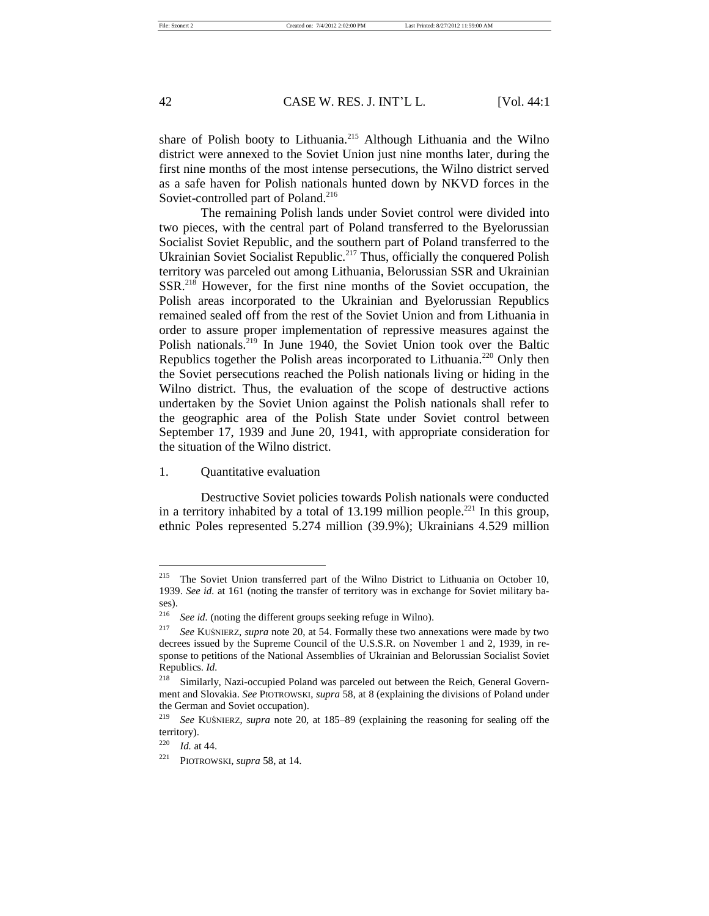share of Polish booty to Lithuania.<sup>215</sup> Although Lithuania and the Wilno district were annexed to the Soviet Union just nine months later, during the first nine months of the most intense persecutions, the Wilno district served as a safe haven for Polish nationals hunted down by NKVD forces in the Soviet-controlled part of Poland.<sup>216</sup>

The remaining Polish lands under Soviet control were divided into two pieces, with the central part of Poland transferred to the Byelorussian Socialist Soviet Republic, and the southern part of Poland transferred to the Ukrainian Soviet Socialist Republic.<sup>217</sup> Thus, officially the conquered Polish territory was parceled out among Lithuania, Belorussian SSR and Ukrainian SSR.<sup>218</sup> However, for the first nine months of the Soviet occupation, the Polish areas incorporated to the Ukrainian and Byelorussian Republics remained sealed off from the rest of the Soviet Union and from Lithuania in order to assure proper implementation of repressive measures against the Polish nationals.<sup>219</sup> In June 1940, the Soviet Union took over the Baltic Republics together the Polish areas incorporated to Lithuania.<sup>220</sup> Only then the Soviet persecutions reached the Polish nationals living or hiding in the Wilno district. Thus, the evaluation of the scope of destructive actions undertaken by the Soviet Union against the Polish nationals shall refer to the geographic area of the Polish State under Soviet control between September 17, 1939 and June 20, 1941, with appropriate consideration for the situation of the Wilno district.

1. Quantitative evaluation

Destructive Soviet policies towards Polish nationals were conducted in a territory inhabited by a total of 13.199 million people.<sup>221</sup> In this group, ethnic Poles represented 5.274 million (39.9%); Ukrainians 4.529 million

<sup>&</sup>lt;sup>215</sup> The Soviet Union transferred part of the Wilno District to Lithuania on October 10, 1939. *See id.* at 161 (noting the transfer of territory was in exchange for Soviet military bases).

<sup>&</sup>lt;sup>216</sup> *See id.* (noting the different groups seeking refuge in Wilno).

<sup>217</sup> *See* KUŚNIERZ, *supra* note 20, at 54. Formally these two annexations were made by two decrees issued by the Supreme Council of the U.S.S.R. on November 1 and 2, 1939, in response to petitions of the National Assemblies of Ukrainian and Belorussian Socialist Soviet Republics. *Id.*

<sup>218</sup> Similarly, Nazi-occupied Poland was parceled out between the Reich, General Government and Slovakia. *See* PIOTROWSKI, *supra* 58, at 8 (explaining the divisions of Poland under the German and Soviet occupation).

<sup>219</sup> *See* KUŚNIERZ, *supra* note 20, at 185–89 (explaining the reasoning for sealing off the territory).

<sup>220</sup> *Id.* at 44.

<sup>221</sup> PIOTROWSKI, *supra* 58, at 14.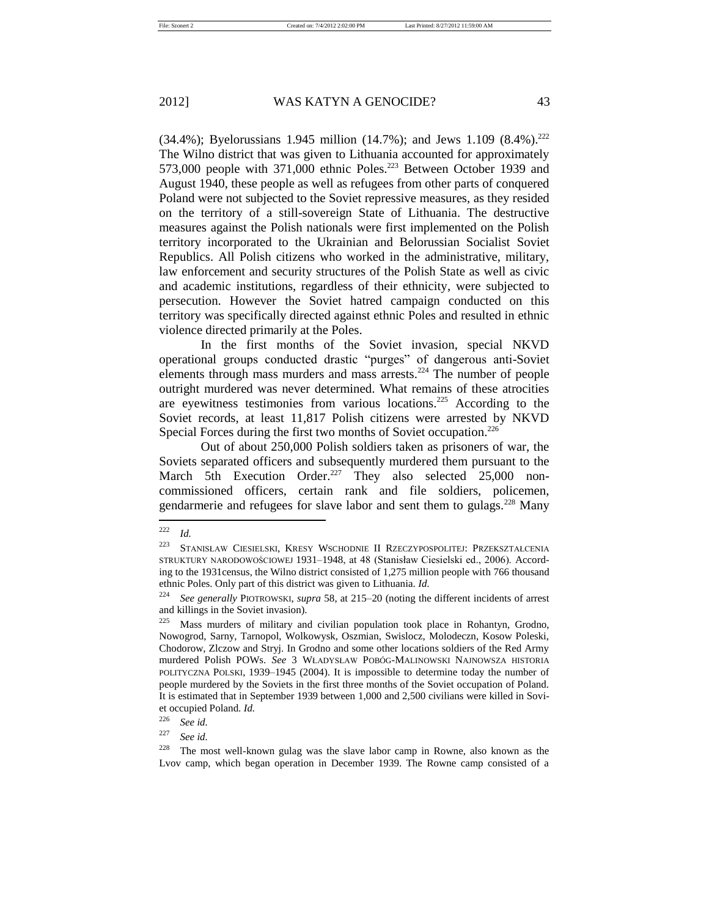(34.4%); Byelorussians 1.945 million (14.7%); and Jews 1.109 (8.4%).<sup>222</sup> The Wilno district that was given to Lithuania accounted for approximately 573,000 people with 371,000 ethnic Poles.<sup>223</sup> Between October 1939 and August 1940, these people as well as refugees from other parts of conquered Poland were not subjected to the Soviet repressive measures, as they resided on the territory of a still-sovereign State of Lithuania. The destructive measures against the Polish nationals were first implemented on the Polish territory incorporated to the Ukrainian and Belorussian Socialist Soviet Republics. All Polish citizens who worked in the administrative, military, law enforcement and security structures of the Polish State as well as civic and academic institutions, regardless of their ethnicity, were subjected to persecution. However the Soviet hatred campaign conducted on this territory was specifically directed against ethnic Poles and resulted in ethnic violence directed primarily at the Poles.

In the first months of the Soviet invasion, special NKVD operational groups conducted drastic "purges" of dangerous anti-Soviet elements through mass murders and mass arrests.<sup>224</sup> The number of people outright murdered was never determined. What remains of these atrocities are eyewitness testimonies from various locations.<sup>225</sup> According to the Soviet records, at least 11,817 Polish citizens were arrested by NKVD Special Forces during the first two months of Soviet occupation. $226$ 

Out of about 250,000 Polish soldiers taken as prisoners of war, the Soviets separated officers and subsequently murdered them pursuant to the March 5th Execution Order.<sup>227</sup> They also selected 25,000 noncommissioned officers, certain rank and file soldiers, policemen, gendarmerie and refugees for slave labor and sent them to gulags.<sup>228</sup> Many

<sup>222</sup> *Id.*

<sup>223</sup> STANISŁAW CIESIELSKI, KRESY WSCHODNIE II RZECZYPOSPOLITEJ: PRZEKSZTAŁCENIA STRUKTURY NARODOWOŚCIOWEJ 1931–1948, at 48 (Stanisław Ciesielski ed., 2006). According to the 1931census, the Wilno district consisted of 1,275 million people with 766 thousand ethnic Poles. Only part of this district was given to Lithuania. *Id.*

<sup>224</sup> *See generally* PIOTROWSKI, *supra* 58, at 215–20 (noting the different incidents of arrest and killings in the Soviet invasion).

<sup>&</sup>lt;sup>225</sup> Mass murders of military and civilian population took place in Rohantyn, Grodno, Nowogrod, Sarny, Tarnopol, Wolkowysk, Oszmian, Swislocz, Molodeczn, Kosow Poleski, Chodorow, Zlczow and Stryj. In Grodno and some other locations soldiers of the Red Army murdered Polish POWs. *See* 3 WŁADYSŁAW POBÓG-MALINOWSKI NAJNOWSZA HISTORIA POLITYCZNA POLSKI, 1939–1945 (2004). It is impossible to determine today the number of people murdered by the Soviets in the first three months of the Soviet occupation of Poland. It is estimated that in September 1939 between 1,000 and 2,500 civilians were killed in Soviet occupied Poland. *Id.*

<sup>&</sup>lt;sup>226</sup> *See id.*  $\frac{227}{8}$  *See id.* 

See *id.* 

 $228$  The most well-known gulag was the slave labor camp in Rowne, also known as the Lvov camp, which began operation in December 1939. The Rowne camp consisted of a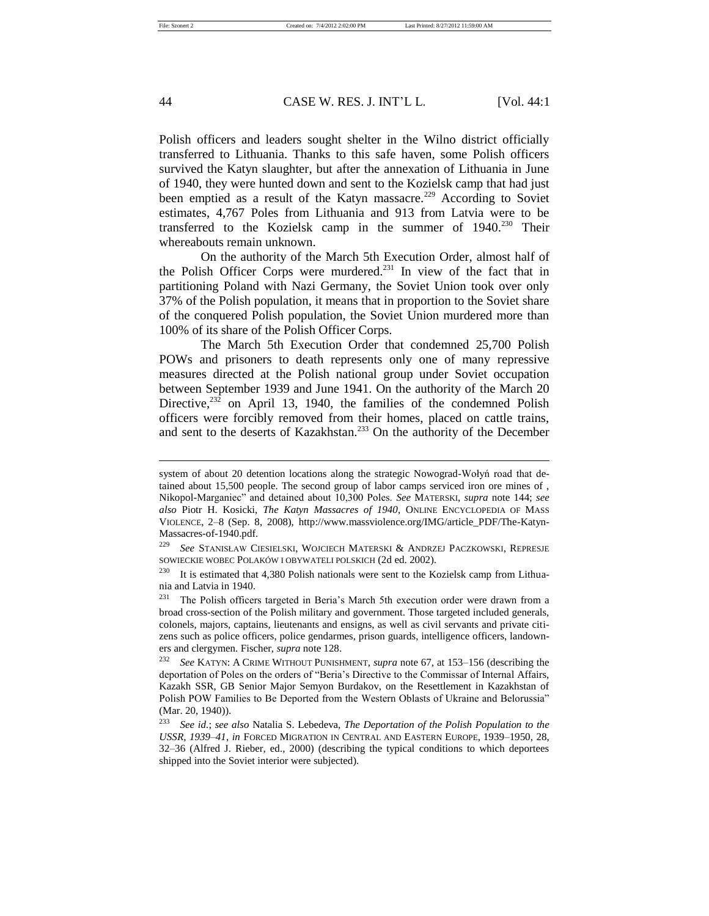Polish officers and leaders sought shelter in the Wilno district officially transferred to Lithuania. Thanks to this safe haven, some Polish officers survived the Katyn slaughter, but after the annexation of Lithuania in June of 1940, they were hunted down and sent to the Kozielsk camp that had just been emptied as a result of the Katyn massacre.<sup>229</sup> According to Soviet estimates, 4,767 Poles from Lithuania and 913 from Latvia were to be transferred to the Kozielsk camp in the summer of 1940.<sup>230</sup> Their whereabouts remain unknown.

On the authority of the March 5th Execution Order, almost half of the Polish Officer Corps were murdered.<sup>231</sup> In view of the fact that in partitioning Poland with Nazi Germany, the Soviet Union took over only 37% of the Polish population, it means that in proportion to the Soviet share of the conquered Polish population, the Soviet Union murdered more than 100% of its share of the Polish Officer Corps.

The March 5th Execution Order that condemned 25,700 Polish POWs and prisoners to death represents only one of many repressive measures directed at the Polish national group under Soviet occupation between September 1939 and June 1941. On the authority of the March 20 Directive, $23\overline{2}$  on April 13, 1940, the families of the condemned Polish officers were forcibly removed from their homes, placed on cattle trains, and sent to the deserts of Kazakhstan.<sup>233</sup> On the authority of the December

system of about 20 detention locations along the strategic Nowograd-Wołyń road that detained about 15,500 people. The second group of labor camps serviced iron ore mines of , Nikopol-Marganiec" and detained about 10,300 Poles. *See* MATERSKI, *supra* note 144; *see also* Piotr H. Kosicki, *The Katyn Massacres of 1940*, ONLINE ENCYCLOPEDIA OF MASS VIOLENCE, 2–8 (Sep. 8, 2008), http://www.massviolence.org/IMG/article\_PDF/The-Katyn-Massacres-of-1940.pdf.

<sup>229</sup> *See* STANISŁAW CIESIELSKI, WOJCIECH MATERSKI & ANDRZEJ PACZKOWSKI, REPRESJE SOWIECKIE WOBEC POLAKÓW I OBYWATELI POLSKICH (2d ed. 2002).

 $230$  It is estimated that 4,380 Polish nationals were sent to the Kozielsk camp from Lithuania and Latvia in 1940.

<sup>&</sup>lt;sup>231</sup> The Polish officers targeted in Beria's March 5th execution order were drawn from a broad cross-section of the Polish military and government. Those targeted included generals, colonels, majors, captains, lieutenants and ensigns, as well as civil servants and private citizens such as police officers, police gendarmes, prison guards, intelligence officers, landowners and clergymen. Fischer, *supra* note 128.

<sup>232</sup> *See* KATYN: A CRIME WITHOUT PUNISHMENT, *supra* note 67, at 153–156 (describing the deportation of Poles on the orders of "Beria's Directive to the Commissar of Internal Affairs, Kazakh SSR, GB Senior Major Semyon Burdakov, on the Resettlement in Kazakhstan of Polish POW Families to Be Deported from the Western Oblasts of Ukraine and Belorussia" (Mar. 20, 1940)).

<sup>233</sup> *See id.*; *see also* Natalia S. Lebedeva, *The Deportation of the Polish Population to the USSR, 1939–41*, *in* FORCED MIGRATION IN CENTRAL AND EASTERN EUROPE, 1939–1950, 28, 32–36 (Alfred J. Rieber, ed., 2000) (describing the typical conditions to which deportees shipped into the Soviet interior were subjected).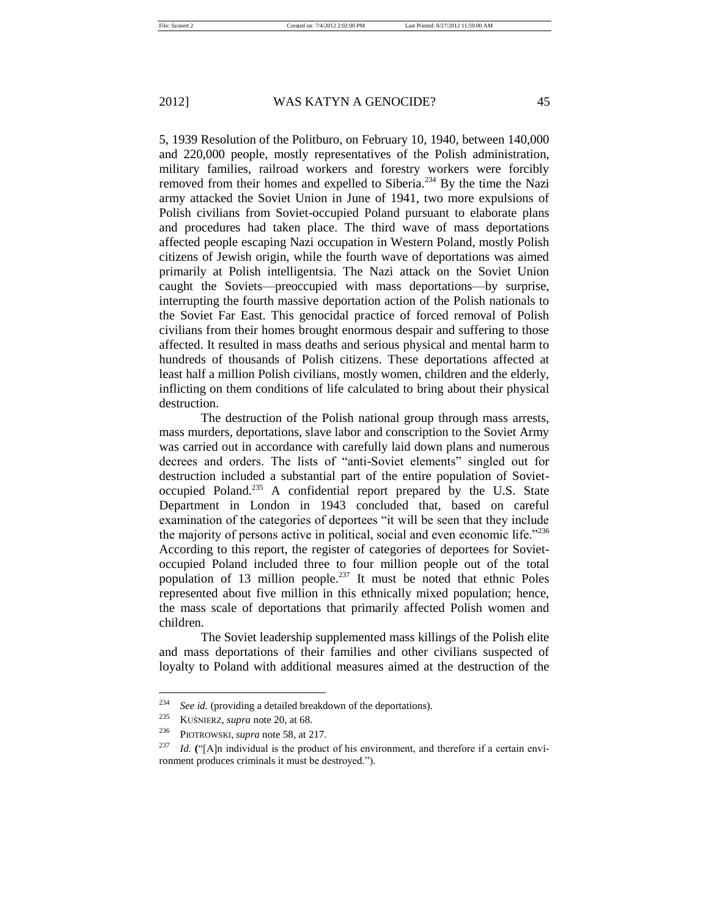5, 1939 Resolution of the Politburo, on February 10, 1940, between 140,000 and 220,000 people, mostly representatives of the Polish administration, military families, railroad workers and forestry workers were forcibly removed from their homes and expelled to Siberia.<sup>234</sup> By the time the Nazi army attacked the Soviet Union in June of 1941, two more expulsions of Polish civilians from Soviet-occupied Poland pursuant to elaborate plans and procedures had taken place. The third wave of mass deportations affected people escaping Nazi occupation in Western Poland, mostly Polish citizens of Jewish origin, while the fourth wave of deportations was aimed primarily at Polish intelligentsia. The Nazi attack on the Soviet Union caught the Soviets—preoccupied with mass deportations—by surprise, interrupting the fourth massive deportation action of the Polish nationals to the Soviet Far East. This genocidal practice of forced removal of Polish civilians from their homes brought enormous despair and suffering to those affected. It resulted in mass deaths and serious physical and mental harm to hundreds of thousands of Polish citizens. These deportations affected at least half a million Polish civilians, mostly women, children and the elderly, inflicting on them conditions of life calculated to bring about their physical destruction.

The destruction of the Polish national group through mass arrests, mass murders, deportations, slave labor and conscription to the Soviet Army was carried out in accordance with carefully laid down plans and numerous decrees and orders. The lists of "anti-Soviet elements" singled out for destruction included a substantial part of the entire population of Sovietoccupied Poland.<sup>235</sup> A confidential report prepared by the U.S. State Department in London in 1943 concluded that, based on careful examination of the categories of deportees "it will be seen that they include the majority of persons active in political, social and even economic life."<sup>236</sup> According to this report, the register of categories of deportees for Sovietoccupied Poland included three to four million people out of the total population of 13 million people.<sup>237</sup> It must be noted that ethnic Poles represented about five million in this ethnically mixed population; hence, the mass scale of deportations that primarily affected Polish women and children.

The Soviet leadership supplemented mass killings of the Polish elite and mass deportations of their families and other civilians suspected of loyalty to Poland with additional measures aimed at the destruction of the

<sup>&</sup>lt;sup>234</sup> *See id.* (providing a detailed breakdown of the deportations).<br><sup>235</sup> **KUŚNIEPZ**, sunga pote 20, at 68

<sup>&</sup>lt;sup>235</sup> KUŚNIERZ, *supra* note 20, at 68.<br><sup>236</sup> Programski supra note 58 at 2

PIOTROWSKI, *supra* note 58, at 217.

<sup>&</sup>lt;sup>237</sup> *Id.* ("[A]n individual is the product of his environment, and therefore if a certain environment produces criminals it must be destroyed.").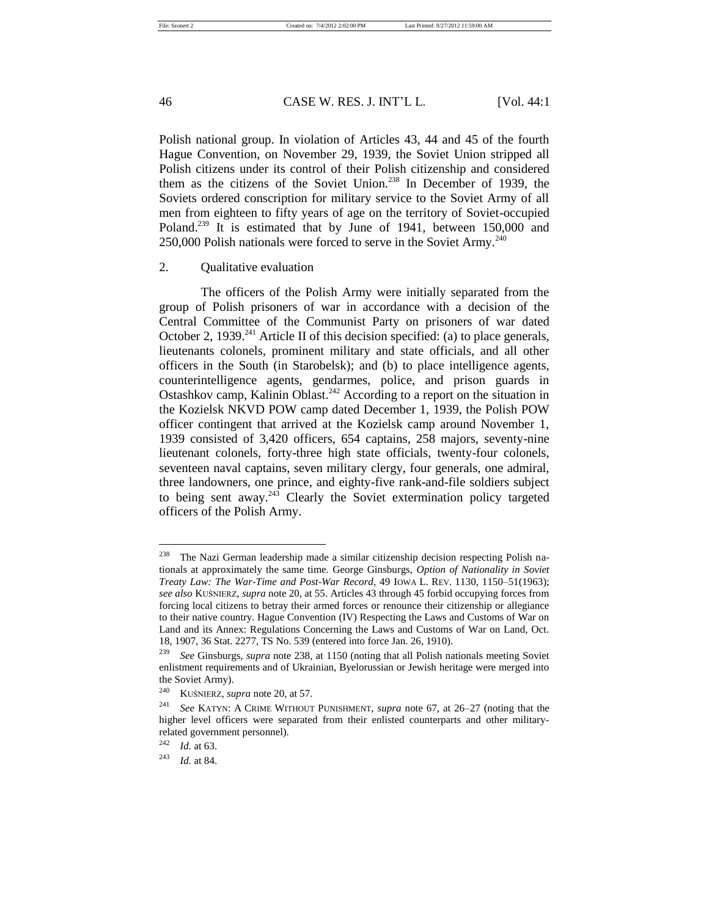Polish national group. In violation of Articles 43, 44 and 45 of the fourth Hague Convention, on November 29, 1939, the Soviet Union stripped all Polish citizens under its control of their Polish citizenship and considered them as the citizens of the Soviet Union.<sup>238</sup> In December of 1939, the Soviets ordered conscription for military service to the Soviet Army of all men from eighteen to fifty years of age on the territory of Soviet-occupied Poland.<sup>239</sup> It is estimated that by June of 1941, between 150,000 and 250,000 Polish nationals were forced to serve in the Soviet Army.<sup>240</sup>

### 2. Qualitative evaluation

The officers of the Polish Army were initially separated from the group of Polish prisoners of war in accordance with a decision of the Central Committee of the Communist Party on prisoners of war dated October 2, 1939.<sup>241</sup> Article II of this decision specified: (a) to place generals, lieutenants colonels, prominent military and state officials, and all other officers in the South (in Starobelsk); and (b) to place intelligence agents, counterintelligence agents, gendarmes, police, and prison guards in Ostashkov camp, Kalinin Oblast.<sup>242</sup> According to a report on the situation in the Kozielsk NKVD POW camp dated December 1, 1939, the Polish POW officer contingent that arrived at the Kozielsk camp around November 1, 1939 consisted of 3,420 officers, 654 captains, 258 majors, seventy-nine lieutenant colonels, forty-three high state officials, twenty-four colonels, seventeen naval captains, seven military clergy, four generals, one admiral, three landowners, one prince, and eighty-five rank-and-file soldiers subject to being sent away.<sup>243</sup> Clearly the Soviet extermination policy targeted officers of the Polish Army.

 $238$  The Nazi German leadership made a similar citizenship decision respecting Polish nationals at approximately the same time. George Ginsburgs, *Option of Nationality in Soviet Treaty Law: The War-Time and Post-War Record*, 49 IOWA L. REV. 1130, 1150–51(1963); *see also* KUŚNIERZ, *supra* note 20, at 55. Articles 43 through 45 forbid occupying forces from forcing local citizens to betray their armed forces or renounce their citizenship or allegiance to their native country. Hague Convention (IV) Respecting the Laws and Customs of War on Land and its Annex: Regulations Concerning the Laws and Customs of War on Land, Oct. 18, 1907, 36 Stat. 2277, TS No. 539 (entered into force Jan. 26, 1910).

<sup>239</sup> *See* Ginsburgs, *supra* note 238, at 1150 (noting that all Polish nationals meeting Soviet enlistment requirements and of Ukrainian, Byelorussian or Jewish heritage were merged into the Soviet Army).

<sup>240</sup> KUŚNIERZ, *supra* note 20, at 57.

<sup>241</sup> *See* KATYN: A CRIME WITHOUT PUNISHMENT, *supra* note 67, at 26–27 (noting that the higher level officers were separated from their enlisted counterparts and other militaryrelated government personnel).

<sup>242</sup> *Id.* at 63.

<sup>243</sup> *Id.* at 84.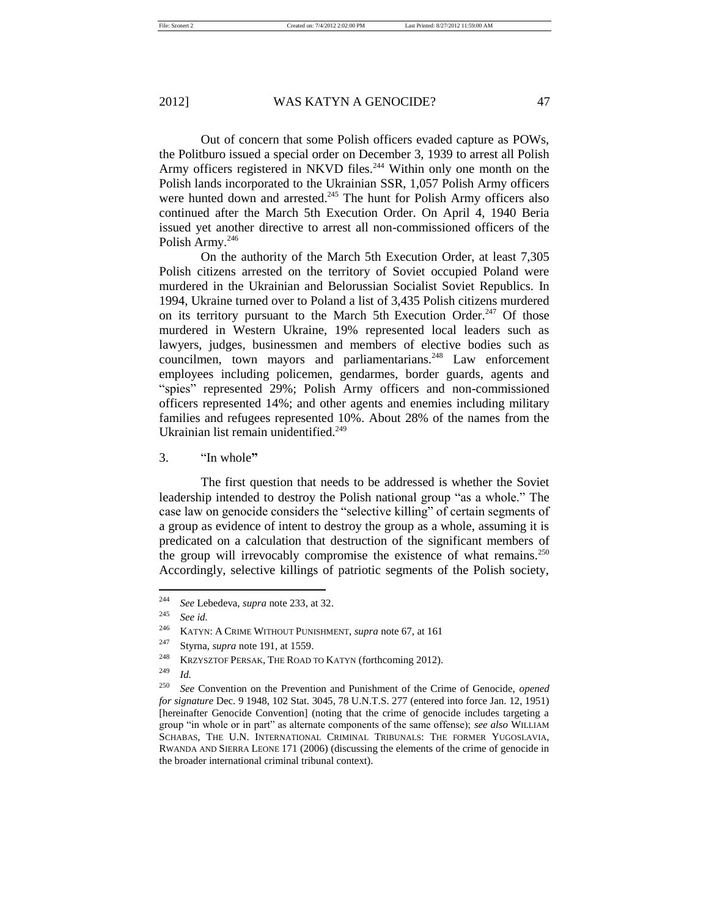Out of concern that some Polish officers evaded capture as POWs, the Politburo issued a special order on December 3, 1939 to arrest all Polish Army officers registered in NKVD files.<sup>244</sup> Within only one month on the Polish lands incorporated to the Ukrainian SSR, 1,057 Polish Army officers were hunted down and arrested.<sup>245</sup> The hunt for Polish Army officers also continued after the March 5th Execution Order. On April 4, 1940 Beria

On the authority of the March 5th Execution Order, at least 7,305 Polish citizens arrested on the territory of Soviet occupied Poland were murdered in the Ukrainian and Belorussian Socialist Soviet Republics. In 1994, Ukraine turned over to Poland a list of 3,435 Polish citizens murdered on its territory pursuant to the March 5th Execution Order.<sup>247</sup> Of those murdered in Western Ukraine, 19% represented local leaders such as lawyers, judges, businessmen and members of elective bodies such as councilmen, town mayors and parliamentarians.<sup>248</sup> Law enforcement employees including policemen, gendarmes, border guards, agents and "spies" represented 29%; Polish Army officers and non-commissioned officers represented 14%; and other agents and enemies including military families and refugees represented 10%. About 28% of the names from the Ukrainian list remain unidentified.<sup>249</sup>

issued yet another directive to arrest all non-commissioned officers of the

3. "In whole**"**

Polish Army.<sup>246</sup>

The first question that needs to be addressed is whether the Soviet leadership intended to destroy the Polish national group "as a whole." The case law on genocide considers the "selective killing" of certain segments of a group as evidence of intent to destroy the group as a whole, assuming it is predicated on a calculation that destruction of the significant members of the group will irrevocably compromise the existence of what remains.<sup>250</sup> Accordingly, selective killings of patriotic segments of the Polish society,

<sup>244</sup> *See* Lebedeva, *supra* note 233, at 32.

<sup>245</sup> *See id.* 

<sup>246</sup> KATYN: A CRIME WITHOUT PUNISHMENT, *supra* note 67, at 161

<sup>247</sup> Styrna, *supra* note 191, at 1559.

<sup>&</sup>lt;sup>248</sup> KRZYSZTOF PERSAK, THE ROAD TO KATYN (forthcoming 2012).

<sup>249</sup> *Id.* 

<sup>250</sup> *See* Convention on the Prevention and Punishment of the Crime of Genocide, *opened for signature* Dec. 9 1948, 102 Stat. 3045, 78 U.N.T.S. 277 (entered into force Jan. 12, 1951) [hereinafter Genocide Convention] (noting that the crime of genocide includes targeting a group "in whole or in part" as alternate components of the same offense); *see also* WILLIAM SCHABAS, THE U.N. INTERNATIONAL CRIMINAL TRIBUNALS: THE FORMER YUGOSLAVIA, RWANDA AND SIERRA LEONE 171 (2006) (discussing the elements of the crime of genocide in the broader international criminal tribunal context).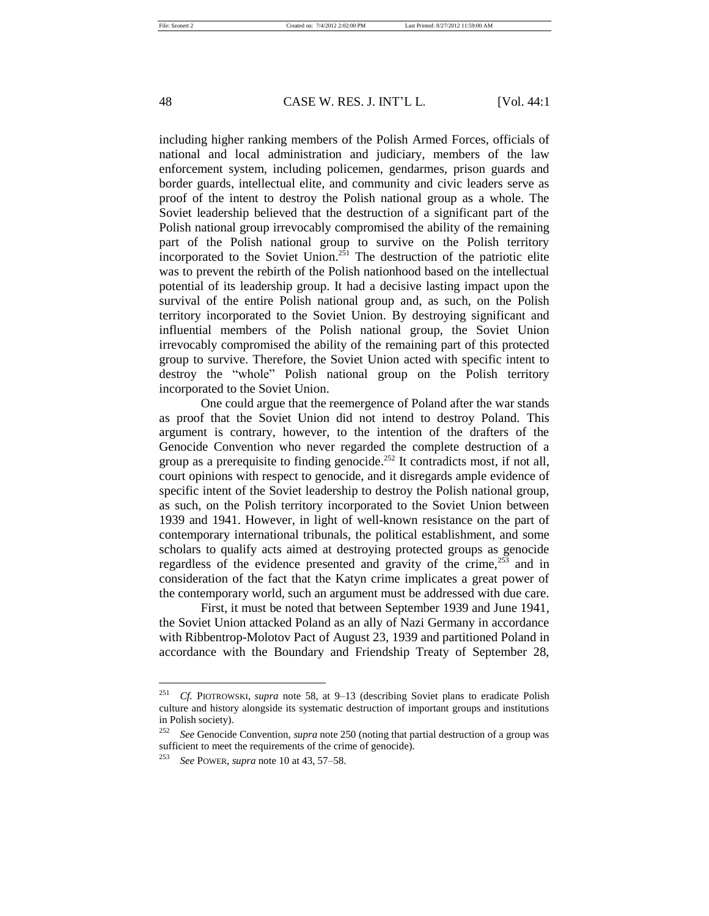including higher ranking members of the Polish Armed Forces, officials of national and local administration and judiciary, members of the law enforcement system, including policemen, gendarmes, prison guards and border guards, intellectual elite, and community and civic leaders serve as proof of the intent to destroy the Polish national group as a whole. The Soviet leadership believed that the destruction of a significant part of the Polish national group irrevocably compromised the ability of the remaining part of the Polish national group to survive on the Polish territory incorporated to the Soviet Union.<sup>251</sup> The destruction of the patriotic elite was to prevent the rebirth of the Polish nationhood based on the intellectual potential of its leadership group. It had a decisive lasting impact upon the survival of the entire Polish national group and, as such, on the Polish territory incorporated to the Soviet Union. By destroying significant and influential members of the Polish national group, the Soviet Union irrevocably compromised the ability of the remaining part of this protected group to survive. Therefore, the Soviet Union acted with specific intent to destroy the "whole" Polish national group on the Polish territory incorporated to the Soviet Union.

One could argue that the reemergence of Poland after the war stands as proof that the Soviet Union did not intend to destroy Poland. This argument is contrary, however, to the intention of the drafters of the Genocide Convention who never regarded the complete destruction of a group as a prerequisite to finding genocide. <sup>252</sup> It contradicts most, if not all, court opinions with respect to genocide, and it disregards ample evidence of specific intent of the Soviet leadership to destroy the Polish national group, as such, on the Polish territory incorporated to the Soviet Union between 1939 and 1941. However, in light of well-known resistance on the part of contemporary international tribunals, the political establishment, and some scholars to qualify acts aimed at destroying protected groups as genocide regardless of the evidence presented and gravity of the crime, $253$  and in consideration of the fact that the Katyn crime implicates a great power of the contemporary world, such an argument must be addressed with due care.

First, it must be noted that between September 1939 and June 1941, the Soviet Union attacked Poland as an ally of Nazi Germany in accordance with Ribbentrop-Molotov Pact of August 23, 1939 and partitioned Poland in accordance with the Boundary and Friendship Treaty of September 28,

<sup>251</sup> *Cf.* PIOTROWSKI, *supra* note 58, at 9–13 (describing Soviet plans to eradicate Polish culture and history alongside its systematic destruction of important groups and institutions in Polish society).

<sup>252</sup> *See* Genocide Convention, *supra* note 250 (noting that partial destruction of a group was sufficient to meet the requirements of the crime of genocide).

<sup>253</sup> *See* POWER, *supra* note 10 at 43, 57–58.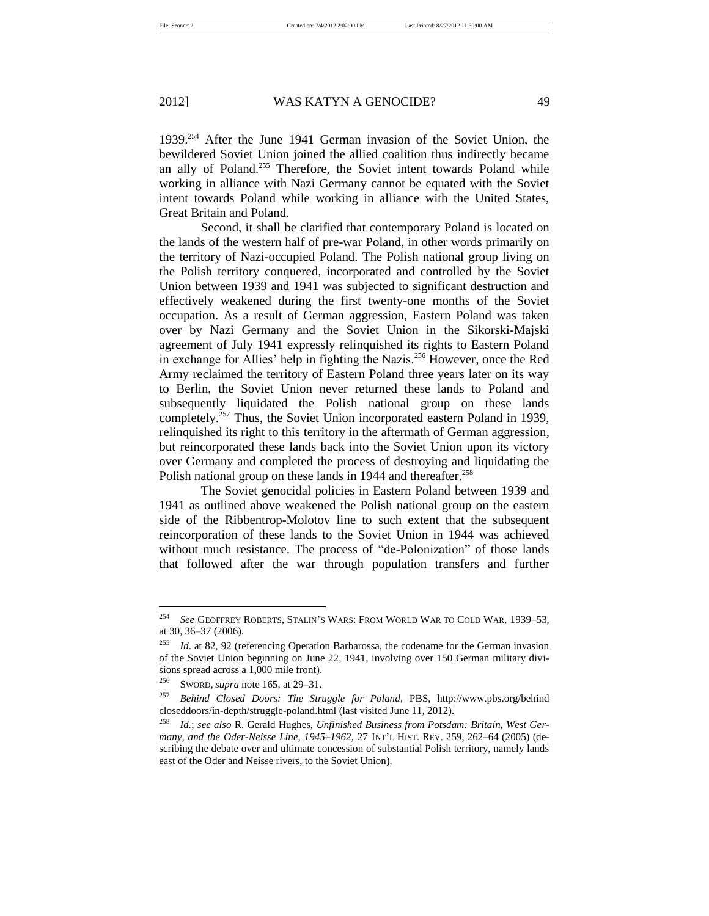1939.<sup>254</sup> After the June 1941 German invasion of the Soviet Union, the bewildered Soviet Union joined the allied coalition thus indirectly became an ally of Poland.<sup>255</sup> Therefore, the Soviet intent towards Poland while working in alliance with Nazi Germany cannot be equated with the Soviet intent towards Poland while working in alliance with the United States, Great Britain and Poland.

Second, it shall be clarified that contemporary Poland is located on the lands of the western half of pre-war Poland, in other words primarily on the territory of Nazi-occupied Poland. The Polish national group living on the Polish territory conquered, incorporated and controlled by the Soviet Union between 1939 and 1941 was subjected to significant destruction and effectively weakened during the first twenty-one months of the Soviet occupation. As a result of German aggression, Eastern Poland was taken over by Nazi Germany and the Soviet Union in the Sikorski-Majski agreement of July 1941 expressly relinquished its rights to Eastern Poland in exchange for Allies' help in fighting the Nazis.<sup>256</sup> However, once the Red Army reclaimed the territory of Eastern Poland three years later on its way to Berlin, the Soviet Union never returned these lands to Poland and subsequently liquidated the Polish national group on these lands completely.<sup>257</sup> Thus, the Soviet Union incorporated eastern Poland in 1939, relinquished its right to this territory in the aftermath of German aggression, but reincorporated these lands back into the Soviet Union upon its victory over Germany and completed the process of destroying and liquidating the Polish national group on these lands in 1944 and thereafter.<sup>258</sup>

The Soviet genocidal policies in Eastern Poland between 1939 and 1941 as outlined above weakened the Polish national group on the eastern side of the Ribbentrop-Molotov line to such extent that the subsequent reincorporation of these lands to the Soviet Union in 1944 was achieved without much resistance. The process of "de-Polonization" of those lands that followed after the war through population transfers and further

<sup>254</sup> *See* GEOFFREY ROBERTS, STALIN'S WARS: FROM WORLD WAR TO COLD WAR, 1939–53, at 30, 36–37 (2006).

<sup>255</sup> *Id*. at 82, 92 (referencing Operation Barbarossa, the codename for the German invasion of the Soviet Union beginning on June 22, 1941, involving over 150 German military divisions spread across a 1,000 mile front).

<sup>256</sup> SWORD, *supra* note 165, at 29–31.

<sup>257</sup> *Behind Closed Doors: The Struggle for Poland*, PBS, http://www.pbs.org/behind closeddoors/in-depth/struggle-poland.html (last visited June 11, 2012).

<sup>258</sup> *Id.*; *see also* R. Gerald Hughes, *Unfinished Business from Potsdam: Britain, West Germany, and the Oder-Neisse Line, 1945–1962*, 27 INT'L HIST. REV. 259, 262–64 (2005) (describing the debate over and ultimate concession of substantial Polish territory, namely lands east of the Oder and Neisse rivers, to the Soviet Union).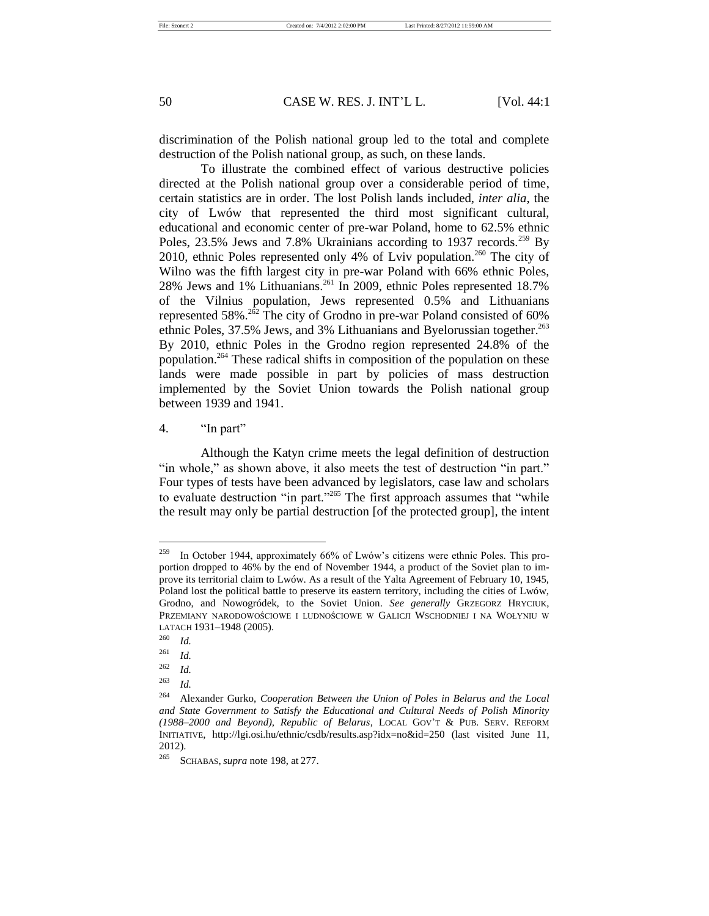discrimination of the Polish national group led to the total and complete destruction of the Polish national group, as such, on these lands.

To illustrate the combined effect of various destructive policies directed at the Polish national group over a considerable period of time, certain statistics are in order. The lost Polish lands included, *inter alia*, the city of Lwów that represented the third most significant cultural, educational and economic center of pre-war Poland, home to 62.5% ethnic Poles,  $23.5\%$  Jews and 7.8% Ukrainians according to 1937 records.<sup>259</sup> By 2010, ethnic Poles represented only 4% of Lviv population.<sup>260</sup> The city of Wilno was the fifth largest city in pre-war Poland with 66% ethnic Poles, 28% Jews and 1% Lithuanians.<sup>261</sup> In 2009, ethnic Poles represented 18.7% of the Vilnius population, Jews represented 0.5% and Lithuanians represented 58%.<sup>262</sup> The city of Grodno in pre-war Poland consisted of 60% ethnic Poles, 37.5% Jews, and 3% Lithuanians and Byelorussian together.<sup>263</sup> By 2010, ethnic Poles in the Grodno region represented 24.8% of the population. <sup>264</sup> These radical shifts in composition of the population on these lands were made possible in part by policies of mass destruction implemented by the Soviet Union towards the Polish national group between 1939 and 1941.

4. "In part"

Although the Katyn crime meets the legal definition of destruction "in whole," as shown above, it also meets the test of destruction "in part." Four types of tests have been advanced by legislators, case law and scholars to evaluate destruction "in part."<sup>265</sup> The first approach assumes that "while the result may only be partial destruction [of the protected group], the intent

In October 1944, approximately 66% of Lwów's citizens were ethnic Poles. This proportion dropped to 46% by the end of November 1944, a product of the Soviet plan to improve its territorial claim to Lwów. As a result of the Yalta Agreement of February 10, 1945, Poland lost the political battle to preserve its eastern territory, including the cities of Lwów, Grodno, and Nowogródek, to the Soviet Union. *See generally* GRZEGORZ HRYCIUK, PRZEMIANY NARODOWOŚCIOWE I LUDNOŚCIOWE W GALICJI WSCHODNIEJ I NA WOŁYNIU W LATACH 1931–1948 (2005).

<sup>260</sup> *Id.* 

<sup>261</sup> *Id.*

<sup>262</sup> *Id.*

<sup>263</sup> *Id.*

<sup>264</sup> Alexander Gurko, *Cooperation Between the Union of Poles in Belarus and the Local and State Government to Satisfy the Educational and Cultural Needs of Polish Minority (1988–2000 and Beyond), Republic of Belarus*, LOCAL GOV'T & PUB. SERV. REFORM INITIATIVE, http://lgi.osi.hu/ethnic/csdb/results.asp?idx=no&id=250 (last visited June 11, 2012).

<sup>265</sup> SCHABAS, *supra* note 198, at 277.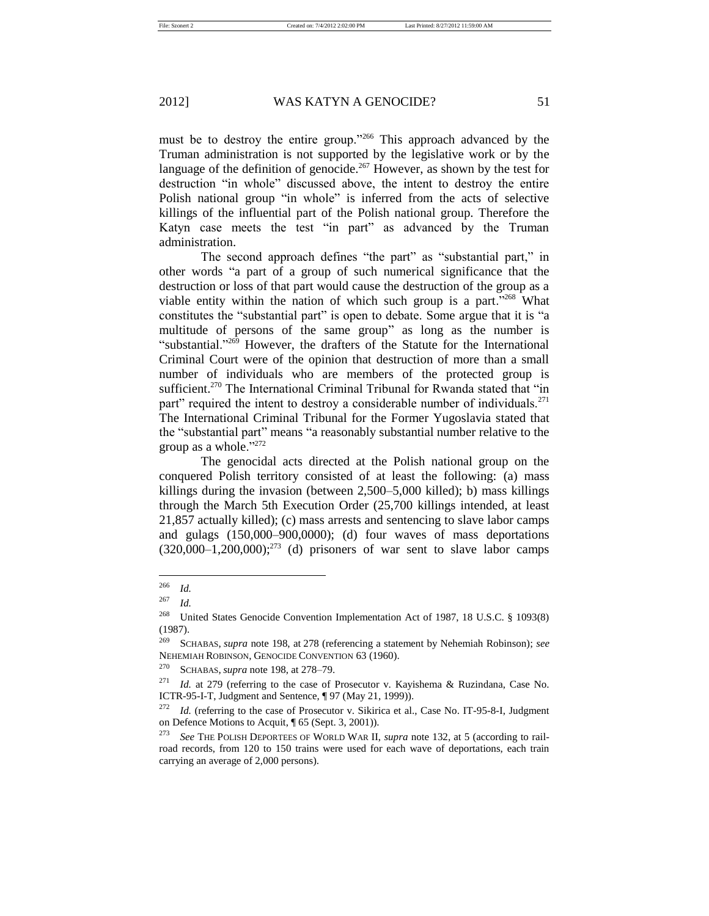must be to destroy the entire group."<sup>266</sup> This approach advanced by the Truman administration is not supported by the legislative work or by the language of the definition of genocide.<sup>267</sup> However, as shown by the test for destruction "in whole" discussed above, the intent to destroy the entire Polish national group "in whole" is inferred from the acts of selective killings of the influential part of the Polish national group. Therefore the Katyn case meets the test "in part" as advanced by the Truman administration.

The second approach defines "the part" as "substantial part," in other words "a part of a group of such numerical significance that the destruction or loss of that part would cause the destruction of the group as a viable entity within the nation of which such group is a part." $268$  What constitutes the "substantial part" is open to debate. Some argue that it is "a multitude of persons of the same group" as long as the number is "substantial." $269$  However, the drafters of the Statute for the International Criminal Court were of the opinion that destruction of more than a small number of individuals who are members of the protected group is sufficient.<sup>270</sup> The International Criminal Tribunal for Rwanda stated that "in part" required the intent to destroy a considerable number of individuals.<sup>271</sup> The International Criminal Tribunal for the Former Yugoslavia stated that the "substantial part" means "a reasonably substantial number relative to the group as a whole."<sup>272</sup>

The genocidal acts directed at the Polish national group on the conquered Polish territory consisted of at least the following: (a) mass killings during the invasion (between 2,500–5,000 killed); b) mass killings through the March 5th Execution Order (25,700 killings intended, at least 21,857 actually killed); (c) mass arrests and sentencing to slave labor camps and gulags (150,000–900,0000); (d) four waves of mass deportations  $(320,000-1,200,000);^{273}$  (d) prisoners of war sent to slave labor camps

<sup>266</sup> *Id.*

<sup>267</sup> *Id.*

<sup>268</sup> United States Genocide Convention Implementation Act of 1987, 18 U.S.C. § 1093(8) (1987).

<sup>269</sup> SCHABAS, *supra* note 198, at 278 (referencing a statement by Nehemiah Robinson); *see* NEHEMIAH ROBINSON, GENOCIDE CONVENTION 63 (1960).

<sup>270</sup> SCHABAS, *supra* note 198, at 278–79.

<sup>271</sup> *Id.* at 279 (referring to the case of Prosecutor v. Kayishema & Ruzindana, Case No. ICTR-95-I-T, Judgment and Sentence, ¶ 97 (May 21, 1999)).

<sup>272</sup> *Id.* (referring to the case of Prosecutor v. Sikirica et al., Case No. IT-95-8-I, Judgment on Defence Motions to Acquit, ¶ 65 (Sept. 3, 2001)).

<sup>273</sup> *See* THE POLISH DEPORTEES OF WORLD WAR II, *supra* note 132, at 5 (according to railroad records, from 120 to 150 trains were used for each wave of deportations, each train carrying an average of 2,000 persons).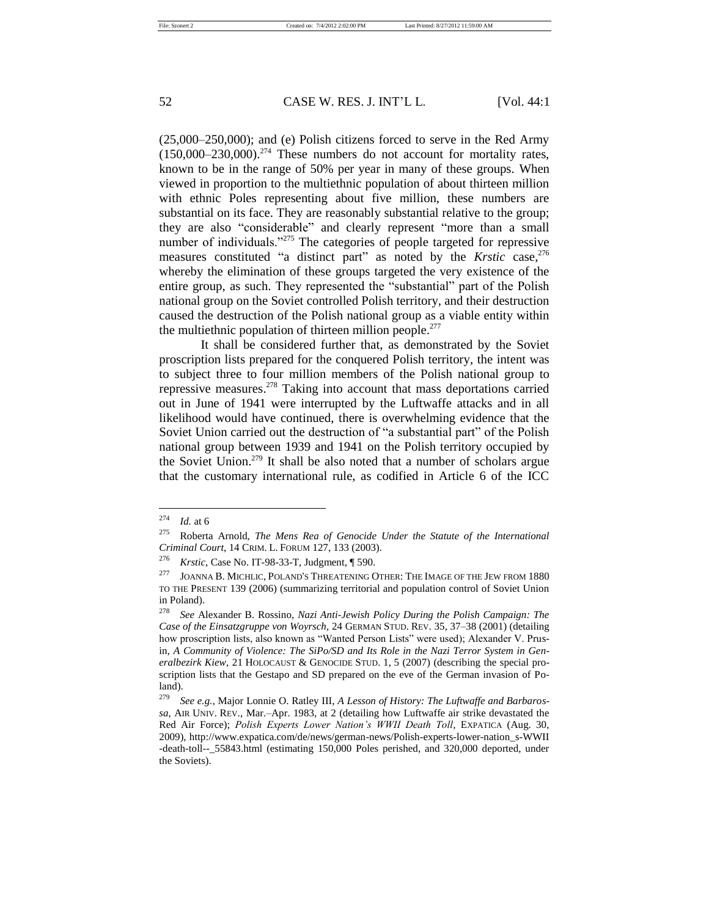(25,000–250,000); and (e) Polish citizens forced to serve in the Red Army  $(150,000-230,000)$ <sup>274</sup> These numbers do not account for mortality rates, known to be in the range of 50% per year in many of these groups. When viewed in proportion to the multiethnic population of about thirteen million with ethnic Poles representing about five million, these numbers are substantial on its face. They are reasonably substantial relative to the group; they are also "considerable" and clearly represent "more than a small number of individuals."<sup>275</sup> The categories of people targeted for repressive measures constituted "a distinct part" as noted by the *Krstic* case,<sup>276</sup> whereby the elimination of these groups targeted the very existence of the entire group, as such. They represented the "substantial" part of the Polish national group on the Soviet controlled Polish territory, and their destruction caused the destruction of the Polish national group as a viable entity within the multiethnic population of thirteen million people. $277$ 

It shall be considered further that, as demonstrated by the Soviet proscription lists prepared for the conquered Polish territory, the intent was to subject three to four million members of the Polish national group to repressive measures. <sup>278</sup> Taking into account that mass deportations carried out in June of 1941 were interrupted by the Luftwaffe attacks and in all likelihood would have continued, there is overwhelming evidence that the Soviet Union carried out the destruction of "a substantial part" of the Polish national group between 1939 and 1941 on the Polish territory occupied by the Soviet Union.<sup>279</sup> It shall be also noted that a number of scholars argue that the customary international rule, as codified in Article 6 of the ICC

<sup>274</sup> *Id.* at 6

<sup>275</sup> Roberta Arnold, *The Mens Rea of Genocide Under the Statute of the International Criminal Court*, 14 CRIM. L. FORUM 127, 133 (2003).

<sup>276</sup> *Krstic*, Case No. IT-98-33-T, Judgment, ¶ 590.

<sup>&</sup>lt;sup>277</sup> JOANNA B. MICHLIC, POLAND'S THREATENING OTHER: THE IMAGE OF THE JEW FROM 1880 TO THE PRESENT 139 (2006) (summarizing territorial and population control of Soviet Union in Poland).

<sup>278</sup> *See* Alexander B. Rossino, *Nazi Anti-Jewish Policy During the Polish Campaign: The Case of the Einsatzgruppe von Woyrsch*, 24 GERMAN STUD. REV. 35, 37–38 (2001) (detailing how proscription lists, also known as "Wanted Person Lists" were used); Alexander V. Prusin, *A Community of Violence: The SiPo/SD and Its Role in the Nazi Terror System in Generalbezirk Kiew*, 21 HOLOCAUST & GENOCIDE STUD. 1, 5 (2007) (describing the special proscription lists that the Gestapo and SD prepared on the eve of the German invasion of Poland).

<sup>279</sup> *See e.g.*, Major Lonnie O. Ratley III, *A Lesson of History: The Luftwaffe and Barbarossa*, AIR UNIV. REV., Mar.–Apr. 1983, at 2 (detailing how Luftwaffe air strike devastated the Red Air Force); *Polish Experts Lower Nation's WWII Death Toll*, EXPATICA (Aug. 30, 2009), http://www.expatica.com/de/news/german-news/Polish-experts-lower-nation\_s-WWII -death-toll--\_55843.html (estimating 150,000 Poles perished, and 320,000 deported, under the Soviets).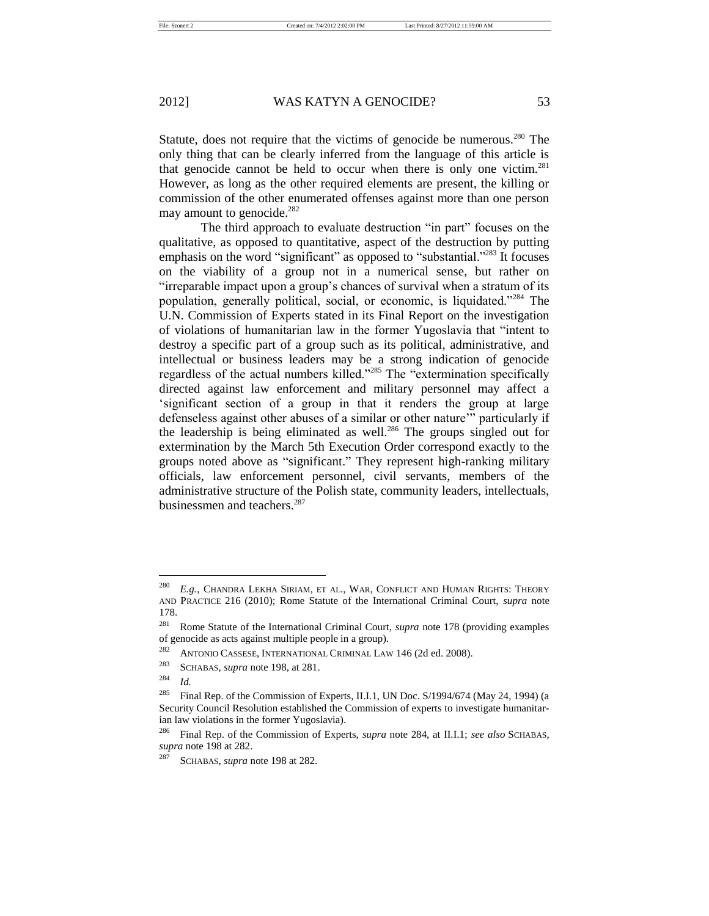Statute, does not require that the victims of genocide be numerous.<sup>280</sup> The only thing that can be clearly inferred from the language of this article is that genocide cannot be held to occur when there is only one victim.<sup>281</sup> However, as long as the other required elements are present, the killing or commission of the other enumerated offenses against more than one person may amount to genocide. $^{282}$ 

The third approach to evaluate destruction "in part" focuses on the qualitative, as opposed to quantitative, aspect of the destruction by putting emphasis on the word "significant" as opposed to "substantial."<sup>283</sup> It focuses on the viability of a group not in a numerical sense, but rather on "irreparable impact upon a group's chances of survival when a stratum of its population, generally political, social, or economic, is liquidated."<sup>284</sup> The U.N. Commission of Experts stated in its Final Report on the investigation of violations of humanitarian law in the former Yugoslavia that "intent to destroy a specific part of a group such as its political, administrative, and intellectual or business leaders may be a strong indication of genocide regardless of the actual numbers killed."<sup>285</sup> The "extermination specifically directed against law enforcement and military personnel may affect a 'significant section of a group in that it renders the group at large defenseless against other abuses of a similar or other nature'" particularly if the leadership is being eliminated as well.<sup>286</sup> The groups singled out for extermination by the March 5th Execution Order correspond exactly to the groups noted above as "significant." They represent high-ranking military officials, law enforcement personnel, civil servants, members of the administrative structure of the Polish state, community leaders, intellectuals, businessmen and teachers.<sup>287</sup>

<sup>&</sup>lt;sup>280</sup> E.g., CHANDRA LEKHA SIRIAM, ET AL., WAR, CONFLICT AND HUMAN RIGHTS: THEORY AND PRACTICE 216 (2010); Rome Statute of the International Criminal Court, *supra* note 178.

<sup>281</sup> Rome Statute of the International Criminal Court, *supra* note 178 (providing examples of genocide as acts against multiple people in a group).

<sup>282</sup> ANTONIO CASSESE, INTERNATIONAL CRIMINAL LAW 146 (2d ed. 2008).

<sup>283</sup> SCHABAS, *supra* note 198, at 281.

 $284$  *Id.* 

<sup>&</sup>lt;sup>285</sup> Final Rep. of the Commission of Experts, II.I.1, UN Doc.  $S/1994/674$  (May 24, 1994) (a Security Council Resolution established the Commission of experts to investigate humanitarian law violations in the former Yugoslavia).

<sup>286</sup> Final Rep. of the Commission of Experts, *supra* note 284, at II.I.1; *see also* SCHABAS, *supra* note 198 at 282.

<sup>287</sup> SCHABAS, *supra* note 198 at 282.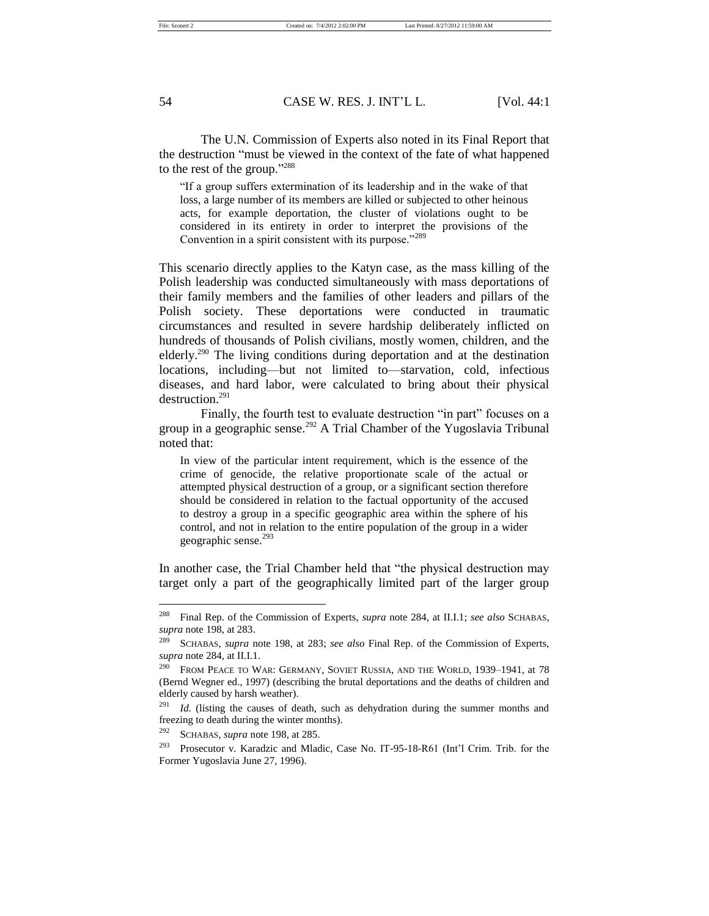The U.N. Commission of Experts also noted in its Final Report that the destruction "must be viewed in the context of the fate of what happened to the rest of the group."<sup>288</sup>

"If a group suffers extermination of its leadership and in the wake of that loss, a large number of its members are killed or subjected to other heinous acts, for example deportation, the cluster of violations ought to be considered in its entirety in order to interpret the provisions of the Convention in a spirit consistent with its purpose."<sup>289</sup>

This scenario directly applies to the Katyn case, as the mass killing of the Polish leadership was conducted simultaneously with mass deportations of their family members and the families of other leaders and pillars of the Polish society. These deportations were conducted in traumatic circumstances and resulted in severe hardship deliberately inflicted on hundreds of thousands of Polish civilians, mostly women, children, and the elderly.<sup>290</sup> The living conditions during deportation and at the destination locations, including—but not limited to—starvation, cold, infectious diseases, and hard labor, were calculated to bring about their physical destruction.<sup>291</sup>

Finally, the fourth test to evaluate destruction "in part" focuses on a group in a geographic sense.<sup>292</sup> A Trial Chamber of the Yugoslavia Tribunal noted that:

In view of the particular intent requirement, which is the essence of the crime of genocide, the relative proportionate scale of the actual or attempted physical destruction of a group, or a significant section therefore should be considered in relation to the factual opportunity of the accused to destroy a group in a specific geographic area within the sphere of his control, and not in relation to the entire population of the group in a wider geographic sense.<sup>293</sup>

In another case, the Trial Chamber held that "the physical destruction may target only a part of the geographically limited part of the larger group

<sup>288</sup> Final Rep. of the Commission of Experts, *supra* note 284, at II.I.1; *see also* SCHABAS, *supra* note 198, at 283.

<sup>289</sup> SCHABAS, *supra* note 198, at 283; *see also* Final Rep. of the Commission of Experts, *supra* note 284, at II.I.1.

<sup>&</sup>lt;sup>290</sup> FROM PEACE TO WAR: GERMANY, SOVIET RUSSIA, AND THE WORLD, 1939-1941, at 78 (Bernd Wegner ed., 1997) (describing the brutal deportations and the deaths of children and elderly caused by harsh weather).

<sup>&</sup>lt;sup>291</sup> *Id.* (listing the causes of death, such as dehydration during the summer months and freezing to death during the winter months).

<sup>292</sup> SCHABAS, *supra* note 198, at 285.

<sup>&</sup>lt;sup>293</sup> Prosecutor v. Karadzic and Mladic, Case No. IT-95-18-R61 (Int'l Crim. Trib. for the Former Yugoslavia June 27, 1996).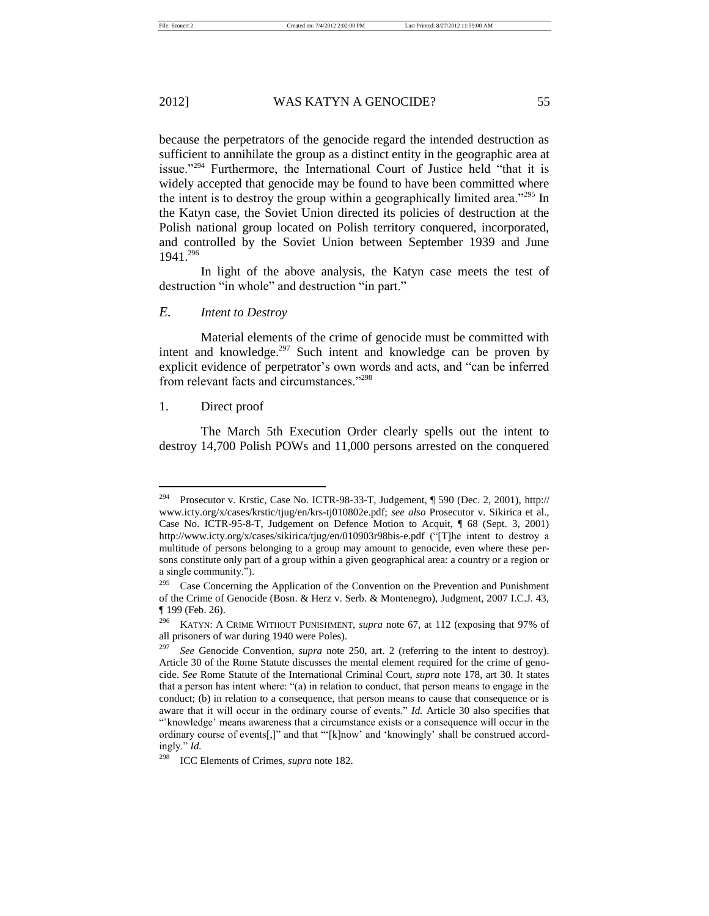because the perpetrators of the genocide regard the intended destruction as sufficient to annihilate the group as a distinct entity in the geographic area at issue."<sup>294</sup> Furthermore, the International Court of Justice held "that it is widely accepted that genocide may be found to have been committed where the intent is to destroy the group within a geographically limited area."<sup>295</sup> In the Katyn case, the Soviet Union directed its policies of destruction at the Polish national group located on Polish territory conquered, incorporated, and controlled by the Soviet Union between September 1939 and June 1941.<sup>296</sup>

In light of the above analysis, the Katyn case meets the test of destruction "in whole" and destruction "in part."

# *E. Intent to Destroy*

Material elements of the crime of genocide must be committed with intent and knowledge.<sup>297</sup> Such intent and knowledge can be proven by explicit evidence of perpetrator's own words and acts, and "can be inferred from relevant facts and circumstances."<sup>298</sup>

# 1. Direct proof

The March 5th Execution Order clearly spells out the intent to destroy 14,700 Polish POWs and 11,000 persons arrested on the conquered

<sup>294</sup> Prosecutor v. Krstic, Case No. ICTR-98-33-T, Judgement, ¶ 590 (Dec. 2, 2001), [http://](http://www.icty.org/x/cases/krstic/tjug/en/krs-tj010802e.pdf) [www.icty.org/x/cases/krstic/tjug/en/krs-tj010802e.pdf;](http://www.icty.org/x/cases/krstic/tjug/en/krs-tj010802e.pdf) *see also* Prosecutor v. Sikirica et al., Case No. ICTR-95-8-T, Judgement on Defence Motion to Acquit, ¶ 68 (Sept. 3, 2001) <http://www.icty.org/x/cases/sikirica/tjug/en/010903r98bis-e.pdf> ("[T]he intent to destroy a multitude of persons belonging to a group may amount to genocide, even where these persons constitute only part of a group within a given geographical area: a country or a region or a single community.").

Case Concerning the Application of the Convention on the Prevention and Punishment of the Crime of Genocide (Bosn. & Herz v. Serb. & Montenegro), Judgment, 2007 I.C.J. 43, ¶ 199 (Feb. 26).

<sup>296</sup> KATYN: A CRIME WITHOUT PUNISHMENT, *supra* note 67, at 112 (exposing that 97% of all prisoners of war during 1940 were Poles).

See Genocide Convention, *supra* note 250, art. 2 (referring to the intent to destroy). Article 30 of the Rome Statute discusses the mental element required for the crime of genocide. *See* Rome Statute of the International Criminal Court, *supra* note 178, art 30. It states that a person has intent where: "(a) in relation to conduct, that person means to engage in the conduct; (b) in relation to a consequence, that person means to cause that consequence or is aware that it will occur in the ordinary course of events." *Id.* Article 30 also specifies that "'knowledge' means awareness that a circumstance exists or a consequence will occur in the ordinary course of events[,]" and that "'[k]now' and 'knowingly' shall be construed accordingly." *Id.*

<sup>298</sup> ICC Elements of Crimes, *supra* note 182.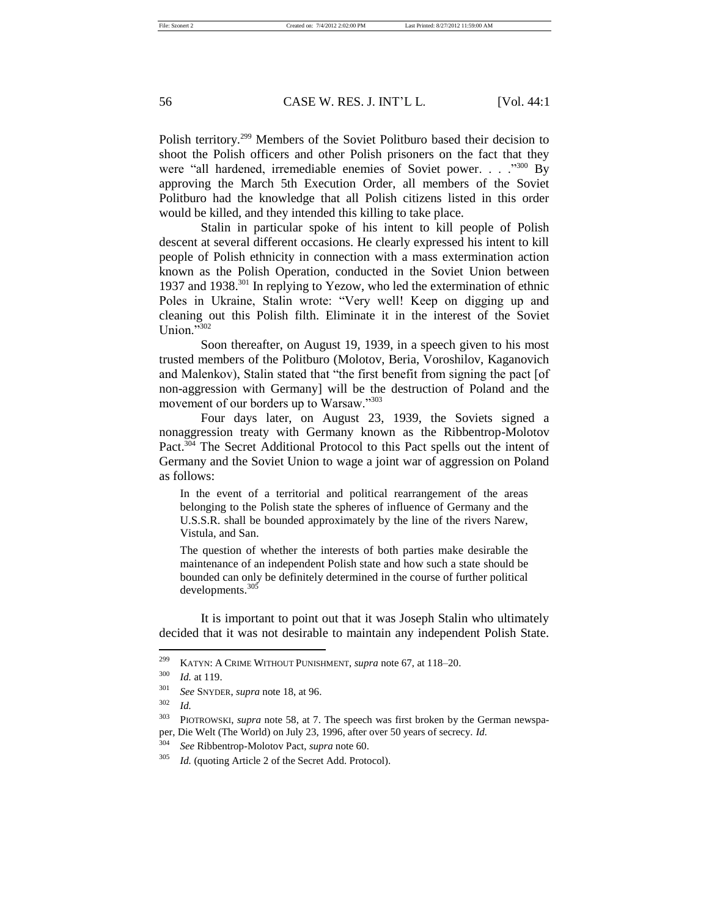Polish territory.<sup>299</sup> Members of the Soviet Politburo based their decision to shoot the Polish officers and other Polish prisoners on the fact that they were "all hardened, irremediable enemies of Soviet power. . . . . "300 By approving the March 5th Execution Order, all members of the Soviet Politburo had the knowledge that all Polish citizens listed in this order would be killed, and they intended this killing to take place.

Stalin in particular spoke of his intent to kill people of Polish descent at several different occasions. He clearly expressed his intent to kill people of Polish ethnicity in connection with a mass extermination action known as the Polish Operation, conducted in the Soviet Union between 1937 and 1938.<sup>301</sup> In replying to Yezow, who led the extermination of ethnic Poles in Ukraine, Stalin wrote: "Very well! Keep on digging up and cleaning out this Polish filth. Eliminate it in the interest of the Soviet Union. $\frac{1}{2}302$ 

Soon thereafter, on August 19, 1939, in a speech given to his most trusted members of the Politburo (Molotov, Beria, Voroshilov, Kaganovich and Malenkov), Stalin stated that "the first benefit from signing the pact [of non-aggression with Germany] will be the destruction of Poland and the movement of our borders up to Warsaw."303

Four days later, on August 23, 1939, the Soviets signed a nonaggression treaty with Germany known as the Ribbentrop-Molotov Pact.<sup>304</sup> The Secret Additional Protocol to this Pact spells out the intent of Germany and the Soviet Union to wage a joint war of aggression on Poland as follows:

In the event of a territorial and political rearrangement of the areas belonging to the Polish state the spheres of influence of Germany and the U.S.S.R. shall be bounded approximately by the line of the rivers Narew, Vistula, and San.

The question of whether the interests of both parties make desirable the maintenance of an independent Polish state and how such a state should be bounded can only be definitely determined in the course of further political developments.<sup>305</sup>

It is important to point out that it was Joseph Stalin who ultimately decided that it was not desirable to maintain any independent Polish State.

<sup>299</sup> KATYN: A CRIME WITHOUT PUNISHMENT, *supra* note 67, at 118–20.

<sup>300</sup> *Id.* at 119.

<sup>301</sup> *See* SNYDER, *supra* note 18, at 96.

<sup>302</sup> *Id.*

<sup>303</sup> PIOTROWSKI, *supra* note 58, at 7. The speech was first broken by the German newspaper, Die Welt (The World) on July 23, 1996, after over 50 years of secrecy. *Id.*

<sup>304</sup> *See* Ribbentrop-Molotov Pact, *supra* note 60.

<sup>305</sup> *Id.* (quoting Article 2 of the Secret Add. Protocol).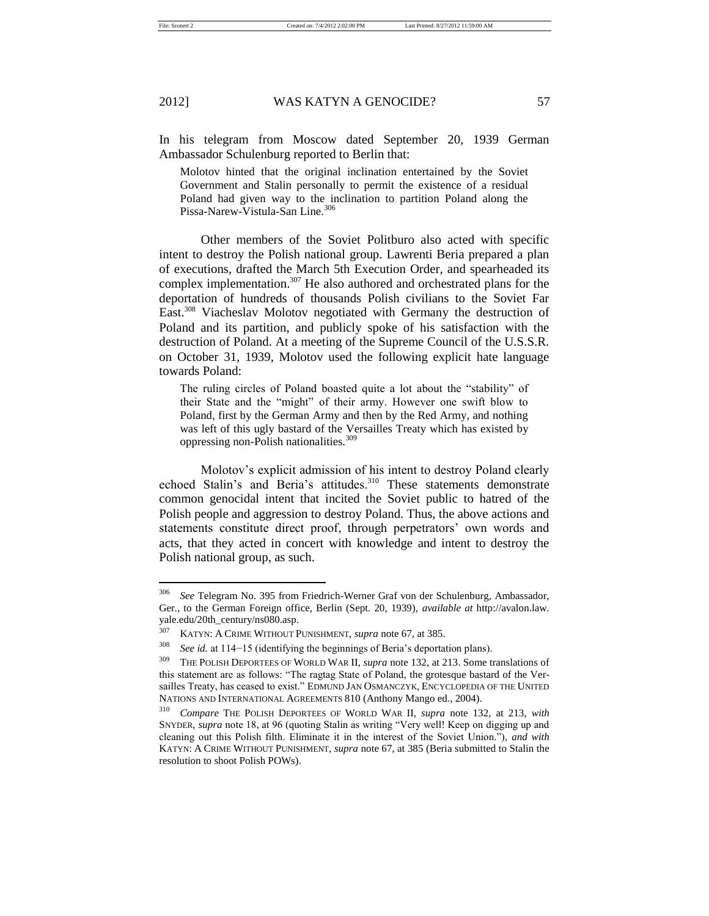File: Szonert 2 Created on: 7/4/2012 2:02:00 PM Last Printed: 8/27/2012 11:59:00 AM

# 2012] WAS KATYN A GENOCIDE? 57

In his telegram from Moscow dated September 20, 1939 German Ambassador Schulenburg reported to Berlin that:

Molotov hinted that the original inclination entertained by the Soviet Government and Stalin personally to permit the existence of a residual Poland had given way to the inclination to partition Poland along the Pissa-Narew-Vistula-San Line.<sup>306</sup>

Other members of the Soviet Politburo also acted with specific intent to destroy the Polish national group. Lawrenti Beria prepared a plan of executions, drafted the March 5th Execution Order, and spearheaded its complex implementation.<sup>307</sup> He also authored and orchestrated plans for the deportation of hundreds of thousands Polish civilians to the Soviet Far East.<sup>308</sup> Viacheslav Molotov negotiated with Germany the destruction of Poland and its partition, and publicly spoke of his satisfaction with the destruction of Poland. At a meeting of the Supreme Council of the U.S.S.R. on October 31, 1939, Molotov used the following explicit hate language towards Poland:

The ruling circles of Poland boasted quite a lot about the "stability" of their State and the "might" of their army. However one swift blow to Poland, first by the German Army and then by the Red Army, and nothing was left of this ugly bastard of the Versailles Treaty which has existed by oppressing non-Polish nationalities.<sup>309</sup>

Molotov's explicit admission of his intent to destroy Poland clearly echoed Stalin's and Beria's attitudes.<sup>310</sup> These statements demonstrate common genocidal intent that incited the Soviet public to hatred of the Polish people and aggression to destroy Poland. Thus, the above actions and statements constitute direct proof, through perpetrators' own words and acts, that they acted in concert with knowledge and intent to destroy the Polish national group, as such.

<sup>306</sup> *See* Telegram No. 395 from Friedrich-Werner Graf von der Schulenburg, Ambassador, Ger., to the German Foreign office, Berlin (Sept. 20, 1939), *available at* [http://avalon.law.](http://avalon.law.yale.edu/20th_century/ns080.asp) [yale.edu/20th\\_century/ns080.asp.](http://avalon.law.yale.edu/20th_century/ns080.asp)

<sup>307</sup> KATYN: A CRIME WITHOUT PUNISHMENT, *supra* note 67, at 385.

<sup>&</sup>lt;sup>308</sup> *See id.* at 114−15 (identifying the beginnings of Beria's deportation plans).

<sup>309</sup> THE POLISH DEPORTEES OF WORLD WAR II, *supra* note 132, at 213. Some translations of this statement are as follows: "The ragtag State of Poland, the grotesque bastard of the Versailles Treaty, has ceased to exist." EDMUND JAN OSMANCZYK, ENCYCLOPEDIA OF THE UNITED NATIONS AND INTERNATIONAL AGREEMENTS 810 (Anthony Mango ed., 2004).

<sup>310</sup> *Compare* THE POLISH DEPORTEES OF WORLD WAR II, *supra* note 132, at 213, *with* SNYDER, *supra* note 18, at 96 (quoting Stalin as writing "Very well! Keep on digging up and cleaning out this Polish filth. Eliminate it in the interest of the Soviet Union."), *and with*  KATYN: A CRIME WITHOUT PUNISHMENT, *supra* note 67, at 385 (Beria submitted to Stalin the resolution to shoot Polish POWs).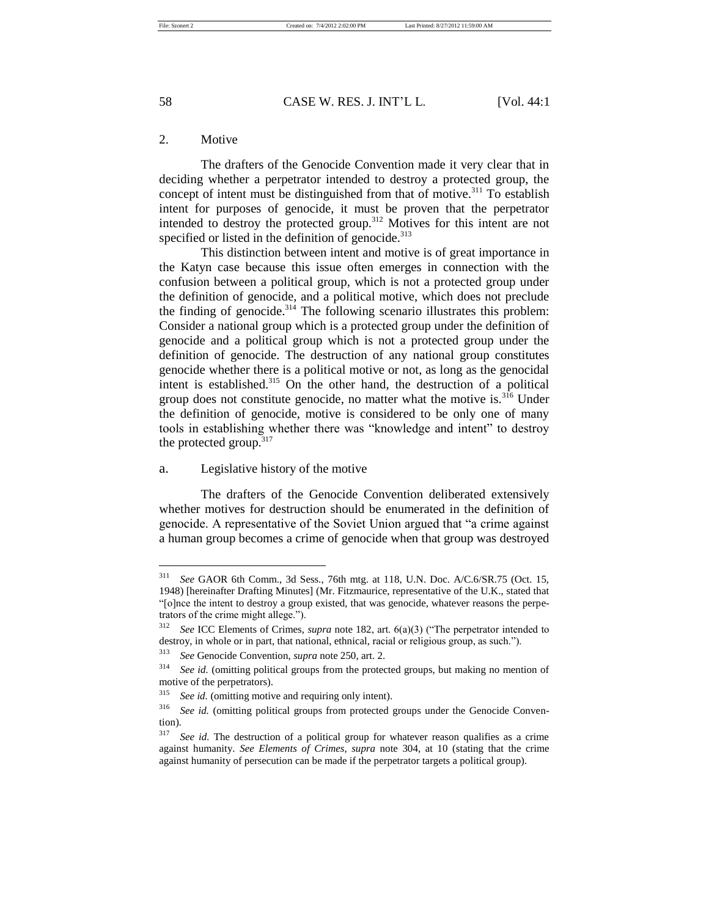# 2. Motive

The drafters of the Genocide Convention made it very clear that in deciding whether a perpetrator intended to destroy a protected group, the concept of intent must be distinguished from that of motive.<sup>311</sup> To establish intent for purposes of genocide, it must be proven that the perpetrator intended to destroy the protected group.<sup>312</sup> Motives for this intent are not specified or listed in the definition of genocide.<sup>313</sup>

This distinction between intent and motive is of great importance in the Katyn case because this issue often emerges in connection with the confusion between a political group, which is not a protected group under the definition of genocide, and a political motive, which does not preclude the finding of genocide.<sup>314</sup> The following scenario illustrates this problem: Consider a national group which is a protected group under the definition of genocide and a political group which is not a protected group under the definition of genocide. The destruction of any national group constitutes genocide whether there is a political motive or not, as long as the genocidal intent is established.<sup>315</sup> On the other hand, the destruction of a political group does not constitute genocide, no matter what the motive is. $3\overline{16}$  Under the definition of genocide, motive is considered to be only one of many tools in establishing whether there was "knowledge and intent" to destroy the protected group. $317$ 

# a. Legislative history of the motive

The drafters of the Genocide Convention deliberated extensively whether motives for destruction should be enumerated in the definition of genocide. A representative of the Soviet Union argued that "a crime against a human group becomes a crime of genocide when that group was destroyed

<sup>311</sup> *See* GAOR 6th Comm., 3d Sess., 76th mtg. at 118, U.N. Doc. A/C.6/SR.75 (Oct. 15, 1948) [hereinafter Drafting Minutes] (Mr. Fitzmaurice, representative of the U.K., stated that "[o]nce the intent to destroy a group existed, that was genocide, whatever reasons the perpetrators of the crime might allege.").

<sup>312</sup> *See* ICC Elements of Crimes, *supra* note 182, art. 6(a)(3) ("The perpetrator intended to destroy, in whole or in part, that national, ethnical, racial or religious group, as such.").

<sup>313</sup> *See* Genocide Convention, *supra* note 250, art. 2.

<sup>&</sup>lt;sup>314</sup> *See id.* (omitting political groups from the protected groups, but making no mention of motive of the perpetrators).

<sup>315</sup> *See id.* (omitting motive and requiring only intent).

<sup>&</sup>lt;sup>316</sup> *See id.* (omitting political groups from protected groups under the Genocide Convention).

<sup>&</sup>lt;sup>317</sup> *See id.* The destruction of a political group for whatever reason qualifies as a crime against humanity. *See Elements of Crimes*, *supra* note 304, at 10 (stating that the crime against humanity of persecution can be made if the perpetrator targets a political group).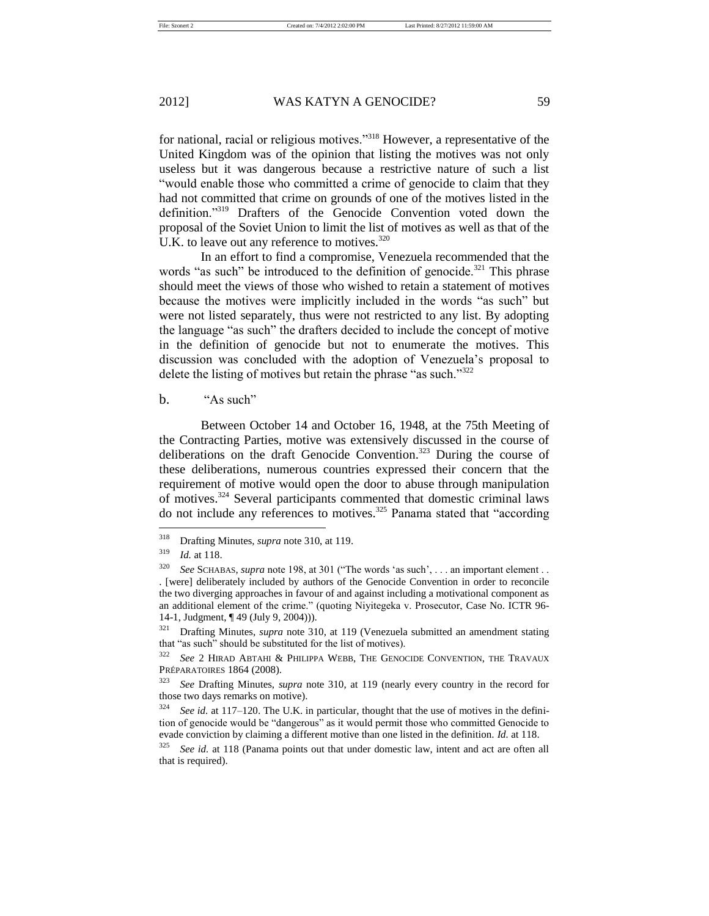for national, racial or religious motives."<sup>318</sup> However, a representative of the United Kingdom was of the opinion that listing the motives was not only useless but it was dangerous because a restrictive nature of such a list "would enable those who committed a crime of genocide to claim that they had not committed that crime on grounds of one of the motives listed in the definition."<sup>319</sup> Drafters of the Genocide Convention voted down the proposal of the Soviet Union to limit the list of motives as well as that of the U.K. to leave out any reference to motives.<sup>320</sup>

In an effort to find a compromise, Venezuela recommended that the words "as such" be introduced to the definition of genocide.<sup>321</sup> This phrase should meet the views of those who wished to retain a statement of motives because the motives were implicitly included in the words "as such" but were not listed separately, thus were not restricted to any list. By adopting the language "as such" the drafters decided to include the concept of motive in the definition of genocide but not to enumerate the motives. This discussion was concluded with the adoption of Venezuela's proposal to delete the listing of motives but retain the phrase "as such."<sup>322</sup>

# b. "As such"

Between October 14 and October 16, 1948, at the 75th Meeting of the Contracting Parties, motive was extensively discussed in the course of deliberations on the draft Genocide Convention.<sup>323</sup> During the course of these deliberations, numerous countries expressed their concern that the requirement of motive would open the door to abuse through manipulation of motives.<sup>324</sup> Several participants commented that domestic criminal laws do not include any references to motives.<sup>325</sup> Panama stated that "according

<sup>318</sup> Drafting Minutes, *supra* note 310, at 119.

<sup>319</sup> *Id.* at 118.

<sup>320</sup> *See* SCHABAS, *supra* note 198, at 301 ("The words 'as such', . . . an important element . . . [were] deliberately included by authors of the Genocide Convention in order to reconcile the two diverging approaches in favour of and against including a motivational component as an additional element of the crime." (quoting Niyitegeka v. Prosecutor, Case No. ICTR 96- 14-1, Judgment, ¶ 49 (July 9, 2004))).

<sup>321</sup> Drafting Minutes, *supra* note 310, at 119 (Venezuela submitted an amendment stating that "as such" should be substituted for the list of motives).

<sup>322</sup> *See* 2 HIRAD ABTAHI & PHILIPPA WEBB, THE GENOCIDE CONVENTION, THE TRAVAUX PRÉPARATOIRES 1864 (2008).

<sup>323</sup> *See* Drafting Minutes, *supra* note 310, at 119 (nearly every country in the record for those two days remarks on motive).

See id. at 117–120. The U.K. in particular, thought that the use of motives in the definition of genocide would be "dangerous" as it would permit those who committed Genocide to evade conviction by claiming a different motive than one listed in the definition. *Id.* at 118.

<sup>325</sup> *See id.* at 118 (Panama points out that under domestic law, intent and act are often all that is required).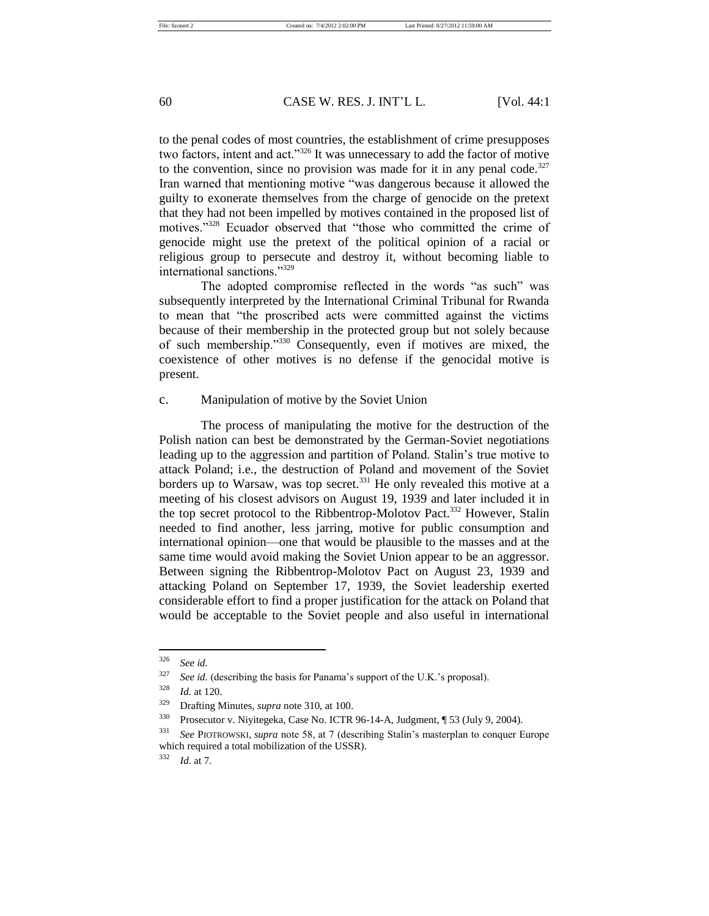to the penal codes of most countries, the establishment of crime presupposes two factors, intent and act."<sup>326</sup> It was unnecessary to add the factor of motive to the convention, since no provision was made for it in any penal code.<sup>327</sup> Iran warned that mentioning motive "was dangerous because it allowed the guilty to exonerate themselves from the charge of genocide on the pretext that they had not been impelled by motives contained in the proposed list of motives."<sup>328</sup> Ecuador observed that "those who committed the crime of genocide might use the pretext of the political opinion of a racial or religious group to persecute and destroy it, without becoming liable to international sanctions."<sup>329</sup>

The adopted compromise reflected in the words "as such" was subsequently interpreted by the International Criminal Tribunal for Rwanda to mean that "the proscribed acts were committed against the victims because of their membership in the protected group but not solely because of such membership."<sup>330</sup> Consequently, even if motives are mixed, the coexistence of other motives is no defense if the genocidal motive is present.

### c. Manipulation of motive by the Soviet Union

The process of manipulating the motive for the destruction of the Polish nation can best be demonstrated by the German-Soviet negotiations leading up to the aggression and partition of Poland. Stalin's true motive to attack Poland; i.e., the destruction of Poland and movement of the Soviet borders up to Warsaw, was top secret.<sup>331</sup> He only revealed this motive at a meeting of his closest advisors on August 19, 1939 and later included it in the top secret protocol to the Ribbentrop-Molotov Pact.<sup>332</sup> However, Stalin needed to find another, less jarring, motive for public consumption and international opinion—one that would be plausible to the masses and at the same time would avoid making the Soviet Union appear to be an aggressor. Between signing the Ribbentrop-Molotov Pact on August 23, 1939 and attacking Poland on September 17, 1939, the Soviet leadership exerted considerable effort to find a proper justification for the attack on Poland that would be acceptable to the Soviet people and also useful in international

<sup>326</sup> *See id.*

<sup>&</sup>lt;sup>327</sup> *See id.* (describing the basis for Panama's support of the U.K.'s proposal).

<sup>328</sup> *Id.* at 120.

<sup>329</sup> Drafting Minutes, *supra* note 310, at 100.

<sup>330</sup> Prosecutor v. Niyitegeka, Case No. ICTR 96-14-A, Judgment, ¶ 53 (July 9, 2004).

<sup>331</sup> *See* PIOTROWSKI, *supra* note 58, at 7 (describing Stalin's masterplan to conquer Europe which required a total mobilization of the USSR).

<sup>332</sup> *Id*. at 7.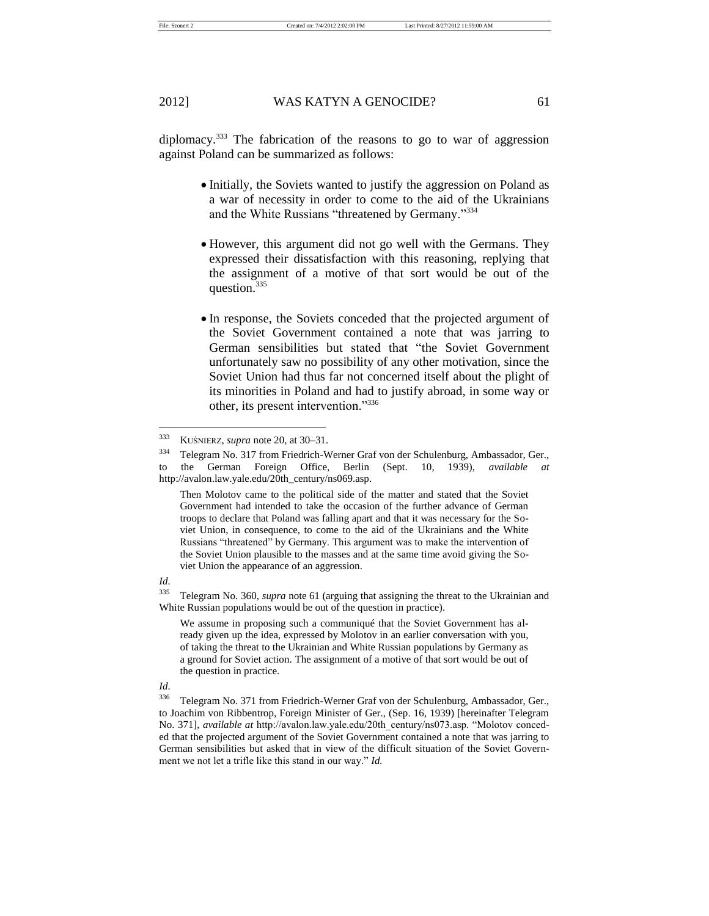diplomacy.<sup>333</sup> The fabrication of the reasons to go to war of aggression against Poland can be summarized as follows:

- Initially, the Soviets wanted to justify the aggression on Poland as a war of necessity in order to come to the aid of the Ukrainians and the White Russians "threatened by Germany."<sup>334</sup>
- However, this argument did not go well with the Germans. They expressed their dissatisfaction with this reasoning, replying that the assignment of a motive of that sort would be out of the question.<sup>335</sup>
- In response, the Soviets conceded that the projected argument of the Soviet Government contained a note that was jarring to German sensibilities but stated that "the Soviet Government unfortunately saw no possibility of any other motivation, since the Soviet Union had thus far not concerned itself about the plight of its minorities in Poland and had to justify abroad, in some way or other, its present intervention."<sup>336</sup>

Then Molotov came to the political side of the matter and stated that the Soviet Government had intended to take the occasion of the further advance of German troops to declare that Poland was falling apart and that it was necessary for the Soviet Union, in consequence, to come to the aid of the Ukrainians and the White Russians "threatened" by Germany. This argument was to make the intervention of the Soviet Union plausible to the masses and at the same time avoid giving the Soviet Union the appearance of an aggression.

*Id.*

<sup>335</sup> Telegram No. 360, *supra* note 61 (arguing that assigning the threat to the Ukrainian and White Russian populations would be out of the question in practice).

We assume in proposing such a communiqué that the Soviet Government has already given up the idea, expressed by Molotov in an earlier conversation with you, of taking the threat to the Ukrainian and White Russian populations by Germany as a ground for Soviet action. The assignment of a motive of that sort would be out of the question in practice.

<sup>333</sup> KUŚNIERZ, *supra* note 20, at 30–31.

<sup>334</sup> Telegram No. 317 from Friedrich-Werner Graf von der Schulenburg, Ambassador, Ger., to the German Foreign Office, Berlin (Sept. 10, 1939), *available* http://avalon.law.yale.edu/20th\_century/ns069.asp.

*Id.*

<sup>336</sup> Telegram No. 371 from Friedrich-Werner Graf von der Schulenburg, Ambassador, Ger., to Joachim von Ribbentrop, Foreign Minister of Ger., (Sep. 16, 1939) [hereinafter Telegram No. 371], *available at* http://avalon.law.yale.edu/20th\_century/ns073.asp. "Molotov conceded that the projected argument of the Soviet Government contained a note that was jarring to German sensibilities but asked that in view of the difficult situation of the Soviet Government we not let a trifle like this stand in our way." *Id.*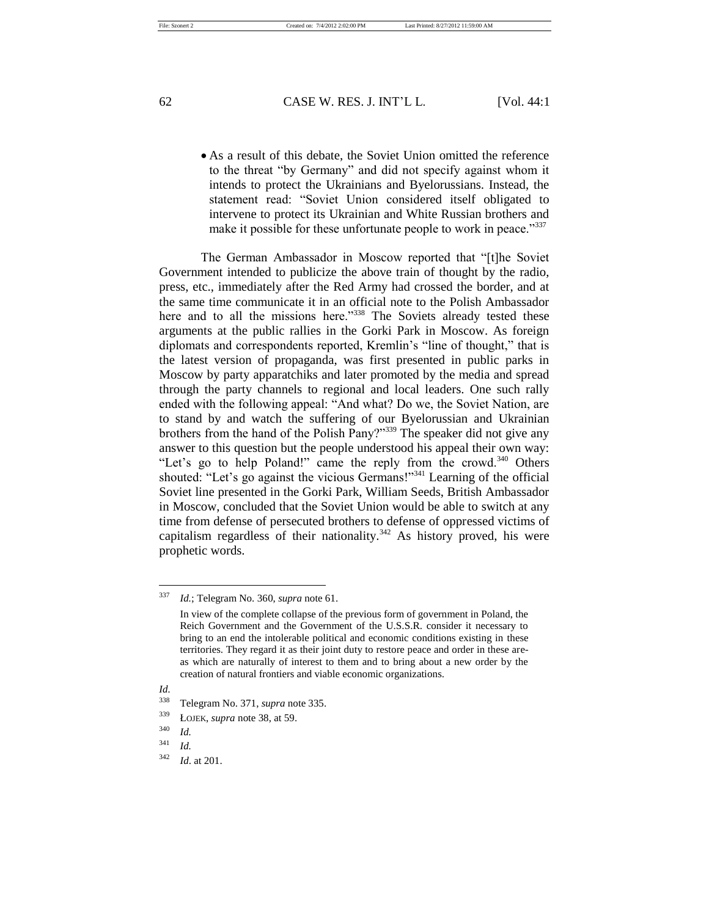As a result of this debate, the Soviet Union omitted the reference to the threat "by Germany" and did not specify against whom it intends to protect the Ukrainians and Byelorussians. Instead, the statement read: "Soviet Union considered itself obligated to intervene to protect its Ukrainian and White Russian brothers and make it possible for these unfortunate people to work in peace."<sup>337</sup>

The German Ambassador in Moscow reported that "[t]he Soviet Government intended to publicize the above train of thought by the radio, press, etc., immediately after the Red Army had crossed the border, and at the same time communicate it in an official note to the Polish Ambassador here and to all the missions here."<sup>338</sup> The Soviets already tested these arguments at the public rallies in the Gorki Park in Moscow. As foreign diplomats and correspondents reported, Kremlin's "line of thought," that is the latest version of propaganda, was first presented in public parks in Moscow by party apparatchiks and later promoted by the media and spread through the party channels to regional and local leaders. One such rally ended with the following appeal: "And what? Do we, the Soviet Nation, are to stand by and watch the suffering of our Byelorussian and Ukrainian brothers from the hand of the Polish Pany?"<sup>339</sup> The speaker did not give any answer to this question but the people understood his appeal their own way: "Let's go to help Poland!" came the reply from the crowd.<sup>340</sup> Others shouted: "Let's go against the vicious Germans!"<sup>341</sup> Learning of the official Soviet line presented in the Gorki Park, William Seeds, British Ambassador in Moscow, concluded that the Soviet Union would be able to switch at any time from defense of persecuted brothers to defense of oppressed victims of capitalism regardless of their nationality.<sup> $342$ </sup> As history proved, his were prophetic words.

<sup>337</sup> *Id.*; Telegram No. 360, *supra* note 61.

In view of the complete collapse of the previous form of government in Poland, the Reich Government and the Government of the U.S.S.R. consider it necessary to bring to an end the intolerable political and economic conditions existing in these territories. They regard it as their joint duty to restore peace and order in these areas which are naturally of interest to them and to bring about a new order by the creation of natural frontiers and viable economic organizations.

*Id.*

<sup>338</sup> Telegram No. 371, *supra* note 335.

<sup>339</sup> ŁOJEK, *supra* note 38, at 59.

<sup>340</sup> *Id.*

 $341$  *Id.* 

<sup>342</sup> *Id*. at 201.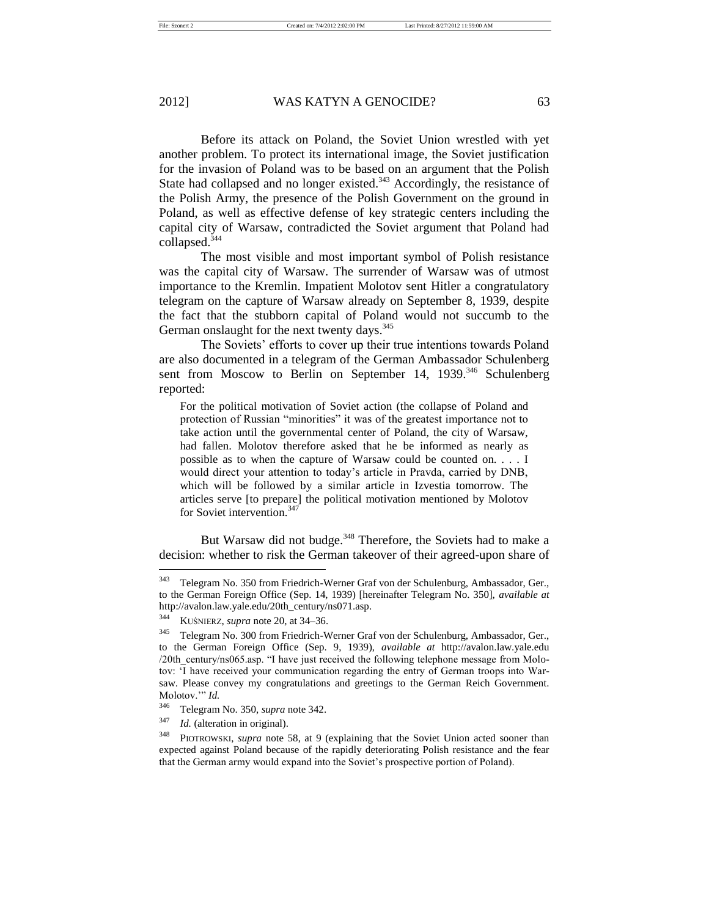Before its attack on Poland, the Soviet Union wrestled with yet another problem. To protect its international image, the Soviet justification for the invasion of Poland was to be based on an argument that the Polish State had collapsed and no longer existed.<sup>343</sup> Accordingly, the resistance of the Polish Army, the presence of the Polish Government on the ground in Poland, as well as effective defense of key strategic centers including the capital city of Warsaw, contradicted the Soviet argument that Poland had collapsed.<sup>344</sup>

The most visible and most important symbol of Polish resistance was the capital city of Warsaw. The surrender of Warsaw was of utmost importance to the Kremlin. Impatient Molotov sent Hitler a congratulatory telegram on the capture of Warsaw already on September 8, 1939, despite the fact that the stubborn capital of Poland would not succumb to the German onslaught for the next twenty days.<sup>345</sup>

The Soviets' efforts to cover up their true intentions towards Poland are also documented in a telegram of the German Ambassador Schulenberg sent from Moscow to Berlin on September 14, 1939. $346$  Schulenberg reported:

For the political motivation of Soviet action (the collapse of Poland and protection of Russian "minorities" it was of the greatest importance not to take action until the governmental center of Poland, the city of Warsaw, had fallen. Molotov therefore asked that he be informed as nearly as possible as to when the capture of Warsaw could be counted on. . . . I would direct your attention to today's article in Pravda, carried by DNB, which will be followed by a similar article in Izvestia tomorrow. The articles serve [to prepare] the political motivation mentioned by Molotov for Soviet intervention.<sup>347</sup>

But Warsaw did not budge.<sup>348</sup> Therefore, the Soviets had to make a decision: whether to risk the German takeover of their agreed-upon share of

<sup>347</sup> *Id.* (alteration in original).

<sup>343</sup> Telegram No. 350 from Friedrich-Werner Graf von der Schulenburg, Ambassador, Ger., to the German Foreign Office (Sep. 14, 1939) [hereinafter Telegram No. 350], *available at*  http://avalon.law.yale.edu/20th\_century/ns071.asp.<br>344 Kuónura avaz nota 20. at 34. 36

<sup>344</sup> KUŚNIERZ, *supra* note 20, at 34–36.

<sup>345</sup> Telegram No. 300 from Friedrich-Werner Graf von der Schulenburg, Ambassador, Ger., to the German Foreign Office (Sep. 9, 1939), *available at* http://avalon.law.yale.edu /20th\_century/ns065.asp. "I have just received the following telephone message from Molotov: 'I have received your communication regarding the entry of German troops into Warsaw. Please convey my congratulations and greetings to the German Reich Government. Molotov.'" *Id.*

<sup>346</sup> Telegram No. 350, *supra* note 342.

<sup>348</sup> PIOTROWSKI, *supra* note 58, at 9 (explaining that the Soviet Union acted sooner than expected against Poland because of the rapidly deteriorating Polish resistance and the fear that the German army would expand into the Soviet's prospective portion of Poland).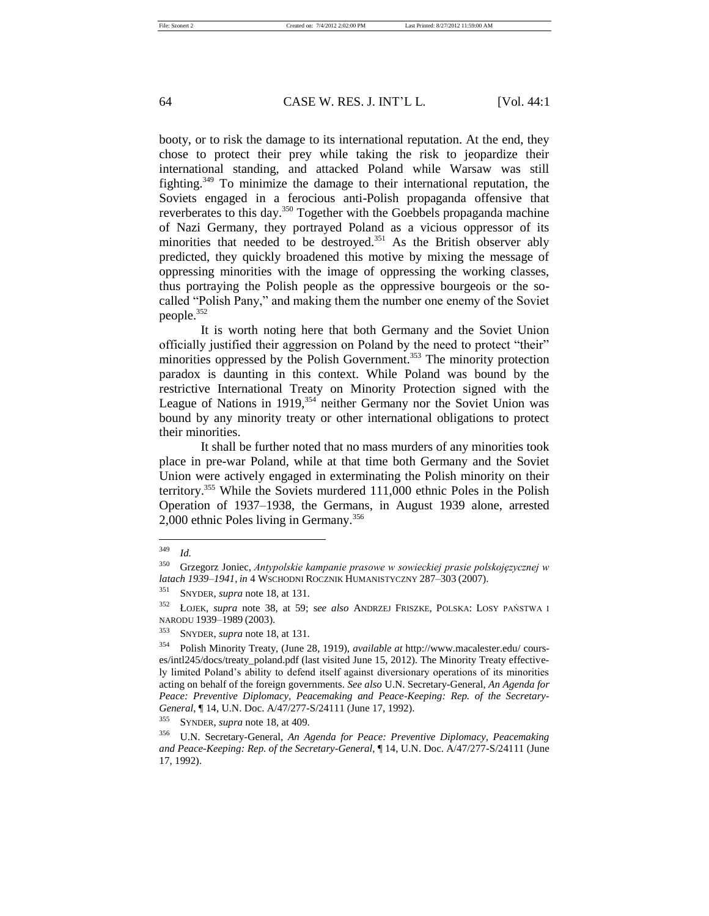booty, or to risk the damage to its international reputation. At the end, they chose to protect their prey while taking the risk to jeopardize their international standing, and attacked Poland while Warsaw was still fighting.<sup>349</sup> To minimize the damage to their international reputation, the Soviets engaged in a ferocious anti-Polish propaganda offensive that reverberates to this day.<sup>350</sup> Together with the Goebbels propaganda machine of Nazi Germany, they portrayed Poland as a vicious oppressor of its minorities that needed to be destroyed.<sup>351</sup> As the British observer ably predicted, they quickly broadened this motive by mixing the message of oppressing minorities with the image of oppressing the working classes, thus portraying the Polish people as the oppressive bourgeois or the socalled "Polish Pany," and making them the number one enemy of the Soviet people.<sup>352</sup>

It is worth noting here that both Germany and the Soviet Union officially justified their aggression on Poland by the need to protect "their" minorities oppressed by the Polish Government.<sup>353</sup> The minority protection paradox is daunting in this context. While Poland was bound by the restrictive International Treaty on Minority Protection signed with the League of Nations in 1919,<sup>354</sup> neither Germany nor the Soviet Union was bound by any minority treaty or other international obligations to protect their minorities.

It shall be further noted that no mass murders of any minorities took place in pre-war Poland, while at that time both Germany and the Soviet Union were actively engaged in exterminating the Polish minority on their territory.<sup>355</sup> While the Soviets murdered 111,000 ethnic Poles in the Polish Operation of 1937–1938, the Germans, in August 1939 alone, arrested 2,000 ethnic Poles living in Germany.<sup>356</sup>

<sup>349</sup> *Id.*

<sup>350</sup> Grzegorz Joniec, *Antypolskie kampanie prasowe w sowieckiej prasie polskojęzycznej w latach 1939–1941*, *in* 4 WSCHODNI ROCZNIK HUMANISTYCZNY 287–303 (2007).

<sup>351</sup> SNYDER, *supra* note 18, at 131.

<sup>352</sup> ŁOJEK, *supra* note 38, at 59; s*ee also* ANDRZEJ FRISZKE, POLSKA: LOSY PAŃSTWA I NARODU 1939–1989 (2003).

<sup>353</sup> SNYDER, *supra* note 18, at 131.

<sup>354</sup> Polish Minority Treaty, (June 28, 1919), *available at* http://www.macalester.edu/ courses/intl245/docs/treaty\_poland.pdf (last visited June 15, 2012). The Minority Treaty effectively limited Poland's ability to defend itself against diversionary operations of its minorities acting on behalf of the foreign governments. *See also* U.N. Secretary-General, *An Agenda for Peace: Preventive Diplomacy, Peacemaking and Peace-Keeping: Rep. of the Secretary-General*, ¶ 14, U.N. Doc. A/47/277-S/24111 (June 17, 1992).

<sup>355</sup> SYNDER, *supra* note 18, at 409.

<sup>356</sup> U.N. Secretary-General, *An Agenda for Peace: Preventive Diplomacy, Peacemaking and Peace-Keeping: Rep. of the Secretary-General*, ¶ 14, U.N. Doc. A/47/277-S/24111 (June 17, 1992).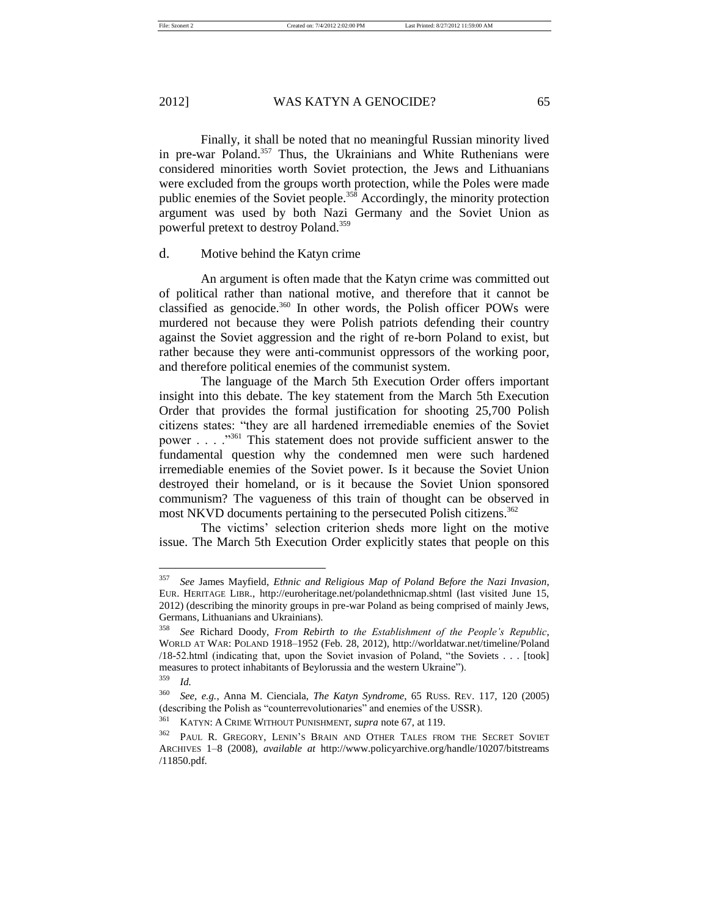File: Szonert 2 Created on: 7/4/2012 2:02:00 PM Last Printed: 8/27/2012 11:59:00 AM

# 2012] WAS KATYN A GENOCIDE? 65

Finally, it shall be noted that no meaningful Russian minority lived in pre-war Poland.<sup>357</sup> Thus, the Ukrainians and White Ruthenians were considered minorities worth Soviet protection, the Jews and Lithuanians were excluded from the groups worth protection, while the Poles were made public enemies of the Soviet people.<sup>358</sup> Accordingly, the minority protection argument was used by both Nazi Germany and the Soviet Union as powerful pretext to destroy Poland.<sup>359</sup>

# d. Motive behind the Katyn crime

An argument is often made that the Katyn crime was committed out of political rather than national motive, and therefore that it cannot be classified as genocide.<sup>360</sup> In other words, the Polish officer POWs were murdered not because they were Polish patriots defending their country against the Soviet aggression and the right of re-born Poland to exist, but rather because they were anti-communist oppressors of the working poor, and therefore political enemies of the communist system.

The language of the March 5th Execution Order offers important insight into this debate. The key statement from the March 5th Execution Order that provides the formal justification for shooting 25,700 Polish citizens states: "they are all hardened irremediable enemies of the Soviet power . . . ."<sup>361</sup> This statement does not provide sufficient answer to the fundamental question why the condemned men were such hardened irremediable enemies of the Soviet power. Is it because the Soviet Union destroyed their homeland, or is it because the Soviet Union sponsored communism? The vagueness of this train of thought can be observed in most NKVD documents pertaining to the persecuted Polish citizens.<sup>362</sup>

The victims' selection criterion sheds more light on the motive issue. The March 5th Execution Order explicitly states that people on this

<sup>357</sup> *See* James Mayfield, *Ethnic and Religious Map of Poland Before the Nazi Invasion*, EUR. HERITAGE LIBR., http://euroheritage.net/polandethnicmap.shtml (last visited June 15, 2012) (describing the minority groups in pre-war Poland as being comprised of mainly Jews, Germans, Lithuanians and Ukrainians).

<sup>358</sup> *See* Richard Doody, *From Rebirth to the Establishment of the People's Republic*, WORLD AT WAR: POLAND 1918–1952 (Feb. 28, 2012), http://worldatwar.net/timeline/Poland /18-52.html (indicating that, upon the Soviet invasion of Poland, "the Soviets . . . [took] measures to protect inhabitants of Beylorussia and the western Ukraine"). <sup>359</sup> *Id.* 

<sup>360</sup> *See, e.g.*, Anna M. Cienciala, *The Katyn Syndrome*, 65 RUSS. REV. 117, 120 (2005) (describing the Polish as "counterrevolutionaries" and enemies of the USSR).

<sup>361</sup> KATYN: A CRIME WITHOUT PUNISHMENT, *supra* note 67, at 119.

<sup>&</sup>lt;sup>362</sup> PAUL R. GREGORY, LENIN'S BRAIN AND OTHER TALES FROM THE SECRET SOVIET ARCHIVES 1–8 (2008), *available at* http://www.policyarchive.org/handle/10207/bitstreams /11850.pdf.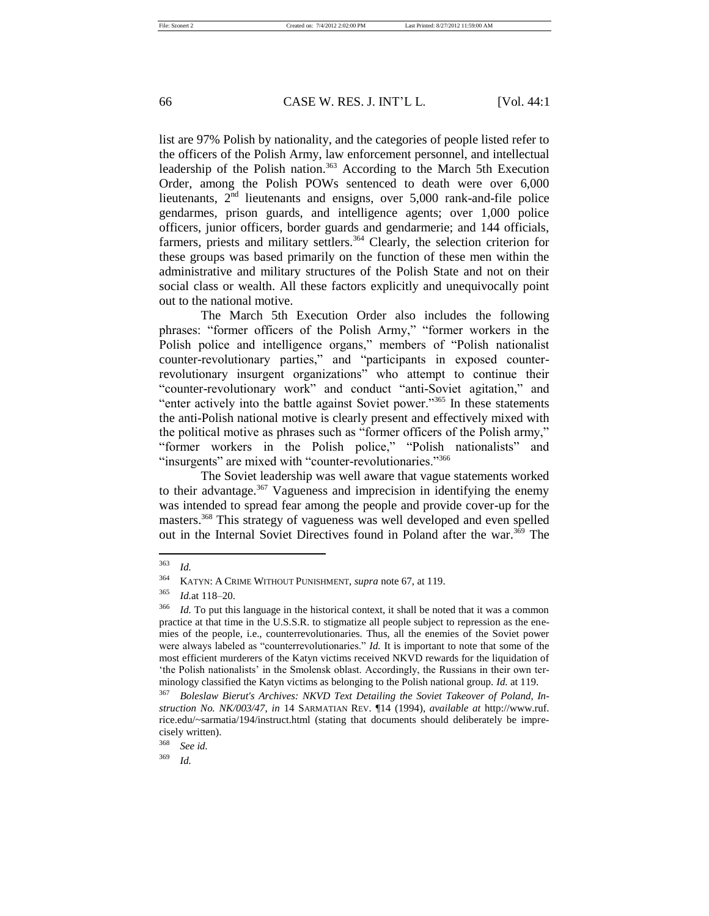list are 97% Polish by nationality, and the categories of people listed refer to the officers of the Polish Army, law enforcement personnel, and intellectual leadership of the Polish nation.<sup>363</sup> According to the March 5th Execution Order, among the Polish POWs sentenced to death were over 6,000 lieutenants,  $2<sup>nd</sup>$  lieutenants and ensigns, over 5,000 rank-and-file police gendarmes, prison guards, and intelligence agents; over 1,000 police officers, junior officers, border guards and gendarmerie; and 144 officials, farmers, priests and military settlers.<sup>364</sup> Clearly, the selection criterion for these groups was based primarily on the function of these men within the administrative and military structures of the Polish State and not on their social class or wealth. All these factors explicitly and unequivocally point out to the national motive.

The March 5th Execution Order also includes the following phrases: "former officers of the Polish Army," "former workers in the Polish police and intelligence organs," members of "Polish nationalist counter-revolutionary parties," and "participants in exposed counterrevolutionary insurgent organizations" who attempt to continue their "counter-revolutionary work" and conduct "anti-Soviet agitation," and "enter actively into the battle against Soviet power."<sup>365</sup> In these statements the anti-Polish national motive is clearly present and effectively mixed with the political motive as phrases such as "former officers of the Polish army," "former workers in the Polish police," "Polish nationalists" and "insurgents" are mixed with "counter-revolutionaries."<sup>366</sup>

The Soviet leadership was well aware that vague statements worked to their advantage.<sup>367</sup> Vagueness and imprecision in identifying the enemy was intended to spread fear among the people and provide cover-up for the masters.<sup>368</sup> This strategy of vagueness was well developed and even spelled out in the Internal Soviet Directives found in Poland after the war.<sup>369</sup> The

<sup>363</sup> *Id.*

<sup>364</sup> KATYN: A CRIME WITHOUT PUNISHMENT, *supra* note 67, at 119.

<sup>365</sup> *Id.*at 118–20.

<sup>&</sup>lt;sup>366</sup> *Id.* To put this language in the historical context, it shall be noted that it was a common practice at that time in the U.S.S.R. to stigmatize all people subject to repression as the enemies of the people, i.e., counterrevolutionaries. Thus, all the enemies of the Soviet power were always labeled as "counterrevolutionaries." *Id.* It is important to note that some of the most efficient murderers of the Katyn victims received NKVD rewards for the liquidation of 'the Polish nationalists' in the Smolensk oblast. Accordingly, the Russians in their own terminology classified the Katyn victims as belonging to the Polish national group. *Id.* at 119.

<sup>367</sup> *Boleslaw Bierut's Archives: NKVD Text Detailing the Soviet Takeover of Poland, Instruction No. NK/003/47*, *in* 14 SARMATIAN REV. ¶14 (1994), *available at* http://www.ruf. rice.edu/~sarmatia/194/instruct.html (stating that documents should deliberately be imprecisely written).

<sup>368</sup> *See id.*

<sup>369</sup> *Id.*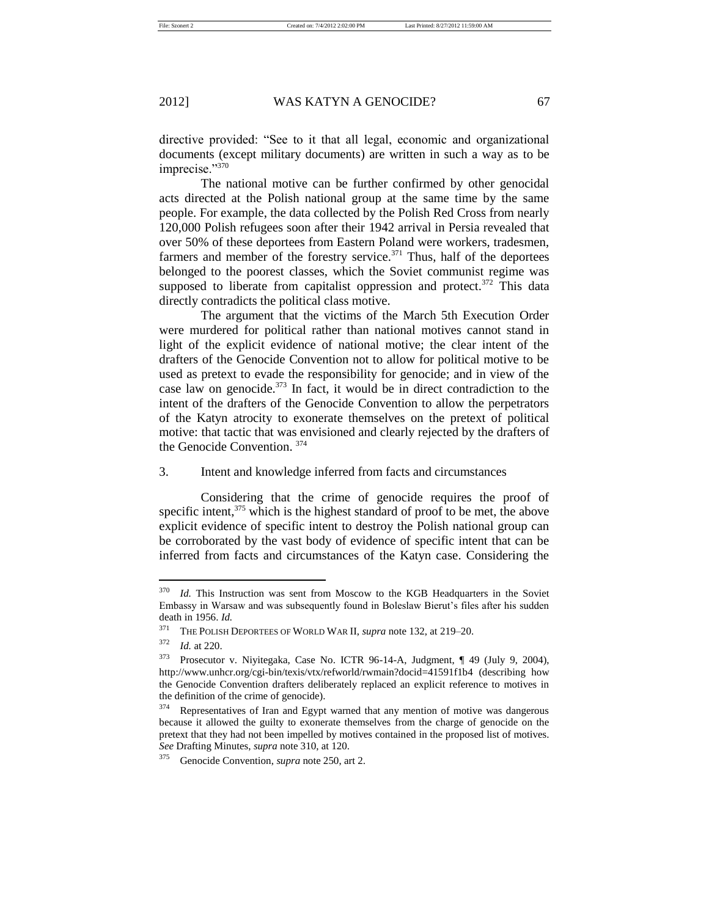directive provided: "See to it that all legal, economic and organizational documents (except military documents) are written in such a way as to be imprecise."370

The national motive can be further confirmed by other genocidal acts directed at the Polish national group at the same time by the same people. For example, the data collected by the Polish Red Cross from nearly 120,000 Polish refugees soon after their 1942 arrival in Persia revealed that over 50% of these deportees from Eastern Poland were workers, tradesmen, farmers and member of the forestry service. $371$  Thus, half of the deportees belonged to the poorest classes, which the Soviet communist regime was supposed to liberate from capitalist oppression and protect. $372$  This data directly contradicts the political class motive.

The argument that the victims of the March 5th Execution Order were murdered for political rather than national motives cannot stand in light of the explicit evidence of national motive; the clear intent of the drafters of the Genocide Convention not to allow for political motive to be used as pretext to evade the responsibility for genocide; and in view of the case law on genocide.<sup>373</sup> In fact, it would be in direct contradiction to the intent of the drafters of the Genocide Convention to allow the perpetrators of the Katyn atrocity to exonerate themselves on the pretext of political motive: that tactic that was envisioned and clearly rejected by the drafters of the Genocide Convention. <sup>374</sup>

## 3. Intent and knowledge inferred from facts and circumstances

Considering that the crime of genocide requires the proof of specific intent, $375$  which is the highest standard of proof to be met, the above explicit evidence of specific intent to destroy the Polish national group can be corroborated by the vast body of evidence of specific intent that can be inferred from facts and circumstances of the Katyn case. Considering the

<sup>&</sup>lt;sup>370</sup> *Id.* This Instruction was sent from Moscow to the KGB Headquarters in the Soviet Embassy in Warsaw and was subsequently found in Boleslaw Bierut's files after his sudden death in 1956. *Id.*

<sup>&</sup>lt;sup>371</sup> THE POLISH DEPORTEES OF WORLD WAR II, *supra* note 132, at 219–20.

*Id.* at 220.

<sup>373</sup> Prosecutor v. Niyitegaka, Case No. ICTR 96-14-A, Judgment, ¶ 49 (July 9, 2004), http://www.unhcr.org/cgi-bin/texis/vtx/refworld/rwmain?docid=41591f1b4 (describing how the Genocide Convention drafters deliberately replaced an explicit reference to motives in the definition of the crime of genocide).

<sup>&</sup>lt;sup>374</sup> Representatives of Iran and Egypt warned that any mention of motive was dangerous because it allowed the guilty to exonerate themselves from the charge of genocide on the pretext that they had not been impelled by motives contained in the proposed list of motives. *See* Drafting Minutes, *supra* note 310, at 120.

<sup>375</sup> Genocide Convention, *supra* note 250, art 2.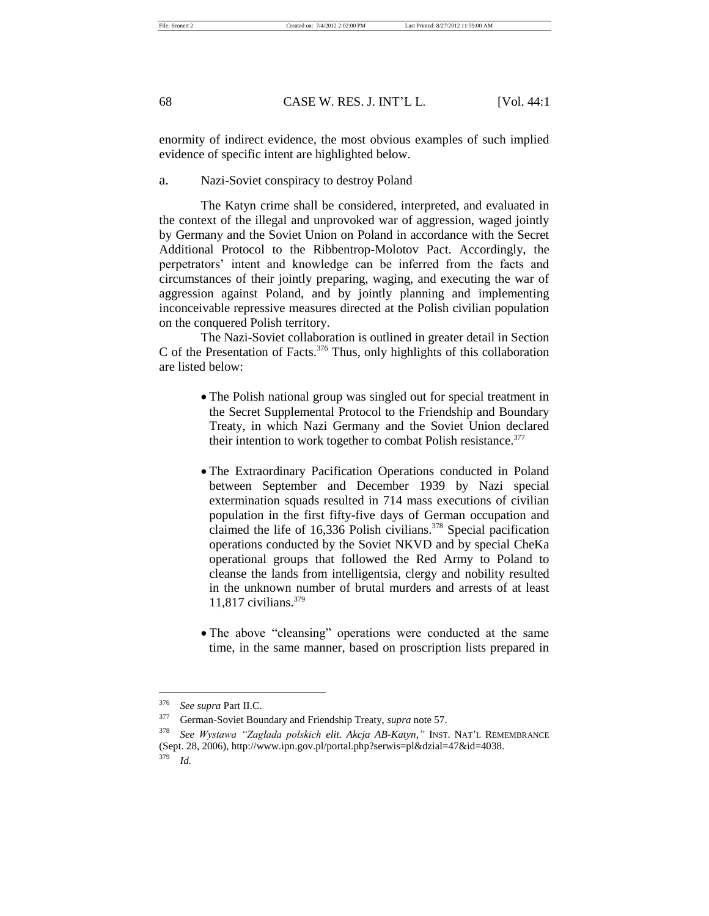enormity of indirect evidence, the most obvious examples of such implied evidence of specific intent are highlighted below.

a. Nazi-Soviet conspiracy to destroy Poland

The Katyn crime shall be considered, interpreted, and evaluated in the context of the illegal and unprovoked war of aggression, waged jointly by Germany and the Soviet Union on Poland in accordance with the Secret Additional Protocol to the Ribbentrop-Molotov Pact. Accordingly, the perpetrators' intent and knowledge can be inferred from the facts and circumstances of their jointly preparing, waging, and executing the war of aggression against Poland, and by jointly planning and implementing inconceivable repressive measures directed at the Polish civilian population on the conquered Polish territory.

The Nazi-Soviet collaboration is outlined in greater detail in Section C of the Presentation of Facts. $376$  Thus, only highlights of this collaboration are listed below:

- The Polish national group was singled out for special treatment in the Secret Supplemental Protocol to the Friendship and Boundary Treaty, in which Nazi Germany and the Soviet Union declared their intention to work together to combat Polish resistance.<sup>377</sup>
- The Extraordinary Pacification Operations conducted in Poland between September and December 1939 by Nazi special extermination squads resulted in 714 mass executions of civilian population in the first fifty-five days of German occupation and claimed the life of 16,336 Polish civilians. $378$  Special pacification operations conducted by the Soviet NKVD and by special CheKa operational groups that followed the Red Army to Poland to cleanse the lands from intelligentsia, clergy and nobility resulted in the unknown number of brutal murders and arrests of at least 11,817 civilians. $379$
- The above "cleansing" operations were conducted at the same time, in the same manner, based on proscription lists prepared in

<sup>376</sup> *See supra* Part II.C.

<sup>377</sup> German-Soviet Boundary and Friendship Treaty, *supra* note 57.

<sup>378</sup> *See Wystawa "Zagłada polskich elit. Akcja AB-Katyn*,*"* INST. NAT'L REMEMBRANCE (Sept. 28, 2006), http://www.ipn.gov.pl/portal.php?serwis=pl&dzial=47&id=4038.<br> $\frac{379}{L4}$ <sup>379</sup> *Id.*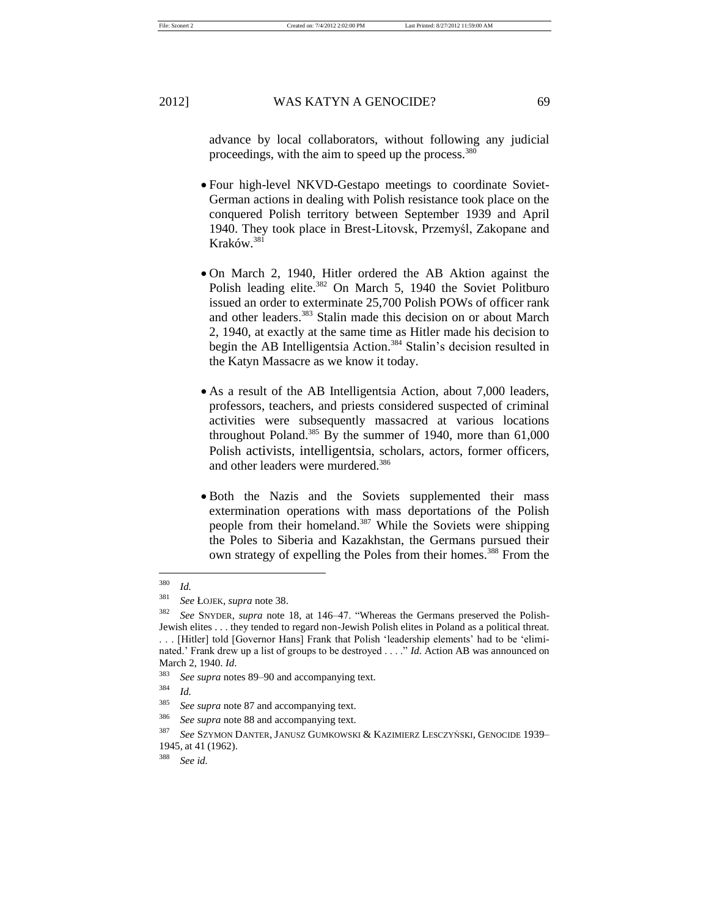File: Szonert 2 Created on: 7/4/2012 2:02:00 PM Last Printed: 8/27/2012 11:59:00 AM

2012] WAS KATYN A GENOCIDE? 69

advance by local collaborators, without following any judicial proceedings, with the aim to speed up the process.<sup>380</sup>

- Four high-level NKVD-Gestapo meetings to coordinate Soviet-German actions in dealing with Polish resistance took place on the conquered Polish territory between September 1939 and April 1940. They took place in Brest-Litovsk, Przemyśl, Zakopane and Kraków.<sup>381</sup>
- On March 2, 1940, Hitler ordered the AB Aktion against the Polish leading elite. $382$  On March 5, 1940 the Soviet Politburo issued an order to exterminate 25,700 Polish POWs of officer rank and other leaders.<sup>383</sup> Stalin made this decision on or about March 2, 1940, at exactly at the same time as Hitler made his decision to begin the AB Intelligentsia Action.<sup>384</sup> Stalin's decision resulted in the Katyn Massacre as we know it today.
- As a result of the AB Intelligentsia Action, about 7,000 leaders, professors, teachers, and priests considered suspected of criminal activities were subsequently massacred at various locations throughout Poland.<sup>385</sup> By the summer of 1940, more than  $61,000$ Polish activists, intelligentsia, scholars, actors, former officers, and other leaders were murdered.<sup>386</sup>
- Both the Nazis and the Soviets supplemented their mass extermination operations with mass deportations of the Polish people from their homeland.<sup>387</sup> While the Soviets were shipping the Poles to Siberia and Kazakhstan, the Germans pursued their own strategy of expelling the Poles from their homes.<sup>388</sup> From the

<sup>380</sup> *Id.*

<sup>381</sup> *See* ŁOJEK, *supra* note 38.

<sup>382</sup> *See* SNYDER, *supra* note 18, at 146–47. "Whereas the Germans preserved the Polish-Jewish elites . . . they tended to regard non-Jewish Polish elites in Poland as a political threat. [Hitler] told [Governor Hans] Frank that Polish 'leadership elements' had to be 'eliminated.' Frank drew up a list of groups to be destroyed . . . ." *Id.* Action AB was announced on March 2, 1940. *Id*.

<sup>383</sup> *See supra* notes 89–90 and accompanying text.

<sup>384</sup> *Id.*

<sup>385</sup> *See supra* note 87 and accompanying text.

<sup>386</sup> *See supra* note 88 and accompanying text.

<sup>387</sup> *See* SZYMON DANTER, JANUSZ GUMKOWSKI & KAZIMIERZ LESCZYŃSKI, GENOCIDE 1939– 1945, at 41 (1962).

<sup>388</sup> *See id.*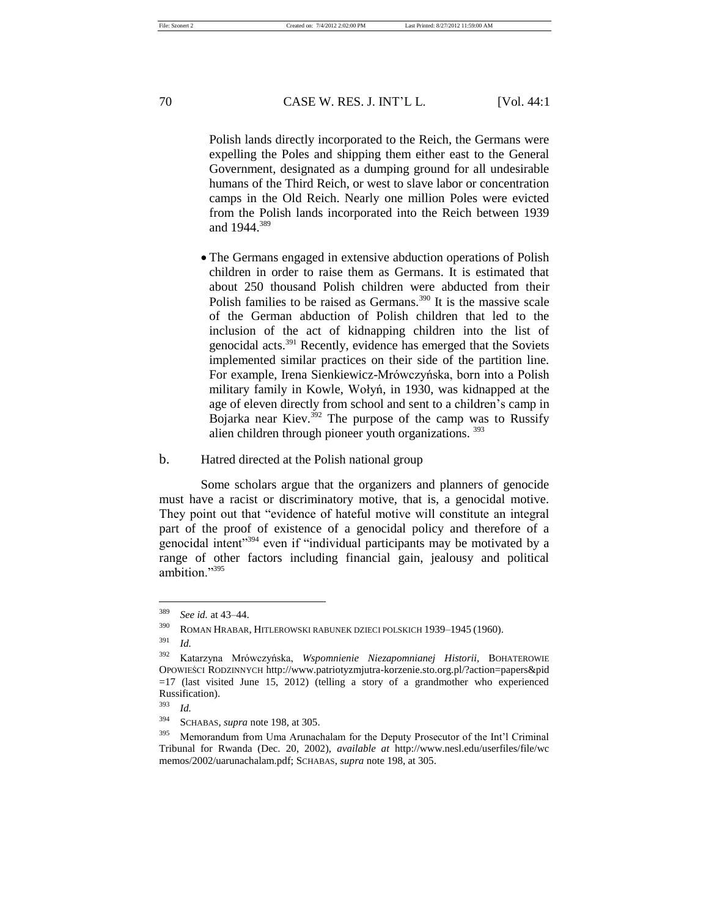Polish lands directly incorporated to the Reich, the Germans were expelling the Poles and shipping them either east to the General Government, designated as a dumping ground for all undesirable humans of the Third Reich, or west to slave labor or concentration camps in the Old Reich. Nearly one million Poles were evicted from the Polish lands incorporated into the Reich between 1939 and 1944.<sup>389</sup>

 The Germans engaged in extensive abduction operations of Polish children in order to raise them as Germans. It is estimated that about 250 thousand Polish children were abducted from their Polish families to be raised as Germans.<sup>390</sup> It is the massive scale of the German abduction of Polish children that led to the inclusion of the act of kidnapping children into the list of genocidal acts.<sup>391</sup> Recently, evidence has emerged that the Soviets implemented similar practices on their side of the partition line. For example, Irena Sienkiewicz-Mrówczyńska, born into a Polish military family in Kowle, Wołyń, in 1930, was kidnapped at the age of eleven directly from school and sent to a children's camp in Bojarka near Kiev. $392$  The purpose of the camp was to Russify alien children through pioneer youth organizations. <sup>393</sup>

#### b. Hatred directed at the Polish national group

Some scholars argue that the organizers and planners of genocide must have a racist or discriminatory motive, that is, a genocidal motive. They point out that "evidence of hateful motive will constitute an integral part of the proof of existence of a genocidal policy and therefore of a genocidal intent"<sup>394</sup> even if "individual participants may be motivated by a range of other factors including financial gain, jealousy and political ambition."<sup>395</sup>

<sup>389</sup> *See id.* at 43–44.

<sup>390</sup> ROMAN HRABAR, HITLEROWSKI RABUNEK DZIECI POLSKICH 1939–1945 (1960).

<sup>391</sup> *Id.*

<sup>392</sup> Katarzyna Mrówczyńska, *Wspomnienie Niezapomnianej Historii,* BOHATEROWIE OPOWIEŚCI RODZINNYCH http://www.patriotyzmjutra-korzenie.sto.org.pl/?action=papers&pid =17 (last visited June 15, 2012) (telling a story of a grandmother who experienced Russification).

<sup>393</sup> *Id.*

<sup>394</sup> SCHABAS, *supra* note 198, at 305.

<sup>&</sup>lt;sup>395</sup> Memorandum from Uma Arunachalam for the Deputy Prosecutor of the Int'l Criminal Tribunal for Rwanda (Dec. 20, 2002), *available at* http://www.nesl.edu/userfiles/file/wc memos/2002/uarunachalam.pdf; SCHABAS, *supra* note 198, at 305.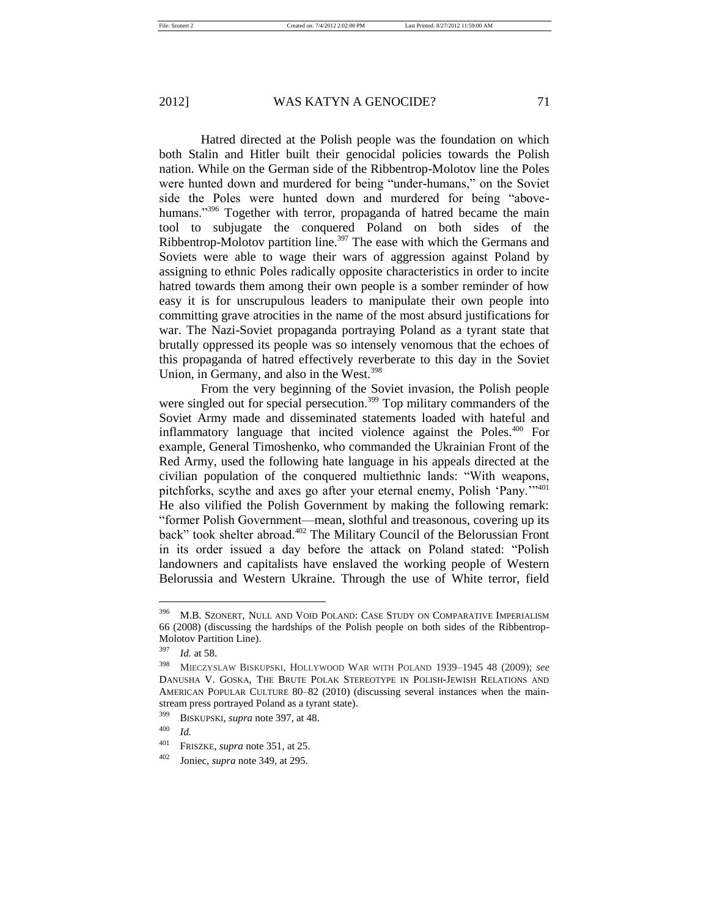Hatred directed at the Polish people was the foundation on which both Stalin and Hitler built their genocidal policies towards the Polish nation. While on the German side of the Ribbentrop-Molotov line the Poles were hunted down and murdered for being "under-humans," on the Soviet side the Poles were hunted down and murdered for being "abovehumans."<sup>396</sup> Together with terror, propaganda of hatred became the main tool to subjugate the conquered Poland on both sides of the Ribbentrop-Molotov partition line.<sup>397</sup> The ease with which the Germans and Soviets were able to wage their wars of aggression against Poland by assigning to ethnic Poles radically opposite characteristics in order to incite hatred towards them among their own people is a somber reminder of how easy it is for unscrupulous leaders to manipulate their own people into committing grave atrocities in the name of the most absurd justifications for war. The Nazi-Soviet propaganda portraying Poland as a tyrant state that brutally oppressed its people was so intensely venomous that the echoes of this propaganda of hatred effectively reverberate to this day in the Soviet Union, in Germany, and also in the West.<sup>398</sup>

From the very beginning of the Soviet invasion, the Polish people were singled out for special persecution.<sup>399</sup> Top military commanders of the Soviet Army made and disseminated statements loaded with hateful and inflammatory language that incited violence against the Poles.<sup>400</sup> For example, General Timoshenko, who commanded the Ukrainian Front of the Red Army, used the following hate language in his appeals directed at the civilian population of the conquered multiethnic lands: "With weapons, pitchforks, scythe and axes go after your eternal enemy, Polish 'Pany.'"<sup>401</sup> He also vilified the Polish Government by making the following remark: "former Polish Government—mean, slothful and treasonous, covering up its back" took shelter abroad.<sup>402</sup> The Military Council of the Belorussian Front in its order issued a day before the attack on Poland stated: "Polish landowners and capitalists have enslaved the working people of Western Belorussia and Western Ukraine. Through the use of White terror, field

<sup>396</sup> M.B. SZONERT, NULL AND VOID POLAND: CASE STUDY ON COMPARATIVE IMPERIALISM 66 (2008) (discussing the hardships of the Polish people on both sides of the Ribbentrop-Molotov Partition Line).

<sup>397</sup> *Id.* at 58.

<sup>398</sup> MIECZYSLAW BISKUPSKI, HOLLYWOOD WAR WITH POLAND 1939–1945 48 (2009); *see*  DANUSHA V. GOSKA, THE BRUTE POLAK STEREOTYPE IN POLISH-JEWISH RELATIONS AND AMERICAN POPULAR CULTURE 80–82 (2010) (discussing several instances when the mainstream press portrayed Poland as a tyrant state).

<sup>399</sup> BISKUPSKI, *supra* note 397, at 48.

 $\frac{400}{401}$  *Id.* 

<sup>401</sup> FRISZKE, *supra* note 351, at 25.

<sup>402</sup> Joniec, *supra* note 349, at 295.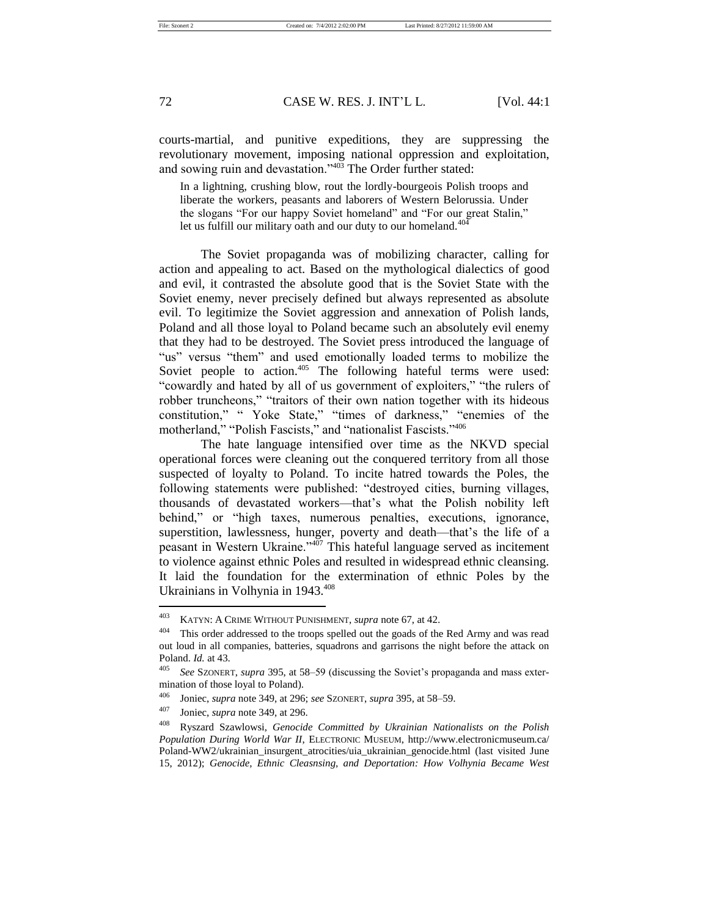courts-martial, and punitive expeditions, they are suppressing the revolutionary movement, imposing national oppression and exploitation, and sowing ruin and devastation."<sup>403</sup> The Order further stated:

In a lightning, crushing blow, rout the lordly-bourgeois Polish troops and liberate the workers, peasants and laborers of Western Belorussia. Under the slogans "For our happy Soviet homeland" and "For our great Stalin," let us fulfill our military oath and our duty to our homeland. $404$ 

The Soviet propaganda was of mobilizing character, calling for action and appealing to act. Based on the mythological dialectics of good and evil, it contrasted the absolute good that is the Soviet State with the Soviet enemy, never precisely defined but always represented as absolute evil. To legitimize the Soviet aggression and annexation of Polish lands, Poland and all those loyal to Poland became such an absolutely evil enemy that they had to be destroyed. The Soviet press introduced the language of "us" versus "them" and used emotionally loaded terms to mobilize the Soviet people to action.<sup>405</sup> The following hateful terms were used: "cowardly and hated by all of us government of exploiters," "the rulers of robber truncheons," "traitors of their own nation together with its hideous constitution," " Yoke State," "times of darkness," "enemies of the motherland," "Polish Fascists," and "nationalist Fascists."<sup>406</sup>

The hate language intensified over time as the NKVD special operational forces were cleaning out the conquered territory from all those suspected of loyalty to Poland. To incite hatred towards the Poles, the following statements were published: "destroyed cities, burning villages, thousands of devastated workers—that's what the Polish nobility left behind," or "high taxes, numerous penalties, executions, ignorance, superstition, lawlessness, hunger, poverty and death—that's the life of a peasant in Western Ukraine."<sup>407</sup> This hateful language served as incitement to violence against ethnic Poles and resulted in widespread ethnic cleansing. It laid the foundation for the extermination of ethnic Poles by the Ukrainians in Volhynia in 1943.<sup>408</sup>

<sup>403</sup> KATYN: A CRIME WITHOUT PUNISHMENT, *supra* note 67, at 42.

<sup>404</sup> This order addressed to the troops spelled out the goads of the Red Army and was read out loud in all companies, batteries, squadrons and garrisons the night before the attack on Poland. *Id.* at 43.

<sup>405</sup> *See* SZONERT, *supra* 395, at 58–59 (discussing the Soviet's propaganda and mass extermination of those loyal to Poland).

<sup>406</sup> Joniec, *supra* note 349, at 296; *see* SZONERT, *supra* 395, at 58–59.

<sup>407</sup> Joniec, *supra* note 349, at 296.

<sup>408</sup> Ryszard Szawlowsi, *Genocide Committed by Ukrainian Nationalists on the Polish Population During World War II*, ELECTRONIC MUSEUM, http://www.electronicmuseum.ca/ Poland-WW2/ukrainian\_insurgent\_atrocities/uia\_ukrainian\_genocide.html (last visited June 15, 2012); *Genocide, Ethnic Cleasnsing, and Deportation: How Volhynia Became West*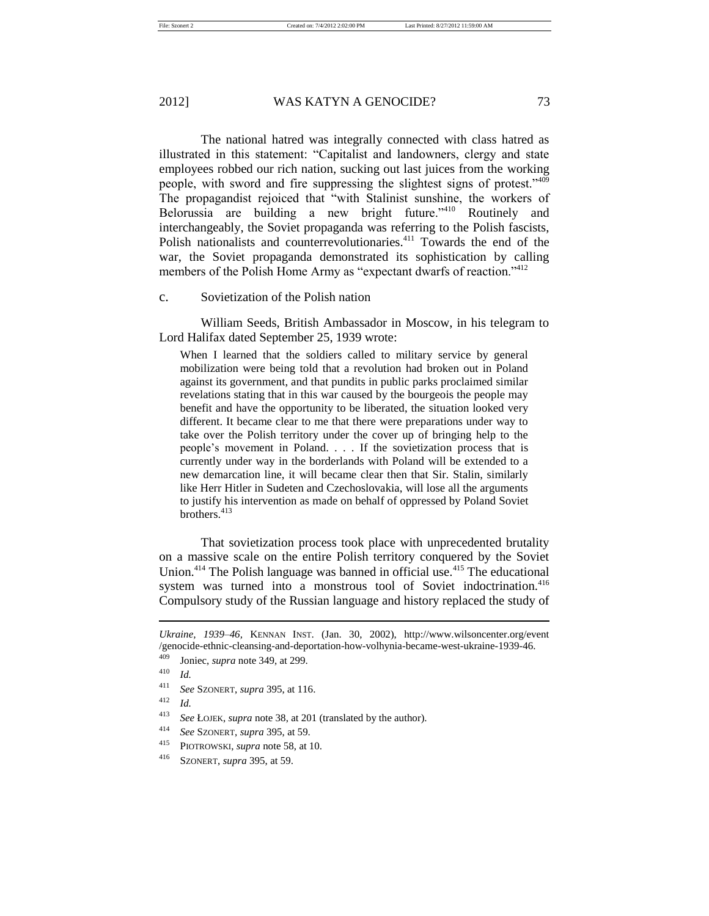The national hatred was integrally connected with class hatred as illustrated in this statement: "Capitalist and landowners, clergy and state employees robbed our rich nation, sucking out last juices from the working people, with sword and fire suppressing the slightest signs of protest."<sup>409</sup> The propagandist rejoiced that "with Stalinist sunshine, the workers of Belorussia are building a new bright future."<sup>410</sup> Routinely and interchangeably, the Soviet propaganda was referring to the Polish fascists, Polish nationalists and counterrevolutionaries.<sup>411</sup> Towards the end of the war, the Soviet propaganda demonstrated its sophistication by calling members of the Polish Home Army as "expectant dwarfs of reaction."<sup>412</sup>

c. Sovietization of the Polish nation

William Seeds, British Ambassador in Moscow, in his telegram to Lord Halifax dated September 25, 1939 wrote:

When I learned that the soldiers called to military service by general mobilization were being told that a revolution had broken out in Poland against its government, and that pundits in public parks proclaimed similar revelations stating that in this war caused by the bourgeois the people may benefit and have the opportunity to be liberated, the situation looked very different. It became clear to me that there were preparations under way to take over the Polish territory under the cover up of bringing help to the people's movement in Poland. . . . If the sovietization process that is currently under way in the borderlands with Poland will be extended to a new demarcation line, it will became clear then that Sir. Stalin, similarly like Herr Hitler in Sudeten and Czechoslovakia, will lose all the arguments to justify his intervention as made on behalf of oppressed by Poland Soviet brothers.<sup>413</sup>

That sovietization process took place with unprecedented brutality on a massive scale on the entire Polish territory conquered by the Soviet Union.<sup>414</sup> The Polish language was banned in official use.<sup>415</sup> The educational system was turned into a monstrous tool of Soviet indoctrination.<sup>416</sup> Compulsory study of the Russian language and history replaced the study of

*Ukraine, 1939–46,* KENNAN INST. (Jan. 30, 2002), http://www.wilsoncenter.org/event /genocide-ethnic-cleansing-and-deportation-how-volhynia-became-west-ukraine-1939-46.

Joniec, *supra* note 349, at 299.

<sup>410</sup> *Id.*

<sup>411</sup> *See* SZONERT, *supra* 395, at 116.

<sup>412</sup> *Id.*

<sup>413</sup> *See* ŁOJEK, *supra* note 38, at 201 (translated by the author).

<sup>414</sup> *See* SZONERT, *supra* 395, at 59.

<sup>415</sup> PIOTROWSKI, *supra* note 58, at 10.

<sup>416</sup> SZONERT, *supra* 395, at 59.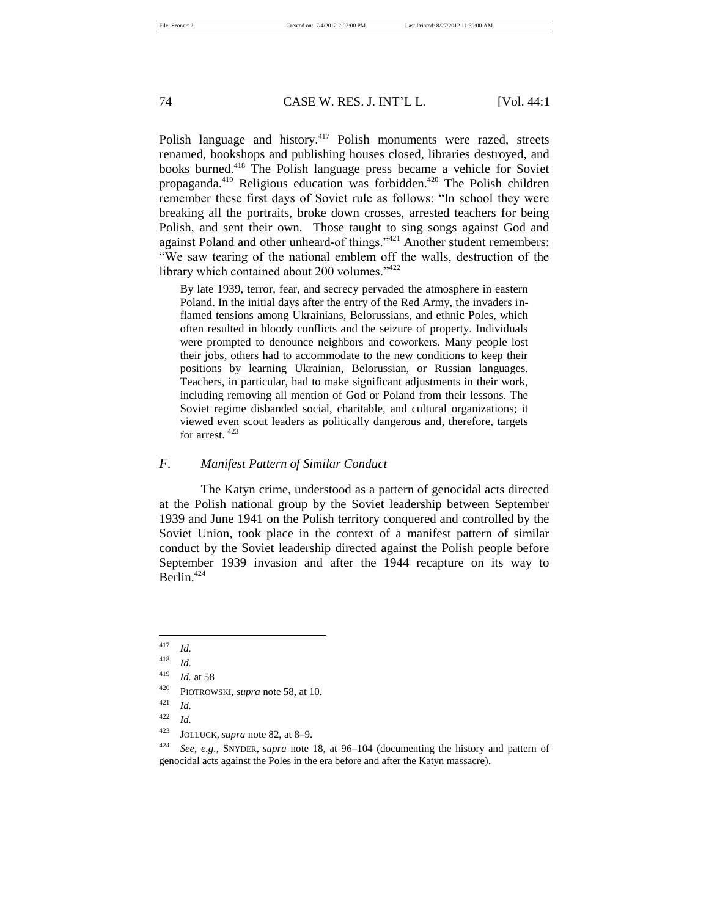# 74 CASE W. RES. J. INT'L L. [Vol. 44:1

Polish language and history.<sup>417</sup> Polish monuments were razed, streets renamed, bookshops and publishing houses closed, libraries destroyed, and books burned.<sup>418</sup> The Polish language press became a vehicle for Soviet propaganda.<sup>419</sup> Religious education was forbidden.<sup>420</sup> The Polish children remember these first days of Soviet rule as follows: "In school they were breaking all the portraits, broke down crosses, arrested teachers for being Polish, and sent their own. Those taught to sing songs against God and against Poland and other unheard-of things."<sup>421</sup> Another student remembers: "We saw tearing of the national emblem off the walls, destruction of the library which contained about 200 volumes."<sup>422</sup>

By late 1939, terror, fear, and secrecy pervaded the atmosphere in eastern Poland. In the initial days after the entry of the Red Army, the invaders inflamed tensions among Ukrainians, Belorussians, and ethnic Poles, which often resulted in bloody conflicts and the seizure of property. Individuals were prompted to denounce neighbors and coworkers. Many people lost their jobs, others had to accommodate to the new conditions to keep their positions by learning Ukrainian, Belorussian, or Russian languages. Teachers, in particular, had to make significant adjustments in their work, including removing all mention of God or Poland from their lessons. The Soviet regime disbanded social, charitable, and cultural organizations; it viewed even scout leaders as politically dangerous and, therefore, targets for arrest. <sup>423</sup>

# *F. Manifest Pattern of Similar Conduct*

The Katyn crime, understood as a pattern of genocidal acts directed at the Polish national group by the Soviet leadership between September 1939 and June 1941 on the Polish territory conquered and controlled by the Soviet Union, took place in the context of a manifest pattern of similar conduct by the Soviet leadership directed against the Polish people before September 1939 invasion and after the 1944 recapture on its way to Berlin.<sup>424</sup>

 $\frac{417}{418}$  *Id.* 

*Id.* 

<sup>419</sup> *Id.* at 58

<sup>420</sup> PIOTROWSKI, *supra* note 58, at 10.

 $\frac{421}{422}$  *Id.* 

 $\frac{422}{423}$  *Id.* 

<sup>423</sup> JOLLUCK, *supra* note 82, at 8–9.

<sup>424</sup> *See, e.g.*, SNYDER, *supra* note 18, at 96–104 (documenting the history and pattern of genocidal acts against the Poles in the era before and after the Katyn massacre).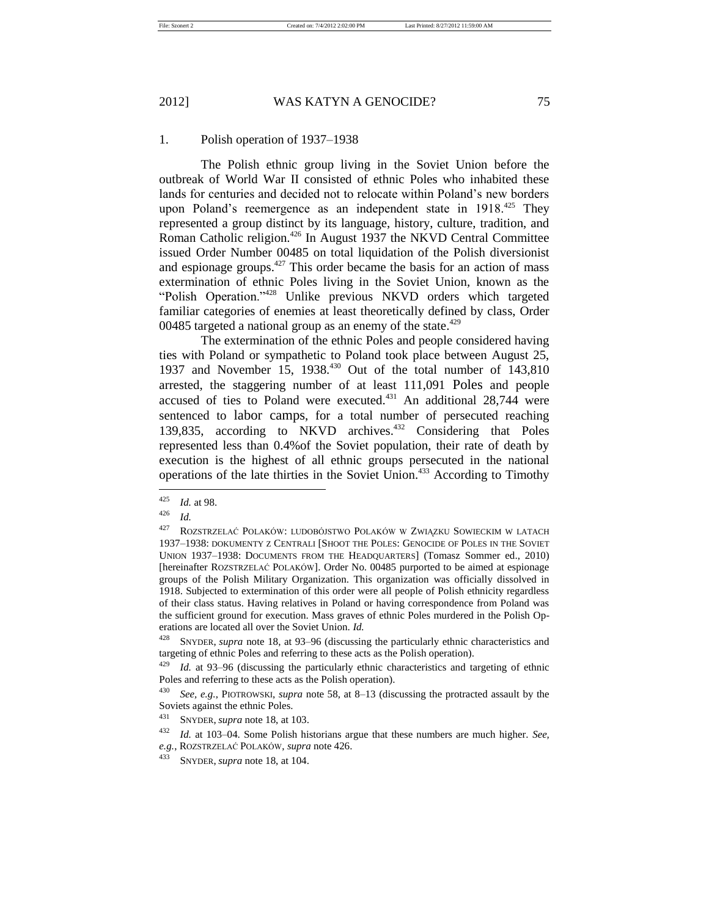### 1. Polish operation of 1937–1938

The Polish ethnic group living in the Soviet Union before the outbreak of World War II consisted of ethnic Poles who inhabited these lands for centuries and decided not to relocate within Poland's new borders upon Poland's reemergence as an independent state in 1918.<sup>425</sup> They represented a group distinct by its language, history, culture, tradition, and Roman Catholic religion.<sup>426</sup> In August 1937 the NKVD Central Committee issued Order Number 00485 on total liquidation of the Polish diversionist and espionage groups.<sup>427</sup> This order became the basis for an action of mass extermination of ethnic Poles living in the Soviet Union, known as the "Polish Operation."<sup>428</sup> Unlike previous NKVD orders which targeted familiar categories of enemies at least theoretically defined by class, Order 00485 targeted a national group as an enemy of the state.<sup>429</sup>

The extermination of the ethnic Poles and people considered having ties with Poland or sympathetic to Poland took place between August 25, 1937 and November 15, 1938.<sup>430</sup> Out of the total number of 143,810 arrested, the staggering number of at least 111,091 Poles and people accused of ties to Poland were executed. $431$  An additional 28,744 were sentenced to labor camps, for a total number of persecuted reaching 139,835, according to NKVD archives.<sup>432</sup> Considering that Poles represented less than 0.4%of the Soviet population, their rate of death by execution is the highest of all ethnic groups persecuted in the national operations of the late thirties in the Soviet Union.<sup>433</sup> According to Timothy

<sup>425</sup> *Id.* at 98.

<sup>426</sup> *Id.*

<sup>427</sup> ROZSTRZELAĆ POLAKÓW: LUDOBÓJSTWO POLAKÓW W ZWIĄZKU SOWIECKIM W LATACH 1937–1938: DOKUMENTY Z CENTRALI [SHOOT THE POLES: GENOCIDE OF POLES IN THE SOVIET UNION 1937–1938: DOCUMENTS FROM THE HEADQUARTERS] (Tomasz Sommer ed., 2010) [hereinafter ROZSTRZELAĆ POLAKÓW]. Order No. 00485 purported to be aimed at espionage groups of the Polish Military Organization. This organization was officially dissolved in 1918. Subjected to extermination of this order were all people of Polish ethnicity regardless of their class status. Having relatives in Poland or having correspondence from Poland was the sufficient ground for execution. Mass graves of ethnic Poles murdered in the Polish Operations are located all over the Soviet Union. *Id.*

<sup>428</sup> SNYDER, *supra* note 18, at 93–96 (discussing the particularly ethnic characteristics and targeting of ethnic Poles and referring to these acts as the Polish operation).

<sup>429</sup> *Id.* at 93–96 (discussing the particularly ethnic characteristics and targeting of ethnic Poles and referring to these acts as the Polish operation).

<sup>430</sup> *See, e.g.*, PIOTROWSKI, *supra* note 58, at 8–13 (discussing the protracted assault by the Soviets against the ethnic Poles.

<sup>431</sup> SNYDER, *supra* note 18, at 103.

<sup>432</sup> *Id.* at 103–04. Some Polish historians argue that these numbers are much higher. *See,*   $e.g.,$  ROZSTRZELAĆ POLAKÓW, *supra* note 426.

<sup>433</sup> SNYDER, *supra* note 18, at 104.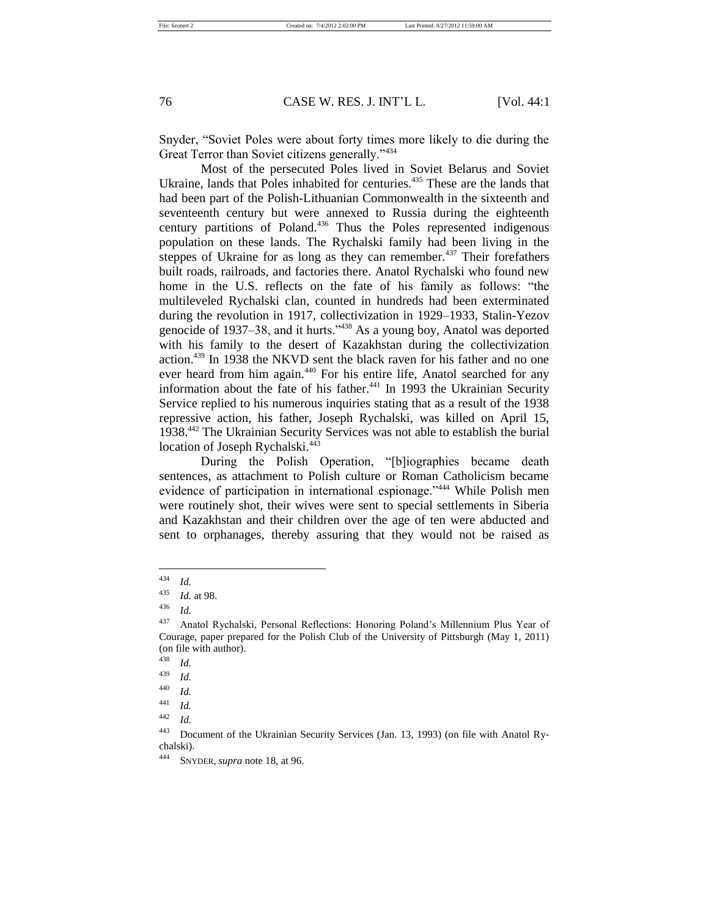76 CASE W. RES. J. INT'L L. [Vol. 44:1

Snyder, "Soviet Poles were about forty times more likely to die during the Great Terror than Soviet citizens generally."<sup>434</sup>

Most of the persecuted Poles lived in Soviet Belarus and Soviet Ukraine, lands that Poles inhabited for centuries.<sup>435</sup> These are the lands that had been part of the Polish-Lithuanian Commonwealth in the sixteenth and seventeenth century but were annexed to Russia during the eighteenth century partitions of Poland.<sup>436</sup> Thus the Poles represented indigenous population on these lands. The Rychalski family had been living in the steppes of Ukraine for as long as they can remember. $437$  Their forefathers built roads, railroads, and factories there. Anatol Rychalski who found new home in the U.S. reflects on the fate of his family as follows: "the multileveled Rychalski clan, counted in hundreds had been exterminated during the revolution in 1917, collectivization in 1929–1933, Stalin-Yezov genocide of 1937–38, and it hurts."<sup>438</sup> As a young boy, Anatol was deported with his family to the desert of Kazakhstan during the collectivization action.<sup>439</sup> In 1938 the NKVD sent the black raven for his father and no one ever heard from him again.<sup>440</sup> For his entire life, Anatol searched for any information about the fate of his father.<sup>441</sup> In 1993 the Ukrainian Security Service replied to his numerous inquiries stating that as a result of the 1938 repressive action, his father, Joseph Rychalski, was killed on April 15, 1938.<sup>442</sup> The Ukrainian Security Services was not able to establish the burial location of Joseph Rychalski.<sup>443</sup>

During the Polish Operation, "[b]iographies became death sentences, as attachment to Polish culture or Roman Catholicism became evidence of participation in international espionage."<sup>444</sup> While Polish men were routinely shot, their wives were sent to special settlements in Siberia and Kazakhstan and their children over the age of ten were abducted and sent to orphanages, thereby assuring that they would not be raised as

<sup>434</sup> *Id.* 

<sup>435</sup> *Id.* at 98.

<sup>436</sup> *Id.*

<sup>437</sup> Anatol Rychalski, Personal Reflections: Honoring Poland's Millennium Plus Year of Courage, paper prepared for the Polish Club of the University of Pittsburgh (May 1, 2011) (on file with author).

<sup>438</sup> *Id.*

<sup>439</sup> *Id.*

<sup>440</sup> *Id.*

 $\frac{441}{442}$  *Id.* 

*Id.* 

<sup>443</sup> Document of the Ukrainian Security Services (Jan. 13, 1993) (on file with Anatol Rychalski).

<sup>444</sup> SNYDER, *supra* note 18, at 96.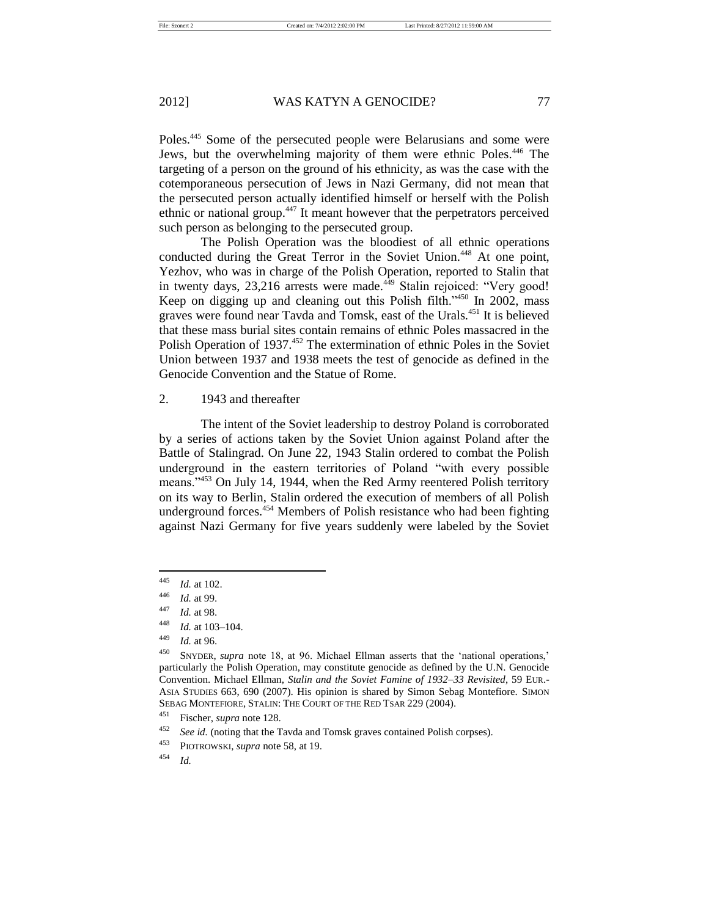Poles.<sup>445</sup> Some of the persecuted people were Belarusians and some were Jews, but the overwhelming majority of them were ethnic Poles.<sup>446</sup> The targeting of a person on the ground of his ethnicity, as was the case with the cotemporaneous persecution of Jews in Nazi Germany, did not mean that the persecuted person actually identified himself or herself with the Polish ethnic or national group.<sup>447</sup> It meant however that the perpetrators perceived such person as belonging to the persecuted group.

The Polish Operation was the bloodiest of all ethnic operations conducted during the Great Terror in the Soviet Union.<sup>448</sup> At one point, Yezhov, who was in charge of the Polish Operation, reported to Stalin that in twenty days,  $23,216$  arrests were made.<sup> $449$ </sup> Stalin rejoiced: "Very good! Keep on digging up and cleaning out this Polish filth."<sup>450</sup> In 2002, mass graves were found near Tavda and Tomsk, east of the Urals.<sup>451</sup> It is believed that these mass burial sites contain remains of ethnic Poles massacred in the Polish Operation of 1937.<sup>452</sup> The extermination of ethnic Poles in the Soviet Union between 1937 and 1938 meets the test of genocide as defined in the Genocide Convention and the Statue of Rome.

# 2. 1943 and thereafter

The intent of the Soviet leadership to destroy Poland is corroborated by a series of actions taken by the Soviet Union against Poland after the Battle of Stalingrad. On June 22, 1943 Stalin ordered to combat the Polish underground in the eastern territories of Poland "with every possible means."<sup>453</sup> On July 14, 1944, when the Red Army reentered Polish territory on its way to Berlin, Stalin ordered the execution of members of all Polish underground forces.<sup>454</sup> Members of Polish resistance who had been fighting against Nazi Germany for five years suddenly were labeled by the Soviet

<sup>445</sup> *Id.* at 102.

<sup>446</sup> *Id.* at 99.

<sup>447</sup> *Id.* at 98.

<sup>448</sup> *Id.* at 103–104.

<sup>449</sup> *Id.* at 96.

<sup>450</sup> SNYDER, *supra* note 18, at 96. Michael Ellman asserts that the 'national operations,' particularly the Polish Operation, may constitute genocide as defined by the U.N. Genocide Convention. Michael Ellman, *Stalin and the Soviet Famine of 1932–33 Revisited*, 59 EUR.- ASIA STUDIES 663, 690 (2007). His opinion is shared by Simon Sebag Montefiore. SIMON SEBAG MONTEFIORE, STALIN: THE COURT OF THE RED TSAR 229 (2004).

<sup>451</sup> Fischer, *supra* note 128.

<sup>&</sup>lt;sup>452</sup> *See id.* (noting that the Tavda and Tomsk graves contained Polish corpses).

<sup>453</sup> PIOTROWSKI, *supra* note 58, at 19.

<sup>454</sup> *Id.*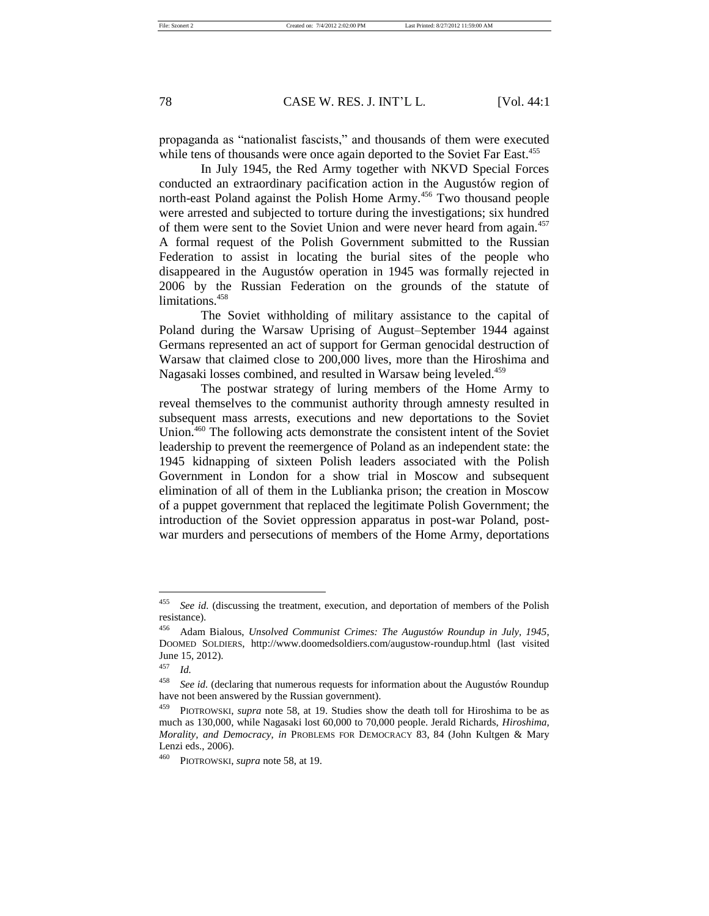78 CASE W. RES. J. INT'L L. [Vol. 44:1

propaganda as "nationalist fascists," and thousands of them were executed while tens of thousands were once again deported to the Soviet Far East.<sup>455</sup>

In July 1945, the Red Army together with NKVD Special Forces conducted an extraordinary pacification action in the Augustów region of north-east Poland against the Polish Home Army.<sup>456</sup> Two thousand people were arrested and subjected to torture during the investigations; six hundred of them were sent to the Soviet Union and were never heard from again.<sup>457</sup> A formal request of the Polish Government submitted to the Russian Federation to assist in locating the burial sites of the people who disappeared in the Augustów operation in 1945 was formally rejected in 2006 by the Russian Federation on the grounds of the statute of limitations.<sup>458</sup>

The Soviet withholding of military assistance to the capital of Poland during the Warsaw Uprising of August–September 1944 against Germans represented an act of support for German genocidal destruction of Warsaw that claimed close to 200,000 lives, more than the Hiroshima and Nagasaki losses combined, and resulted in Warsaw being leveled.<sup>459</sup>

The postwar strategy of luring members of the Home Army to reveal themselves to the communist authority through amnesty resulted in subsequent mass arrests, executions and new deportations to the Soviet Union.<sup>460</sup> The following acts demonstrate the consistent intent of the Soviet leadership to prevent the reemergence of Poland as an independent state: the 1945 kidnapping of sixteen Polish leaders associated with the Polish Government in London for a show trial in Moscow and subsequent elimination of all of them in the Lublianka prison; the creation in Moscow of a puppet government that replaced the legitimate Polish Government; the introduction of the Soviet oppression apparatus in post-war Poland, postwar murders and persecutions of members of the Home Army, deportations

<sup>&</sup>lt;sup>455</sup> *See id.* (discussing the treatment, execution, and deportation of members of the Polish resistance).

<sup>456</sup> Adam Bialous, *Unsolved Communist Crimes: The Augustów Roundup in July, 1945*, DOOMED SOLDIERS, http://www.doomedsoldiers.com/augustow-roundup.html (last visited June 15, 2012).

*Id.* 

<sup>458</sup> *See id.* (declaring that numerous requests for information about the Augustów Roundup have not been answered by the Russian government).

<sup>459</sup> PIOTROWSKI, *supra* note 58, at 19. Studies show the death toll for Hiroshima to be as much as 130,000, while Nagasaki lost 60,000 to 70,000 people. Jerald Richards, *Hiroshima, Morality, and Democracy*, *in* PROBLEMS FOR DEMOCRACY 83, 84 (John Kultgen & Mary Lenzi eds., 2006).

<sup>460</sup> PIOTROWSKI, *supra* note 58, at 19.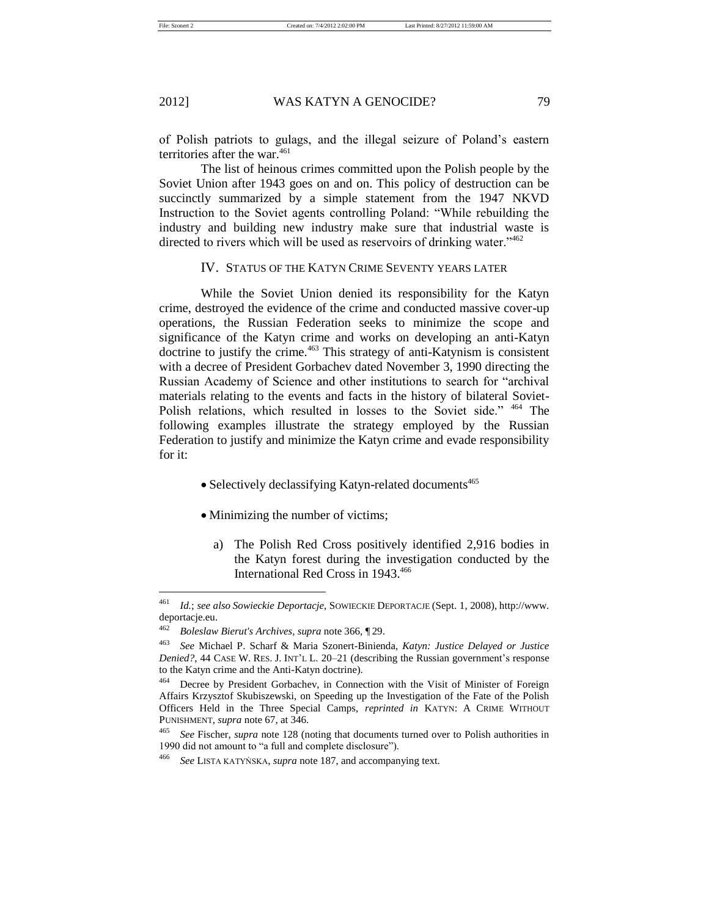of Polish patriots to gulags, and the illegal seizure of Poland's eastern territories after the war. $461$ 

The list of heinous crimes committed upon the Polish people by the Soviet Union after 1943 goes on and on. This policy of destruction can be succinctly summarized by a simple statement from the 1947 NKVD Instruction to the Soviet agents controlling Poland: "While rebuilding the industry and building new industry make sure that industrial waste is directed to rivers which will be used as reservoirs of drinking water."<sup>462</sup>

# IV. STATUS OF THE KATYN CRIME SEVENTY YEARS LATER

While the Soviet Union denied its responsibility for the Katyn crime, destroyed the evidence of the crime and conducted massive cover-up operations, the Russian Federation seeks to minimize the scope and significance of the Katyn crime and works on developing an anti-Katyn doctrine to justify the crime.<sup>463</sup> This strategy of anti-Katynism is consistent with a decree of President Gorbachev dated November 3, 1990 directing the Russian Academy of Science and other institutions to search for "archival materials relating to the events and facts in the history of bilateral Soviet-Polish relations, which resulted in losses to the Soviet side." <sup>464</sup> The following examples illustrate the strategy employed by the Russian Federation to justify and minimize the Katyn crime and evade responsibility for it:

- Selectively declassifying Katyn-related documents<sup>465</sup>
- Minimizing the number of victims;
	- a) The Polish Red Cross positively identified 2,916 bodies in the Katyn forest during the investigation conducted by the International Red Cross in 1943.<sup>466</sup>

<sup>461</sup> *Id.*; *see also Sowieckie Deportacje*, SOWIECKIE DEPORTACJE (Sept. 1, 2008), http://www. deportacje.eu.

<sup>462</sup> *Boleslaw Bierut's Archives*, *supra* note 366, ¶ 29.

<sup>463</sup> *See* Michael P. Scharf & Maria Szonert-Binienda, *Katyn: Justice Delayed or Justice Denied?*, 44 CASE W. RES. J. INT'L L. 20–21 (describing the Russian government's response to the Katyn crime and the Anti-Katyn doctrine).

<sup>464</sup> Decree by President Gorbachev, in Connection with the Visit of Minister of Foreign Affairs Krzysztof Skubiszewski, on Speeding up the Investigation of the Fate of the Polish Officers Held in the Three Special Camps, *reprinted in* KATYN: A CRIME WITHOUT PUNISHMENT, *supra* note 67, at 346.

<sup>465</sup> *See* Fischer, *supra* note 128 (noting that documents turned over to Polish authorities in 1990 did not amount to "a full and complete disclosure").

<sup>466</sup> *See* LISTA KATYŃSKA, *supra* note 187, and accompanying text.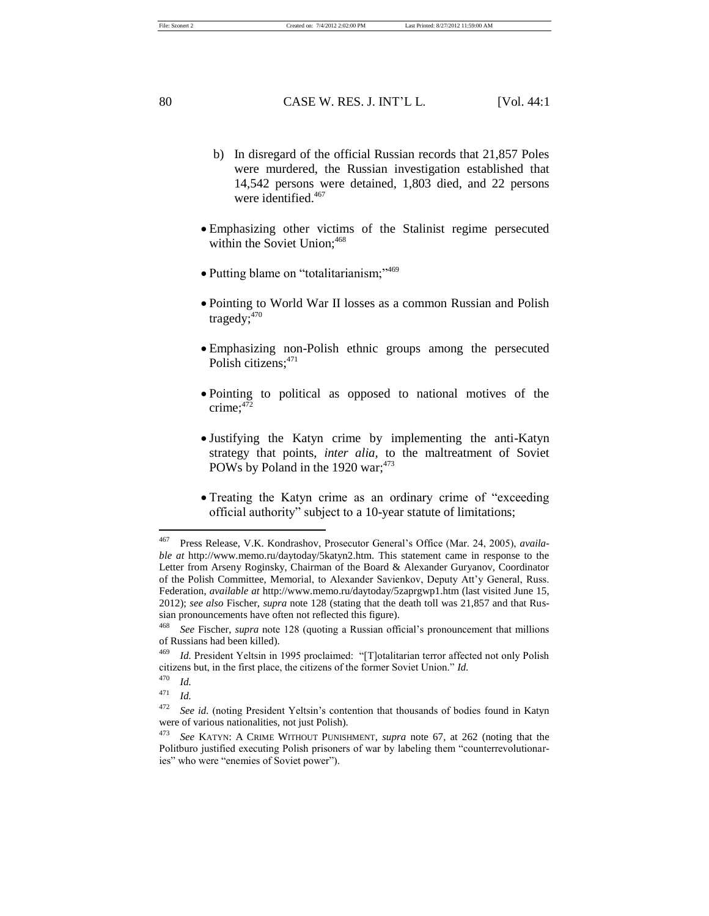File: Szonert 2 Created on: 7/4/2012 2:02:00 PM Last Printed: 8/27/2012 11:59:00 AM

80 CASE W. RES. J. INT'L L. [Vol. 44:1]

- b) In disregard of the official Russian records that 21,857 Poles were murdered, the Russian investigation established that 14,542 persons were detained, 1,803 died, and 22 persons were identified.<sup>467</sup>
- Emphasizing other victims of the Stalinist regime persecuted within the Soviet Union;<sup>468</sup>
- Putting blame on "totalitarianism;"<sup>469</sup>
- Pointing to World War II losses as a common Russian and Polish tragedy;<sup>470</sup>
- Emphasizing non-Polish ethnic groups among the persecuted Polish citizens;<sup>471</sup>
- Pointing to political as opposed to national motives of the crime;<sup>472</sup>
- Justifying the Katyn crime by implementing the anti-Katyn strategy that points, *inter alia,* to the maltreatment of Soviet POWs by Poland in the 1920 war; $473$
- Treating the Katyn crime as an ordinary crime of "exceeding official authority" subject to a 10-year statute of limitations;

<sup>467</sup> Press Release, V.K. Kondrashov, Prosecutor General's Office (Mar. 24, 2005), *available at* http://www.memo.ru/daytoday/5katyn2.htm. This statement came in response to the Letter from Arseny Roginsky, Chairman of the Board & Alexander Guryanov, Coordinator of the Polish Committee, Memorial, to Alexander Savienkov, Deputy Att'y General, Russ. Federation, *available at* http://www.memo.ru/daytoday/5zaprgwp1.htm (last visited June 15, 2012); *see also* Fischer, *supra* note 128 (stating that the death toll was 21,857 and that Russian pronouncements have often not reflected this figure).

<sup>468</sup> *See* Fischer, *supra* note 128 (quoting a Russian official's pronouncement that millions of Russians had been killed).

<sup>469</sup> *Id.* President Yeltsin in 1995 proclaimed: "[T]otalitarian terror affected not only Polish citizens but, in the first place, the citizens of the former Soviet Union." *Id.* 

 $\frac{470}{471}$  *Id.* 

*Id.* 

<sup>&</sup>lt;sup>472</sup> *See id.* (noting President Yeltsin's contention that thousands of bodies found in Katyn were of various nationalities, not just Polish).

<sup>473</sup> *See* KATYN: A CRIME WITHOUT PUNISHMENT, *supra* note 67, at 262 (noting that the Politburo justified executing Polish prisoners of war by labeling them "counterrevolutionaries" who were "enemies of Soviet power").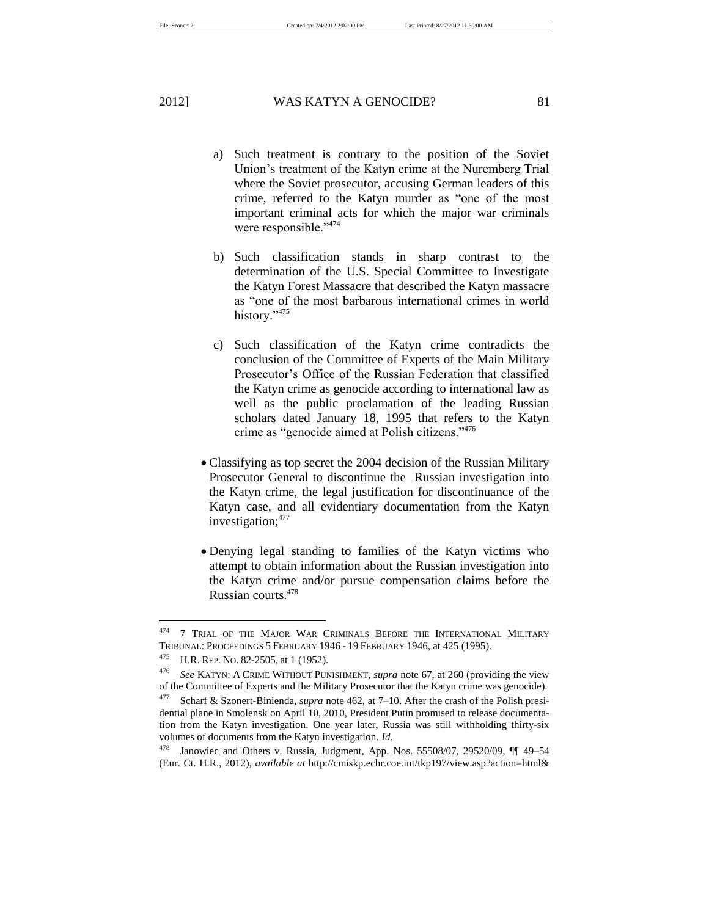a) Such treatment is contrary to the position of the Soviet Union's treatment of the Katyn crime at the Nuremberg Trial where the Soviet prosecutor, accusing German leaders of this crime, referred to the Katyn murder as "one of the most important criminal acts for which the major war criminals were responsible." <sup>474</sup>

- b) Such classification stands in sharp contrast to the determination of the U.S. Special Committee to Investigate the Katyn Forest Massacre that described the Katyn massacre as "one of the most barbarous international crimes in world history."<sup>475</sup>
- c) Such classification of the Katyn crime contradicts the conclusion of the Committee of Experts of the Main Military Prosecutor's Office of the Russian Federation that classified the Katyn crime as genocide according to international law as well as the public proclamation of the leading Russian scholars dated January 18, 1995 that refers to the Katyn crime as "genocide aimed at Polish citizens."<sup>476</sup>
- Classifying as top secret the 2004 decision of the Russian Military Prosecutor General to discontinue the Russian investigation into the Katyn crime, the legal justification for discontinuance of the Katyn case, and all evidentiary documentation from the Katyn investigation;<sup>477</sup>
- Denying legal standing to families of the Katyn victims who attempt to obtain information about the Russian investigation into the Katyn crime and/or pursue compensation claims before the Russian courts.<sup>478</sup>

<sup>&</sup>lt;sup>474</sup> 7 TRIAL OF THE MAJOR WAR CRIMINALS BEFORE THE INTERNATIONAL MILITARY TRIBUNAL: PROCEEDINGS 5 FEBRUARY 1946 - 19 FEBRUARY 1946, at 425 (1995).

<sup>475</sup> H.R. REP. NO. 82-2505, at 1 (1952).

<sup>476</sup> *See* KATYN: A CRIME WITHOUT PUNISHMENT, *supra* note 67, at 260 (providing the view of the Committee of Experts and the Military Prosecutor that the Katyn crime was genocide).

<sup>477</sup> Scharf & Szonert-Binienda, *supra* note 462, at 7–10. After the crash of the Polish presidential plane in Smolensk on April 10, 2010, President Putin promised to release documentation from the Katyn investigation. One year later, Russia was still withholding thirty-six volumes of documents from the Katyn investigation. *Id.* 

<sup>478</sup> Janowiec and Others v. Russia, Judgment, App. Nos. 55508/07, 29520/09, ¶¶ 49–54 (Eur. Ct. H.R., 2012), *available at* http://cmiskp.echr.coe.int/tkp197/view.asp?action=html&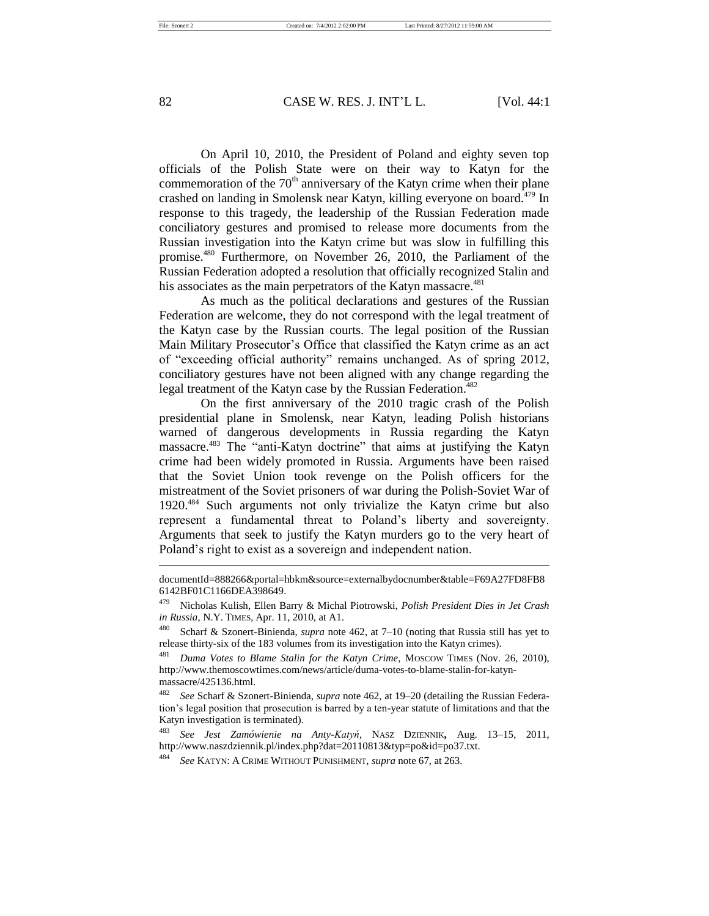82 CASE W. RES. J. INT'L L. [Vol. 44:1]

On April 10, 2010, the President of Poland and eighty seven top officials of the Polish State were on their way to Katyn for the commemoration of the  $70<sup>th</sup>$  anniversary of the Katyn crime when their plane crashed on landing in Smolensk near Katyn, killing everyone on board.<sup>479</sup> In response to this tragedy, the leadership of the Russian Federation made conciliatory gestures and promised to release more documents from the Russian investigation into the Katyn crime but was slow in fulfilling this promise.<sup>480</sup> Furthermore, on November 26, 2010, the Parliament of the Russian Federation adopted a resolution that officially recognized Stalin and his associates as the main perpetrators of the Katyn massacre.<sup>481</sup>

As much as the political declarations and gestures of the Russian Federation are welcome, they do not correspond with the legal treatment of the Katyn case by the Russian courts. The legal position of the Russian Main Military Prosecutor's Office that classified the Katyn crime as an act of "exceeding official authority" remains unchanged. As of spring 2012, conciliatory gestures have not been aligned with any change regarding the legal treatment of the Katyn case by the Russian Federation.<sup>482</sup>

On the first anniversary of the 2010 tragic crash of the Polish presidential plane in Smolensk, near Katyn, leading Polish historians warned of dangerous developments in Russia regarding the Katyn massacre.<sup>483</sup> The "anti-Katyn doctrine" that aims at justifying the Katyn crime had been widely promoted in Russia. Arguments have been raised that the Soviet Union took revenge on the Polish officers for the mistreatment of the Soviet prisoners of war during the Polish-Soviet War of 1920.<sup>484</sup> Such arguments not only trivialize the Katyn crime but also represent a fundamental threat to Poland's liberty and sovereignty. Arguments that seek to justify the Katyn murders go to the very heart of Poland's right to exist as a sovereign and independent nation.

documentId=888266&portal=hbkm&source=externalbydocnumber&table=F69A27FD8FB8 6142BF01C1166DEA398649.

<sup>479</sup> Nicholas Kulish, Ellen Barry & Michal Piotrowski, *Polish President Dies in Jet Crash in Russia*, N.Y. TIMES, Apr. 11, 2010, at A1.

<sup>480</sup> Scharf & Szonert-Binienda, *supra* note 462, at 7–10 (noting that Russia still has yet to release thirty-six of the 183 volumes from its investigation into the Katyn crimes).

<sup>481</sup> *Duma Votes to Blame Stalin for the Katyn Crime*, MOSCOW TIMES (Nov. 26, 2010), http://www.themoscowtimes.com/news/article/duma-votes-to-blame-stalin-for-katynmassacre/425136.html.

<sup>482</sup> *See* Scharf & Szonert-Binienda, *supra* note 462, at 19–20 (detailing the Russian Federation's legal position that prosecution is barred by a ten-year statute of limitations and that the Katyn investigation is terminated).

<sup>483</sup> *See Jest Zamówienie na Anty-Katyń*, NASZ DZIENNIK**,** Aug. 13–15, 2011, http://www.naszdziennik.pl/index.php?dat=20110813&typ=po&id=po37.txt.

<sup>484</sup> *See* KATYN: A CRIME WITHOUT PUNISHMENT, *supra* note 67, at 263.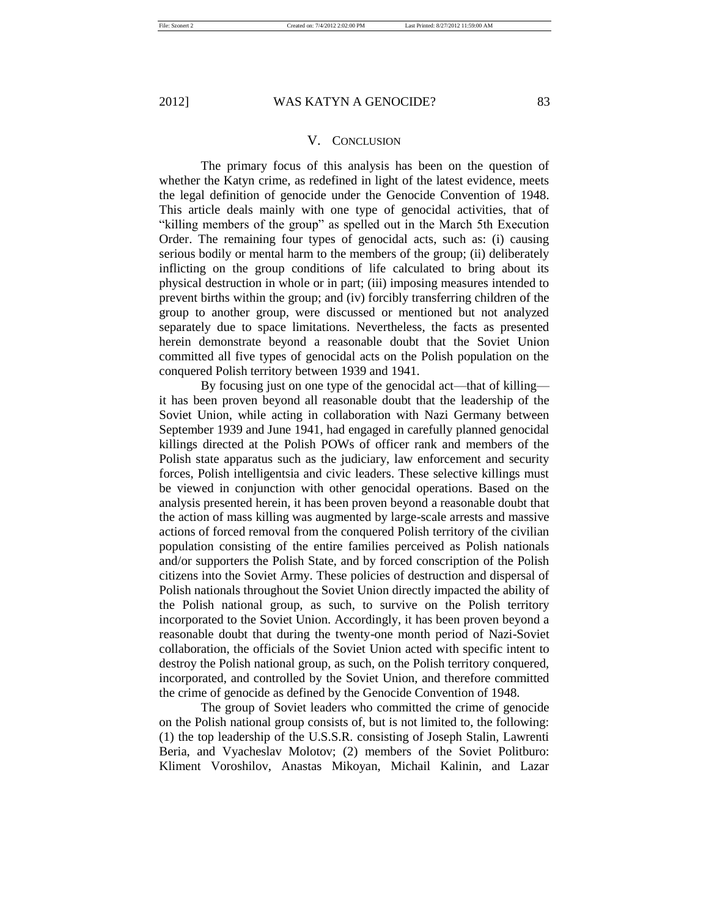### V. CONCLUSION

The primary focus of this analysis has been on the question of whether the Katyn crime, as redefined in light of the latest evidence, meets the legal definition of genocide under the Genocide Convention of 1948. This article deals mainly with one type of genocidal activities, that of "killing members of the group" as spelled out in the March 5th Execution Order. The remaining four types of genocidal acts, such as: (i) causing serious bodily or mental harm to the members of the group; (ii) deliberately inflicting on the group conditions of life calculated to bring about its physical destruction in whole or in part; (iii) imposing measures intended to prevent births within the group; and (iv) forcibly transferring children of the group to another group, were discussed or mentioned but not analyzed separately due to space limitations. Nevertheless, the facts as presented herein demonstrate beyond a reasonable doubt that the Soviet Union committed all five types of genocidal acts on the Polish population on the conquered Polish territory between 1939 and 1941.

By focusing just on one type of the genocidal act—that of killing it has been proven beyond all reasonable doubt that the leadership of the Soviet Union, while acting in collaboration with Nazi Germany between September 1939 and June 1941, had engaged in carefully planned genocidal killings directed at the Polish POWs of officer rank and members of the Polish state apparatus such as the judiciary, law enforcement and security forces, Polish intelligentsia and civic leaders. These selective killings must be viewed in conjunction with other genocidal operations. Based on the analysis presented herein, it has been proven beyond a reasonable doubt that the action of mass killing was augmented by large-scale arrests and massive actions of forced removal from the conquered Polish territory of the civilian population consisting of the entire families perceived as Polish nationals and/or supporters the Polish State, and by forced conscription of the Polish citizens into the Soviet Army. These policies of destruction and dispersal of Polish nationals throughout the Soviet Union directly impacted the ability of the Polish national group, as such, to survive on the Polish territory incorporated to the Soviet Union. Accordingly, it has been proven beyond a reasonable doubt that during the twenty-one month period of Nazi-Soviet collaboration, the officials of the Soviet Union acted with specific intent to destroy the Polish national group, as such, on the Polish territory conquered, incorporated, and controlled by the Soviet Union, and therefore committed the crime of genocide as defined by the Genocide Convention of 1948.

The group of Soviet leaders who committed the crime of genocide on the Polish national group consists of, but is not limited to, the following: (1) the top leadership of the U.S.S.R. consisting of Joseph Stalin, Lawrenti Beria, and Vyacheslav Molotov; (2) members of the Soviet Politburo: Kliment Voroshilov, Anastas Mikoyan, Michail Kalinin, and Lazar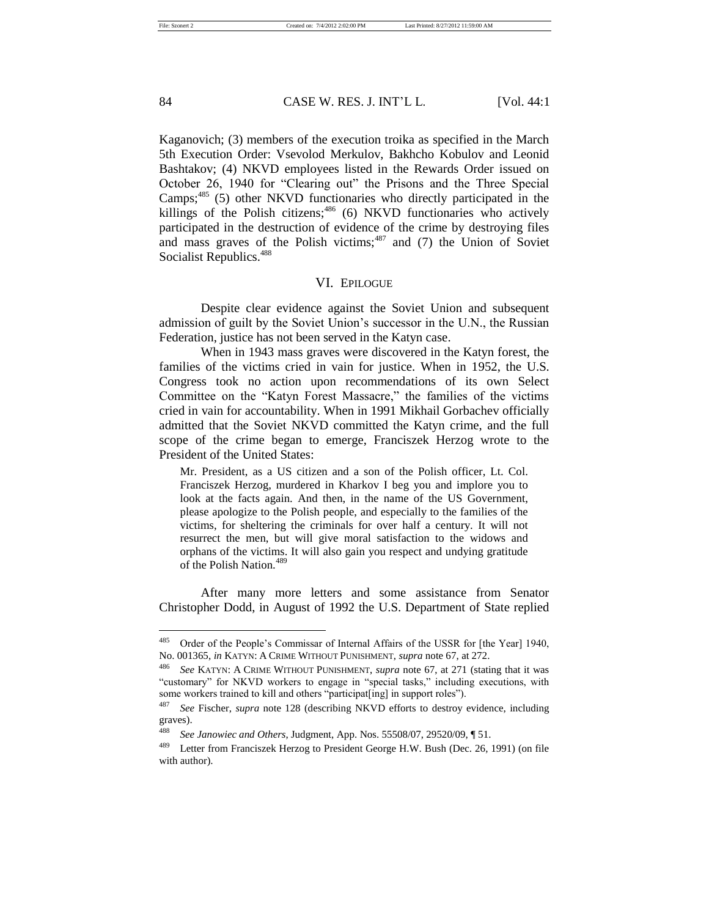### 84 CASE W. RES. J. INT'L L. [Vol. 44:1]

Kaganovich; (3) members of the execution troika as specified in the March 5th Execution Order: Vsevolod Merkulov, Bakhcho Kobulov and Leonid Bashtakov; (4) NKVD employees listed in the Rewards Order issued on October 26, 1940 for "Clearing out" the Prisons and the Three Special Camps;<sup>485</sup> (5) other NKVD functionaries who directly participated in the killings of the Polish citizens;  $486$  (6) NKVD functionaries who actively participated in the destruction of evidence of the crime by destroying files and mass graves of the Polish victims; $487$  and (7) the Union of Soviet Socialist Republics.<sup>488</sup>

### VI. EPILOGUE

Despite clear evidence against the Soviet Union and subsequent admission of guilt by the Soviet Union's successor in the U.N., the Russian Federation, justice has not been served in the Katyn case.

When in 1943 mass graves were discovered in the Katyn forest, the families of the victims cried in vain for justice. When in 1952, the U.S. Congress took no action upon recommendations of its own Select Committee on the "Katyn Forest Massacre," the families of the victims cried in vain for accountability. When in 1991 Mikhail Gorbachev officially admitted that the Soviet NKVD committed the Katyn crime, and the full scope of the crime began to emerge, Franciszek Herzog wrote to the President of the United States:

Mr. President, as a US citizen and a son of the Polish officer, Lt. Col. Franciszek Herzog, murdered in Kharkov I beg you and implore you to look at the facts again. And then, in the name of the US Government, please apologize to the Polish people, and especially to the families of the victims, for sheltering the criminals for over half a century. It will not resurrect the men, but will give moral satisfaction to the widows and orphans of the victims. It will also gain you respect and undying gratitude of the Polish Nation.<sup>489</sup>

After many more letters and some assistance from Senator Christopher Dodd, in August of 1992 the U.S. Department of State replied

<sup>485</sup> Order of the People's Commissar of Internal Affairs of the USSR for [the Year] 1940, No. 001365, *in* KATYN: A CRIME WITHOUT PUNISHMENT, *supra* note 67, at 272.

<sup>486</sup> *See* KATYN: A CRIME WITHOUT PUNISHMENT, *supra* note 67, at 271 (stating that it was "customary" for NKVD workers to engage in "special tasks," including executions, with some workers trained to kill and others "participat[ing] in support roles").

<sup>487</sup> *See* Fischer, *supra* note 128 (describing NKVD efforts to destroy evidence, including graves).

<sup>488</sup> *See Janowiec and Others*, Judgment, App. Nos. 55508/07, 29520/09, ¶ 51.

<sup>489</sup> Letter from Franciszek Herzog to President George H.W. Bush (Dec. 26, 1991) (on file with author).